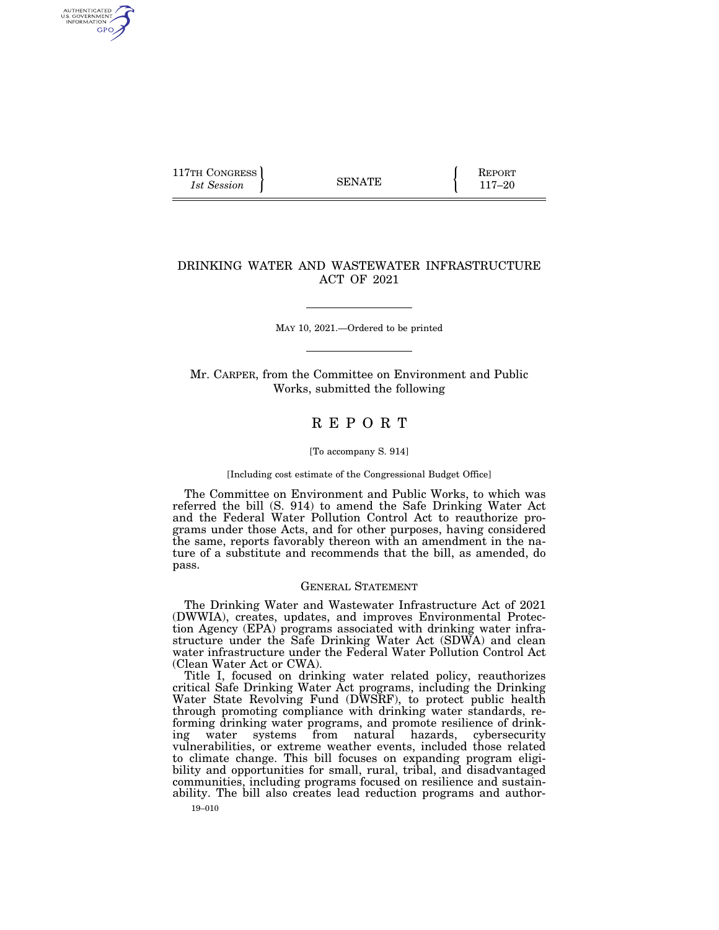| 117TH CONGRESS<br>1st Session | <b>SENATE</b> | <b>KEPORT</b><br>$117 - 20$ |
|-------------------------------|---------------|-----------------------------|
|-------------------------------|---------------|-----------------------------|

### DRINKING WATER AND WASTEWATER INFRASTRUCTURE ACT OF 2021

MAY 10, 2021.—Ordered to be printed

Mr. CARPER, from the Committee on Environment and Public Works, submitted the following

## R E P O R T

#### [To accompany S. 914]

#### [Including cost estimate of the Congressional Budget Office]

The Committee on Environment and Public Works, to which was referred the bill (S. 914) to amend the Safe Drinking Water Act and the Federal Water Pollution Control Act to reauthorize programs under those Acts, and for other purposes, having considered the same, reports favorably thereon with an amendment in the nature of a substitute and recommends that the bill, as amended, do pass.

#### GENERAL STATEMENT

The Drinking Water and Wastewater Infrastructure Act of 2021 (DWWIA), creates, updates, and improves Environmental Protection Agency (EPA) programs associated with drinking water infrastructure under the Safe Drinking Water Act (SDWA) and clean water infrastructure under the Federal Water Pollution Control Act (Clean Water Act or CWA).

Title I, focused on drinking water related policy, reauthorizes critical Safe Drinking Water Act programs, including the Drinking Water State Revolving Fund (DWSRF), to protect public health through promoting compliance with drinking water standards, reforming drinking water programs, and promote resilience of drinking water systems from natural hazards, cybersecurity vulnerabilities, or extreme weather events, included those related to climate change. This bill focuses on expanding program eligibility and opportunities for small, rural, tribal, and disadvantaged communities, including programs focused on resilience and sustainability. The bill also creates lead reduction programs and author-

AUTHENTICATED<br>U.S. GOVERNMENT<br>INFORMATION GPO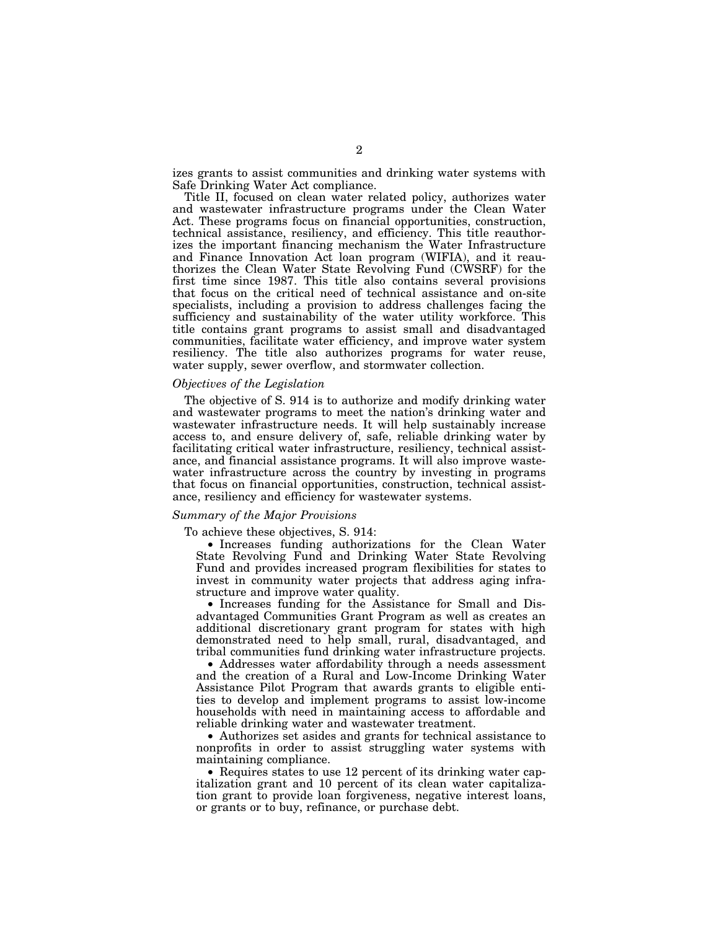izes grants to assist communities and drinking water systems with Safe Drinking Water Act compliance.

Title II, focused on clean water related policy, authorizes water and wastewater infrastructure programs under the Clean Water Act. These programs focus on financial opportunities, construction, technical assistance, resiliency, and efficiency. This title reauthorizes the important financing mechanism the Water Infrastructure and Finance Innovation Act loan program (WIFIA), and it reauthorizes the Clean Water State Revolving Fund (CWSRF) for the first time since 1987. This title also contains several provisions that focus on the critical need of technical assistance and on-site specialists, including a provision to address challenges facing the sufficiency and sustainability of the water utility workforce. This title contains grant programs to assist small and disadvantaged communities, facilitate water efficiency, and improve water system resiliency. The title also authorizes programs for water reuse, water supply, sewer overflow, and stormwater collection.

#### *Objectives of the Legislation*

The objective of S. 914 is to authorize and modify drinking water and wastewater programs to meet the nation's drinking water and wastewater infrastructure needs. It will help sustainably increase access to, and ensure delivery of, safe, reliable drinking water by facilitating critical water infrastructure, resiliency, technical assistance, and financial assistance programs. It will also improve wastewater infrastructure across the country by investing in programs that focus on financial opportunities, construction, technical assistance, resiliency and efficiency for wastewater systems.

#### *Summary of the Major Provisions*

To achieve these objectives, S. 914:

• Increases funding authorizations for the Clean Water State Revolving Fund and Drinking Water State Revolving Fund and provides increased program flexibilities for states to invest in community water projects that address aging infrastructure and improve water quality.

• Increases funding for the Assistance for Small and Disadvantaged Communities Grant Program as well as creates an additional discretionary grant program for states with high demonstrated need to help small, rural, disadvantaged, and tribal communities fund drinking water infrastructure projects.

• Addresses water affordability through a needs assessment and the creation of a Rural and Low-Income Drinking Water Assistance Pilot Program that awards grants to eligible entities to develop and implement programs to assist low-income households with need in maintaining access to affordable and reliable drinking water and wastewater treatment.

• Authorizes set asides and grants for technical assistance to nonprofits in order to assist struggling water systems with maintaining compliance.

• Requires states to use 12 percent of its drinking water capitalization grant and 10 percent of its clean water capitalization grant to provide loan forgiveness, negative interest loans, or grants or to buy, refinance, or purchase debt.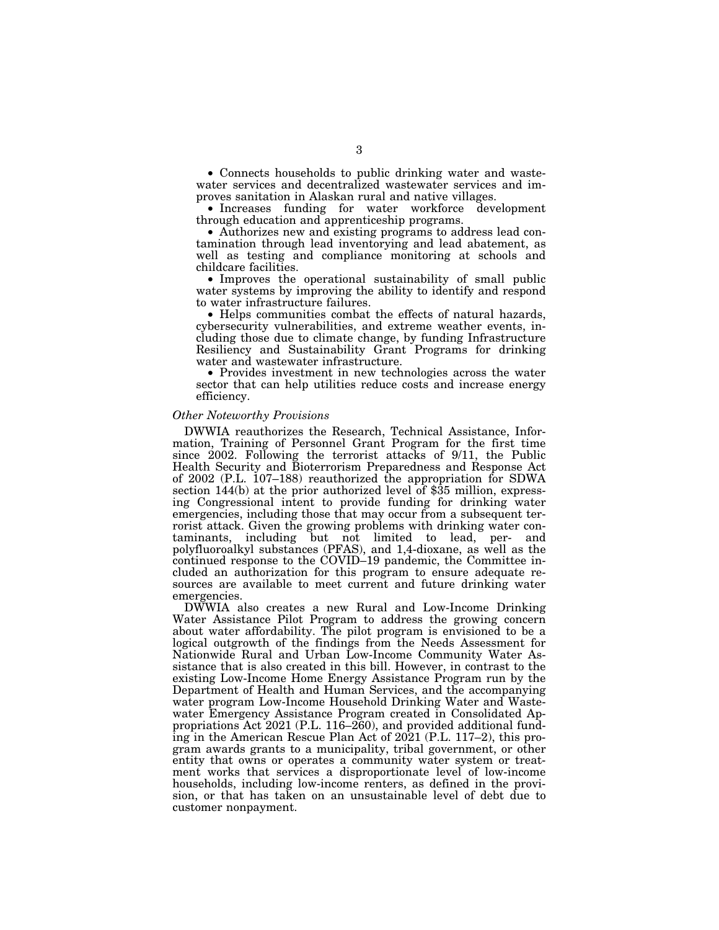• Connects households to public drinking water and wastewater services and decentralized wastewater services and improves sanitation in Alaskan rural and native villages.

• Increases funding for water workforce development through education and apprenticeship programs.

• Authorizes new and existing programs to address lead contamination through lead inventorying and lead abatement, as well as testing and compliance monitoring at schools and childcare facilities.

• Improves the operational sustainability of small public water systems by improving the ability to identify and respond to water infrastructure failures.

• Helps communities combat the effects of natural hazards, cybersecurity vulnerabilities, and extreme weather events, including those due to climate change, by funding Infrastructure Resiliency and Sustainability Grant Programs for drinking water and wastewater infrastructure.

• Provides investment in new technologies across the water sector that can help utilities reduce costs and increase energy efficiency.

#### *Other Noteworthy Provisions*

DWWIA reauthorizes the Research, Technical Assistance, Information, Training of Personnel Grant Program for the first time since 2002. Following the terrorist attacks of 9/11, the Public Health Security and Bioterrorism Preparedness and Response Act of 2002 (P.L. 107–188) reauthorized the appropriation for SDWA section 144(b) at the prior authorized level of \$35 million, expressing Congressional intent to provide funding for drinking water emergencies, including those that may occur from a subsequent terrorist attack. Given the growing problems with drinking water contaminants, including but not limited to lead, per- and polyfluoroalkyl substances (PFAS), and 1,4-dioxane, as well as the continued response to the COVID–19 pandemic, the Committee included an authorization for this program to ensure adequate resources are available to meet current and future drinking water emergencies.

DWWIA also creates a new Rural and Low-Income Drinking Water Assistance Pilot Program to address the growing concern about water affordability. The pilot program is envisioned to be a logical outgrowth of the findings from the Needs Assessment for Nationwide Rural and Urban Low-Income Community Water Assistance that is also created in this bill. However, in contrast to the existing Low-Income Home Energy Assistance Program run by the Department of Health and Human Services, and the accompanying water program Low-Income Household Drinking Water and Wastewater Emergency Assistance Program created in Consolidated Appropriations Act 2021 (P.L. 116–260), and provided additional funding in the American Rescue Plan Act of 2021 (P.L. 117–2), this program awards grants to a municipality, tribal government, or other entity that owns or operates a community water system or treatment works that services a disproportionate level of low-income households, including low-income renters, as defined in the provision, or that has taken on an unsustainable level of debt due to customer nonpayment.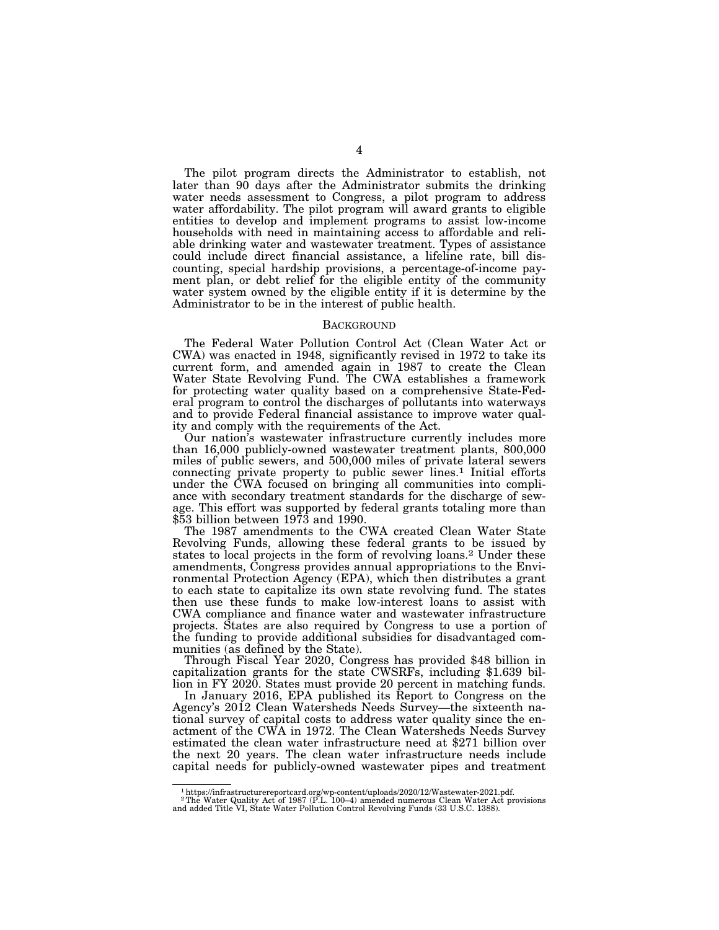The pilot program directs the Administrator to establish, not later than 90 days after the Administrator submits the drinking water needs assessment to Congress, a pilot program to address water affordability. The pilot program will award grants to eligible entities to develop and implement programs to assist low-income households with need in maintaining access to affordable and reliable drinking water and wastewater treatment. Types of assistance could include direct financial assistance, a lifeline rate, bill discounting, special hardship provisions, a percentage-of-income payment plan, or debt relief for the eligible entity of the community water system owned by the eligible entity if it is determine by the Administrator to be in the interest of public health.

#### **BACKGROUND**

The Federal Water Pollution Control Act (Clean Water Act or CWA) was enacted in 1948, significantly revised in 1972 to take its current form, and amended again in 1987 to create the Clean Water State Revolving Fund. The CWA establishes a framework for protecting water quality based on a comprehensive State-Federal program to control the discharges of pollutants into waterways and to provide Federal financial assistance to improve water quality and comply with the requirements of the Act.

Our nation's wastewater infrastructure currently includes more than 16,000 publicly-owned wastewater treatment plants, 800,000 miles of public sewers, and 500,000 miles of private lateral sewers connecting private property to public sewer lines.<sup>1</sup> Initial efforts under the CWA focused on bringing all communities into compliance with secondary treatment standards for the discharge of sewage. This effort was supported by federal grants totaling more than \$53 billion between 1973 and 1990.

The 1987 amendments to the CWA created Clean Water State Revolving Funds, allowing these federal grants to be issued by states to local projects in the form of revolving loans.2 Under these amendments, Congress provides annual appropriations to the Environmental Protection Agency (EPA), which then distributes a grant to each state to capitalize its own state revolving fund. The states then use these funds to make low-interest loans to assist with CWA compliance and finance water and wastewater infrastructure projects. States are also required by Congress to use a portion of the funding to provide additional subsidies for disadvantaged communities (as defined by the State).

Through Fiscal Year 2020, Congress has provided \$48 billion in capitalization grants for the state CWSRFs, including \$1.639 billion in FY 2020. States must provide 20 percent in matching funds.

In January 2016, EPA published its Report to Congress on the Agency's 2012 Clean Watersheds Needs Survey—the sixteenth national survey of capital costs to address water quality since the enactment of the CWA in 1972. The Clean Watersheds Needs Survey estimated the clean water infrastructure need at \$271 billion over the next 20 years. The clean water infrastructure needs include capital needs for publicly-owned wastewater pipes and treatment

 $^1$ https://infrastructurereportcard.org/wp-content/uploads/2020/12/Wastewater-2021.pdf.  $^2$ The Water Quality Act of 1987 (P.L. 100–4) amended numerous Clean Water Act provisions and added Title VI, State Water Pollution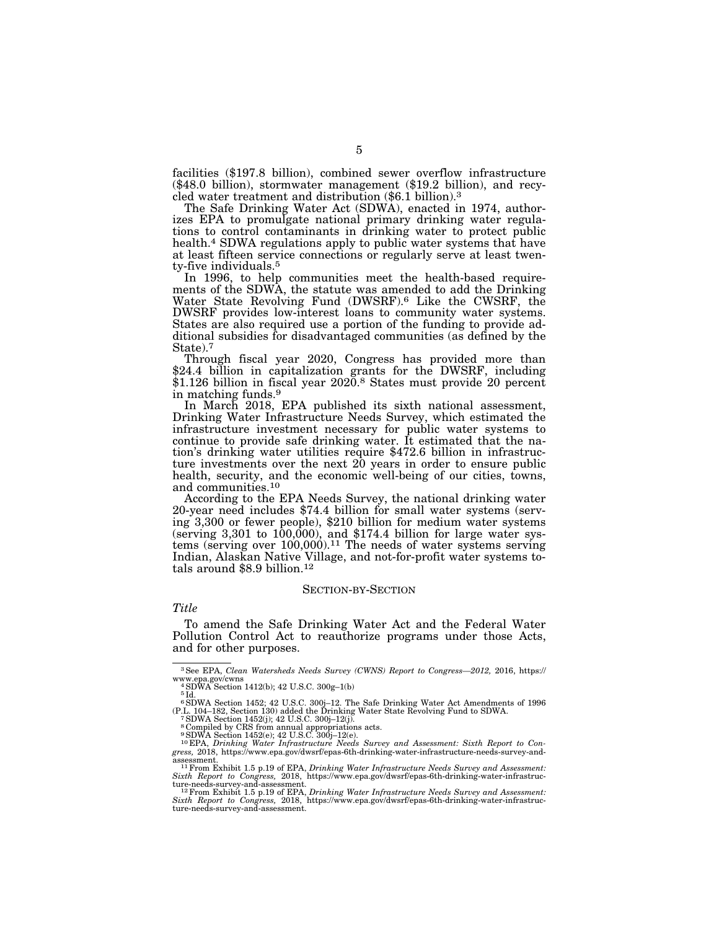facilities (\$197.8 billion), combined sewer overflow infrastructure (\$48.0 billion), stormwater management (\$19.2 billion), and recycled water treatment and distribution (\$6.1 billion).3

The Safe Drinking Water Act (SDWA), enacted in 1974, authorizes EPA to promulgate national primary drinking water regulations to control contaminants in drinking water to protect public health.4 SDWA regulations apply to public water systems that have at least fifteen service connections or regularly serve at least twenty-five individuals.5

In 1996, to help communities meet the health-based requirements of the SDWA, the statute was amended to add the Drinking Water State Revolving Fund (DWSRF).6 Like the CWSRF, the DWSRF provides low-interest loans to community water systems. States are also required use a portion of the funding to provide additional subsidies for disadvantaged communities (as defined by the State).7<br>Through fiscal year 2020, Congress has provided more than

\$24.4 billion in capitalization grants for the DWSRF, including \$1.126 billion in fiscal year  $20\overline{20}$ .<sup>8</sup> States must provide 20 percent in matching funds.9

In March 2018, EPA published its sixth national assessment, Drinking Water Infrastructure Needs Survey, which estimated the infrastructure investment necessary for public water systems to continue to provide safe drinking water. It estimated that the nation's drinking water utilities require \$472.6 billion in infrastructure investments over the next  $20$  years in order to ensure public health, security, and the economic well-being of our cities, towns, and communities.<sup>10</sup><br>According to the EPA Needs Survey, the national drinking water

20-year need includes \$74.4 billion for small water systems (serving 3,300 or fewer people), \$210 billion for medium water systems (serving  $3,301$  to  $100,000$ ), and  $$174.4$  billion for large water systems (serving over  $100,000$ ).<sup>11</sup> The needs of water systems serving Indian, Alaskan Native Village, and not-for-profit water systems totals around \$8.9 billion.12

#### SECTION-BY-SECTION

#### *Title*

To amend the Safe Drinking Water Act and the Federal Water Pollution Control Act to reauthorize programs under those Acts, and for other purposes.

<sup>3</sup>See EPA, *Clean Watersheds Needs Survey (CWNS) Report to Congress—2012,* 2016, https:// www.epa.gov/cwns<br> $4$ SDWA Section 1412(b); 42 U.S.C.  $300g-1(b)$ 

<sup>5</sup> Id.

<sup>6</sup>SDWA Section 1452; 42 U.S.C. 300j–12. The Safe Drinking Water Act Amendments of 1996 (P.L. 104–182, Section 130) added the Drinking Water State Revolving Fund to SDWA. 7SDWA Section 1452(j); 42 U.S.C. 300j–12(j).

<sup>8</sup> Compiled by CRS from annual appropriations acts. 9SDWA Section 1452(e); 42 U.S.C. 300j–12(e).

<sup>10</sup> EPA, *Drinking Water Infrastructure Needs Survey and Assessment: Sixth Report to Con-gress,* 2018, https://www.epa.gov/dwsrf/epas-6th-drinking-water-infrastructure-needs-survey-andassessment. 11From Exhibit 1.5 p.19 of EPA, *Drinking Water Infrastructure Needs Survey and Assessment:* 

*Sixth Report to Congress, 2018, https://www.epa.gov/dwsrf/epas-6th-drinking-water-infrastruc-<br>ture-needs-survey-and-assessment.<br>
<sup>12</sup> From Exhibit 1.5 n 19 of EPA <i>Drinbing Water Infrastructure Needs* Survey and Assessmen

ture-needs-survey-and-assessment.<br><sup>12</sup> From Exhibit 1.5 p.19 of EPA, *Drinking Water Infrastructure Needs Survey and Assessment:*<br>Six*th Report to Congress, 2018, https://www.epa.gov/dwsrf/epas-6th-drinking-water-infrastru*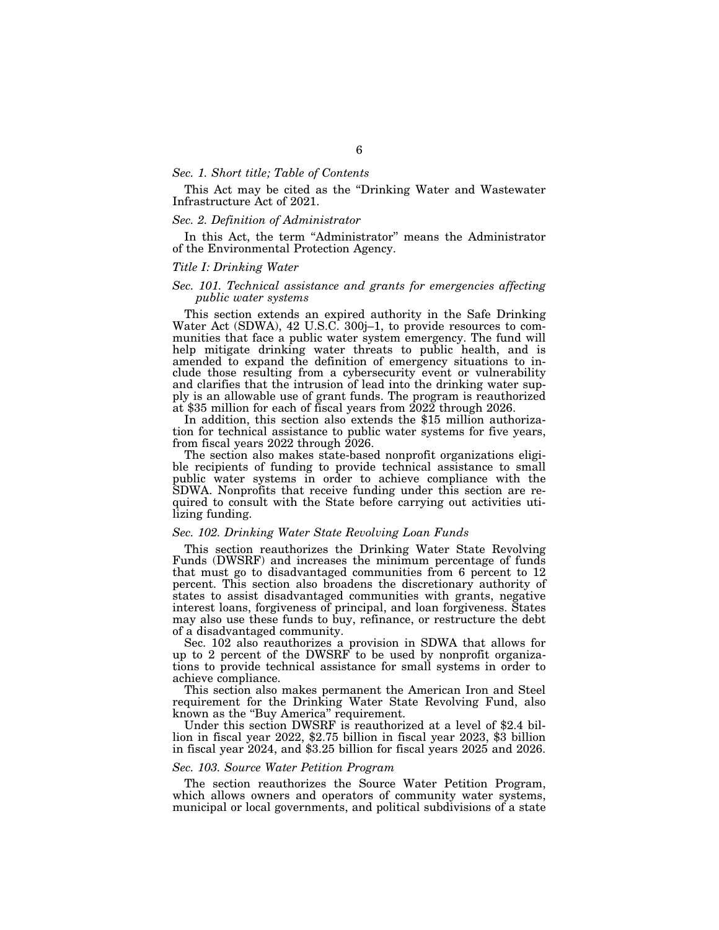#### *Sec. 1. Short title; Table of Contents*

This Act may be cited as the ''Drinking Water and Wastewater Infrastructure Act of 2021.

#### *Sec. 2. Definition of Administrator*

In this Act, the term ''Administrator'' means the Administrator of the Environmental Protection Agency.

#### *Title I: Drinking Water*

#### *Sec. 101. Technical assistance and grants for emergencies affecting public water systems*

This section extends an expired authority in the Safe Drinking Water Act (SDWA), 42 U.S.C. 300j–1, to provide resources to communities that face a public water system emergency. The fund will help mitigate drinking water threats to public health, and is amended to expand the definition of emergency situations to include those resulting from a cybersecurity event or vulnerability and clarifies that the intrusion of lead into the drinking water supply is an allowable use of grant funds. The program is reauthorized at \$35 million for each of fiscal years from 2022 through 2026. In addition, this section also extends the \$15 million authoriza-

tion for technical assistance to public water systems for five years, from fiscal years 2022 through 2026.

The section also makes state-based nonprofit organizations eligible recipients of funding to provide technical assistance to small public water systems in order to achieve compliance with the SDWA. Nonprofits that receive funding under this section are required to consult with the State before carrying out activities utilizing funding.

#### *Sec. 102. Drinking Water State Revolving Loan Funds*

This section reauthorizes the Drinking Water State Revolving Funds (DWSRF) and increases the minimum percentage of funds that must go to disadvantaged communities from 6 percent to 12 percent. This section also broadens the discretionary authority of states to assist disadvantaged communities with grants, negative interest loans, forgiveness of principal, and loan forgiveness. States may also use these funds to buy, refinance, or restructure the debt of a disadvantaged community.

Sec. 102 also reauthorizes a provision in SDWA that allows for up to 2 percent of the DWSRF to be used by nonprofit organizations to provide technical assistance for small systems in order to achieve compliance.

This section also makes permanent the American Iron and Steel requirement for the Drinking Water State Revolving Fund, also known as the ''Buy America'' requirement.

Under this section DWSRF is reauthorized at a level of \$2.4 billion in fiscal year 2022, \$2.75 billion in fiscal year 2023, \$3 billion in fiscal year 2024, and \$3.25 billion for fiscal years 2025 and 2026.

#### *Sec. 103. Source Water Petition Program*

The section reauthorizes the Source Water Petition Program, which allows owners and operators of community water systems, municipal or local governments, and political subdivisions of a state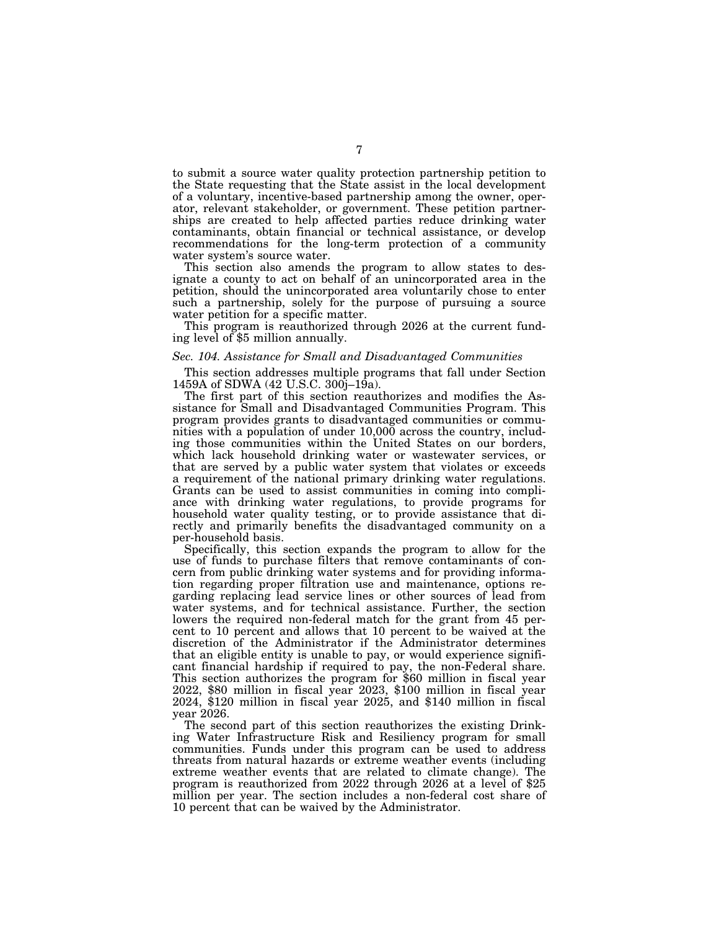to submit a source water quality protection partnership petition to the State requesting that the State assist in the local development of a voluntary, incentive-based partnership among the owner, operator, relevant stakeholder, or government. These petition partnerships are created to help affected parties reduce drinking water contaminants, obtain financial or technical assistance, or develop recommendations for the long-term protection of a community water system's source water.

This section also amends the program to allow states to designate a county to act on behalf of an unincorporated area in the petition, should the unincorporated area voluntarily chose to enter such a partnership, solely for the purpose of pursuing a source water petition for a specific matter.

This program is reauthorized through 2026 at the current fund- ing level of \$5 million annually.

#### *Sec. 104. Assistance for Small and Disadvantaged Communities*

This section addresses multiple programs that fall under Section 1459A of SDWA (42 U.S.C. 300j–19a).

The first part of this section reauthorizes and modifies the Assistance for Small and Disadvantaged Communities Program. This program provides grants to disadvantaged communities or communities with a population of under 10,000 across the country, including those communities within the United States on our borders, which lack household drinking water or wastewater services, or that are served by a public water system that violates or exceeds a requirement of the national primary drinking water regulations. Grants can be used to assist communities in coming into compliance with drinking water regulations, to provide programs for household water quality testing, or to provide assistance that directly and primarily benefits the disadvantaged community on a per-household basis.

Specifically, this section expands the program to allow for the use of funds to purchase filters that remove contaminants of concern from public drinking water systems and for providing information regarding proper filtration use and maintenance, options regarding replacing lead service lines or other sources of lead from water systems, and for technical assistance. Further, the section lowers the required non-federal match for the grant from 45 percent to 10 percent and allows that 10 percent to be waived at the discretion of the Administrator if the Administrator determines that an eligible entity is unable to pay, or would experience significant financial hardship if required to pay, the non-Federal share. This section authorizes the program for \$60 million in fiscal year 2022, \$80 million in fiscal year 2023, \$100 million in fiscal year 2024, \$120 million in fiscal year 2025, and \$140 million in fiscal year 2026.

The second part of this section reauthorizes the existing Drinking Water Infrastructure Risk and Resiliency program for small communities. Funds under this program can be used to address threats from natural hazards or extreme weather events (including extreme weather events that are related to climate change). The program is reauthorized from 2022 through 2026 at a level of \$25 million per year. The section includes a non-federal cost share of 10 percent that can be waived by the Administrator.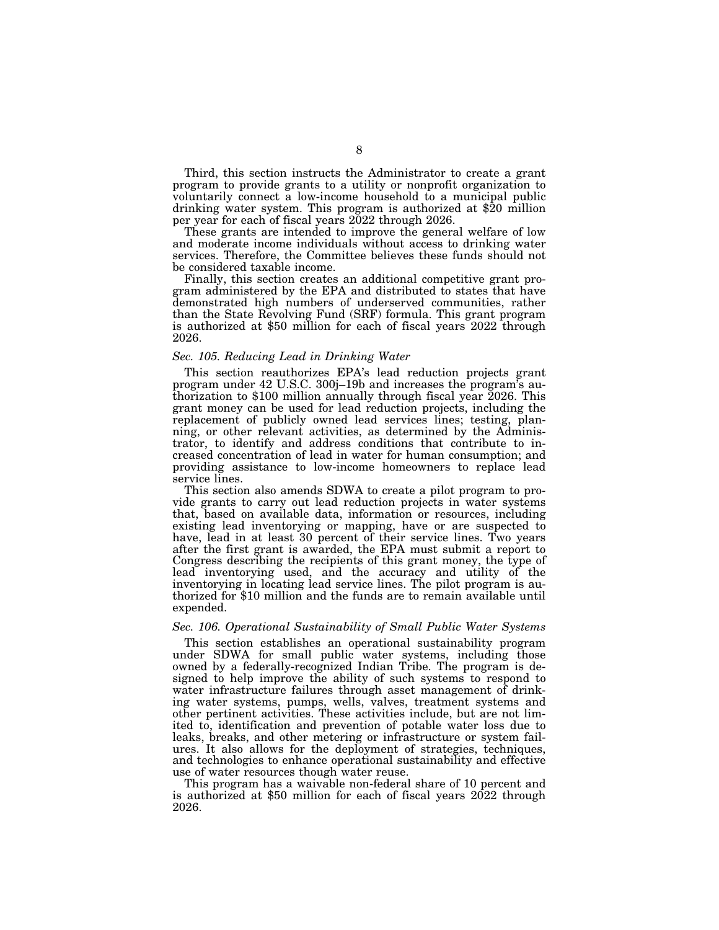Third, this section instructs the Administrator to create a grant program to provide grants to a utility or nonprofit organization to voluntarily connect a low-income household to a municipal public drinking water system. This program is authorized at \$20 million per year for each of fiscal years 2022 through 2026.

These grants are intended to improve the general welfare of low and moderate income individuals without access to drinking water services. Therefore, the Committee believes these funds should not be considered taxable income.

Finally, this section creates an additional competitive grant program administered by the EPA and distributed to states that have demonstrated high numbers of underserved communities, rather than the State Revolving Fund (SRF) formula. This grant program is authorized at \$50 million for each of fiscal years 2022 through 2026.

#### *Sec. 105. Reducing Lead in Drinking Water*

This section reauthorizes EPA's lead reduction projects grant program under 42 U.S.C. 300j–19b and increases the program's authorization to \$100 million annually through fiscal year 2026. This grant money can be used for lead reduction projects, including the replacement of publicly owned lead services lines; testing, planning, or other relevant activities, as determined by the Administrator, to identify and address conditions that contribute to increased concentration of lead in water for human consumption; and providing assistance to low-income homeowners to replace lead service lines.

This section also amends SDWA to create a pilot program to provide grants to carry out lead reduction projects in water systems that, based on available data, information or resources, including existing lead inventorying or mapping, have or are suspected to have, lead in at least 30 percent of their service lines. Two years after the first grant is awarded, the EPA must submit a report to Congress describing the recipients of this grant money, the type of lead inventorying used, and the accuracy and utility of the inventorying in locating lead service lines. The pilot program is authorized for \$10 million and the funds are to remain available until expended.

#### *Sec. 106. Operational Sustainability of Small Public Water Systems*

This section establishes an operational sustainability program under SDWA for small public water systems, including those owned by a federally-recognized Indian Tribe. The program is designed to help improve the ability of such systems to respond to water infrastructure failures through asset management of drinking water systems, pumps, wells, valves, treatment systems and other pertinent activities. These activities include, but are not limited to, identification and prevention of potable water loss due to leaks, breaks, and other metering or infrastructure or system failures. It also allows for the deployment of strategies, techniques, and technologies to enhance operational sustainability and effective use of water resources though water reuse.

This program has a waivable non-federal share of 10 percent and is authorized at \$50 million for each of fiscal years 2022 through 2026.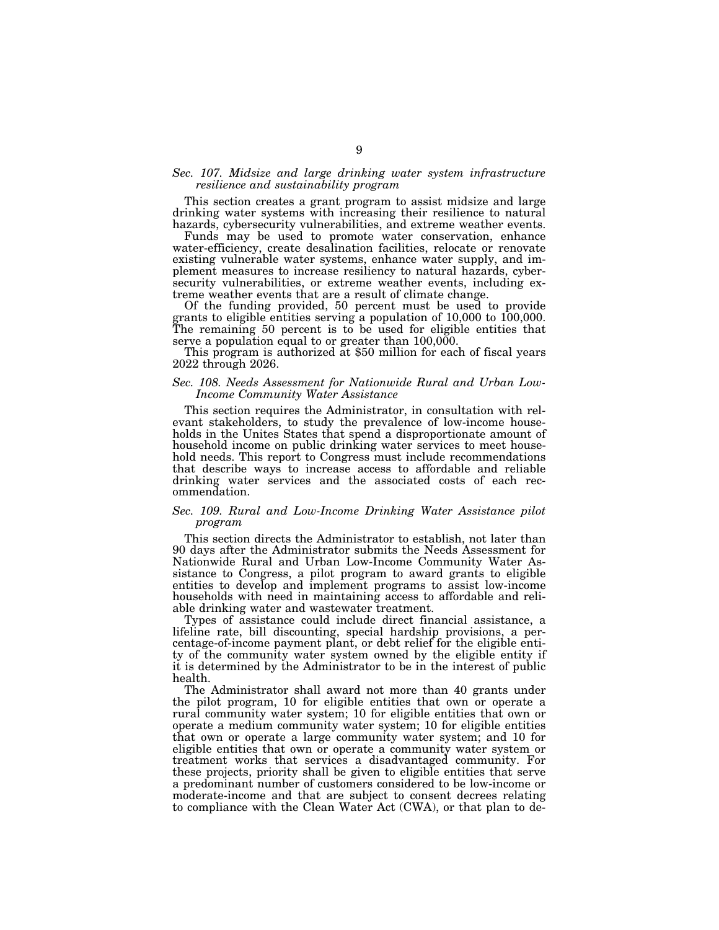#### *Sec. 107. Midsize and large drinking water system infrastructure resilience and sustainability program*

This section creates a grant program to assist midsize and large drinking water systems with increasing their resilience to natural hazards, cybersecurity vulnerabilities, and extreme weather events.

Funds may be used to promote water conservation, enhance water-efficiency, create desalination facilities, relocate or renovate existing vulnerable water systems, enhance water supply, and implement measures to increase resiliency to natural hazards, cybersecurity vulnerabilities, or extreme weather events, including extreme weather events that are a result of climate change.

Of the funding provided, 50 percent must be used to provide grants to eligible entities serving a population of 10,000 to 100,000. The remaining 50 percent is to be used for eligible entities that serve a population equal to or greater than 100,000. This program is authorized at \$50 million for each of fiscal years

2022 through 2026.

#### *Sec. 108. Needs Assessment for Nationwide Rural and Urban Low-Income Community Water Assistance*

This section requires the Administrator, in consultation with relevant stakeholders, to study the prevalence of low-income households in the Unites States that spend a disproportionate amount of household income on public drinking water services to meet household needs. This report to Congress must include recommendations that describe ways to increase access to affordable and reliable drinking water services and the associated costs of each recommendation.

#### *Sec. 109. Rural and Low-Income Drinking Water Assistance pilot program*

This section directs the Administrator to establish, not later than 90 days after the Administrator submits the Needs Assessment for Nationwide Rural and Urban Low-Income Community Water Assistance to Congress, a pilot program to award grants to eligible entities to develop and implement programs to assist low-income households with need in maintaining access to affordable and reliable drinking water and wastewater treatment.

Types of assistance could include direct financial assistance, a lifeline rate, bill discounting, special hardship provisions, a percentage-of-income payment plant, or debt relief for the eligible entity of the community water system owned by the eligible entity if it is determined by the Administrator to be in the interest of public health.

The Administrator shall award not more than 40 grants under the pilot program, 10 for eligible entities that own or operate a rural community water system; 10 for eligible entities that own or operate a medium community water system; 10 for eligible entities that own or operate a large community water system; and 10 for eligible entities that own or operate a community water system or treatment works that services a disadvantaged community. For these projects, priority shall be given to eligible entities that serve a predominant number of customers considered to be low-income or moderate-income and that are subject to consent decrees relating to compliance with the Clean Water Act (CWA), or that plan to de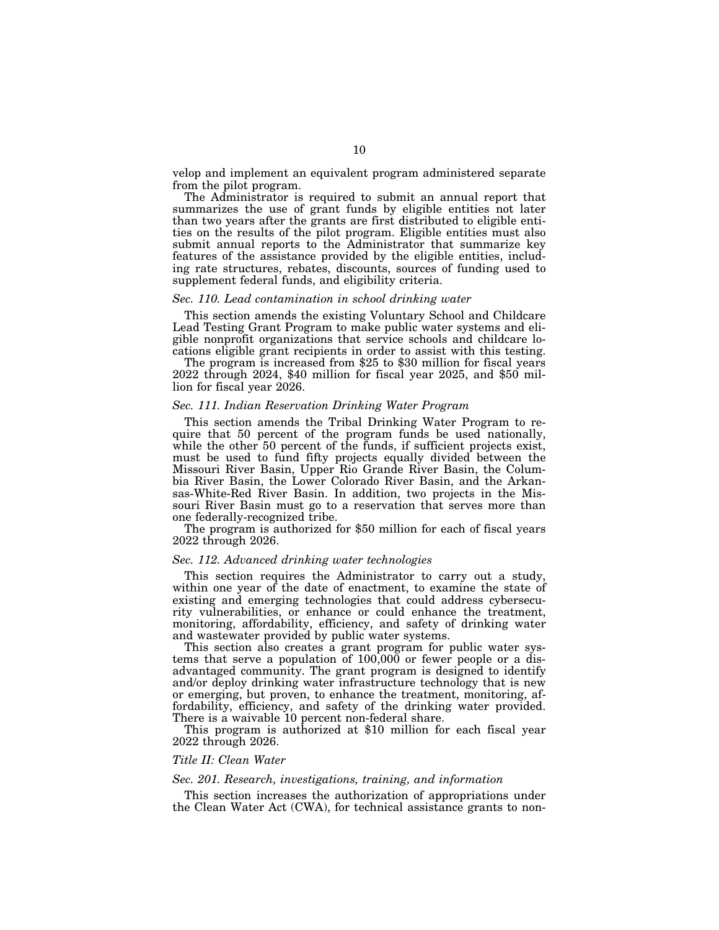velop and implement an equivalent program administered separate from the pilot program.

The Administrator is required to submit an annual report that summarizes the use of grant funds by eligible entities not later than two years after the grants are first distributed to eligible entities on the results of the pilot program. Eligible entities must also submit annual reports to the Administrator that summarize key features of the assistance provided by the eligible entities, including rate structures, rebates, discounts, sources of funding used to supplement federal funds, and eligibility criteria.

#### *Sec. 110. Lead contamination in school drinking water*

This section amends the existing Voluntary School and Childcare Lead Testing Grant Program to make public water systems and eligible nonprofit organizations that service schools and childcare locations eligible grant recipients in order to assist with this testing.

The program is increased from \$25 to \$30 million for fiscal years 2022 through 2024, \$40 million for fiscal year 2025, and \$50 million for fiscal year 2026.

#### *Sec. 111. Indian Reservation Drinking Water Program*

This section amends the Tribal Drinking Water Program to require that 50 percent of the program funds be used nationally, while the other 50 percent of the funds, if sufficient projects exist, must be used to fund fifty projects equally divided between the Missouri River Basin, Upper Rio Grande River Basin, the Columbia River Basin, the Lower Colorado River Basin, and the Arkansas-White-Red River Basin. In addition, two projects in the Missouri River Basin must go to a reservation that serves more than one federally-recognized tribe.

The program is authorized for \$50 million for each of fiscal years 2022 through 2026.

#### *Sec. 112. Advanced drinking water technologies*

This section requires the Administrator to carry out a study, within one year of the date of enactment, to examine the state of existing and emerging technologies that could address cybersecurity vulnerabilities, or enhance or could enhance the treatment, monitoring, affordability, efficiency, and safety of drinking water and wastewater provided by public water systems.

This section also creates a grant program for public water systems that serve a population of  $100,000$  or fewer people or a disadvantaged community. The grant program is designed to identify and/or deploy drinking water infrastructure technology that is new or emerging, but proven, to enhance the treatment, monitoring, affordability, efficiency, and safety of the drinking water provided. There is a waivable 10 percent non-federal share.

This program is authorized at \$10 million for each fiscal year 2022 through 2026.

### *Title II: Clean Water*

#### *Sec. 201. Research, investigations, training, and information*

This section increases the authorization of appropriations under the Clean Water Act (CWA), for technical assistance grants to non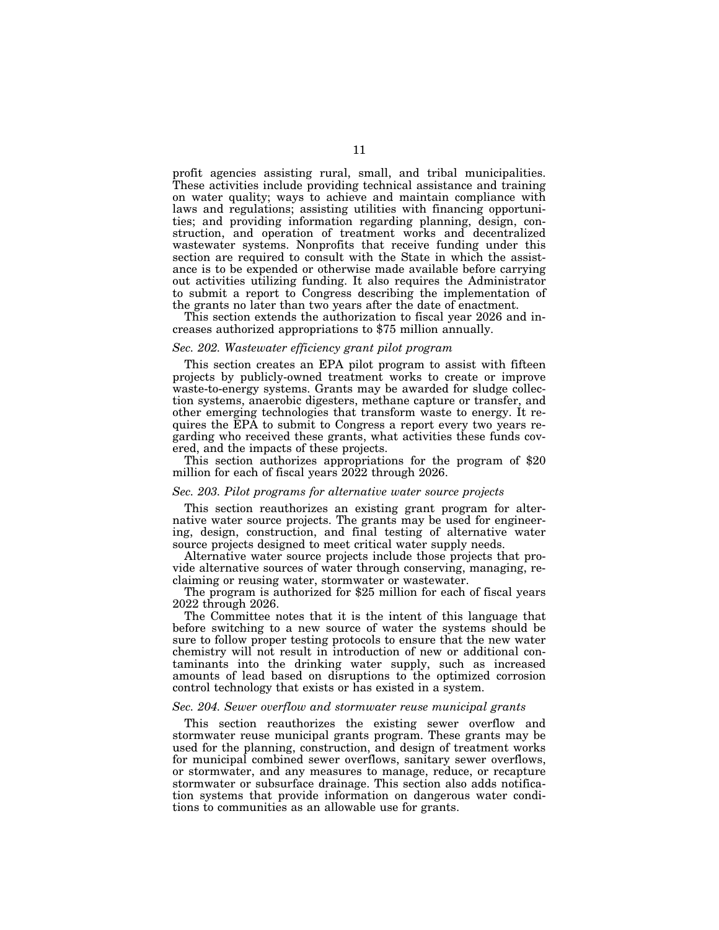profit agencies assisting rural, small, and tribal municipalities. These activities include providing technical assistance and training on water quality; ways to achieve and maintain compliance with laws and regulations; assisting utilities with financing opportunities; and providing information regarding planning, design, construction, and operation of treatment works and decentralized wastewater systems. Nonprofits that receive funding under this section are required to consult with the State in which the assistance is to be expended or otherwise made available before carrying out activities utilizing funding. It also requires the Administrator to submit a report to Congress describing the implementation of the grants no later than two years after the date of enactment.

This section extends the authorization to fiscal year 2026 and increases authorized appropriations to \$75 million annually.

#### *Sec. 202. Wastewater efficiency grant pilot program*

This section creates an EPA pilot program to assist with fifteen projects by publicly-owned treatment works to create or improve waste-to-energy systems. Grants may be awarded for sludge collection systems, anaerobic digesters, methane capture or transfer, and other emerging technologies that transform waste to energy. It requires the EPA to submit to Congress a report every two years regarding who received these grants, what activities these funds covered, and the impacts of these projects.

This section authorizes appropriations for the program of \$20 million for each of fiscal years 2022 through 2026.

#### *Sec. 203. Pilot programs for alternative water source projects*

This section reauthorizes an existing grant program for alternative water source projects. The grants may be used for engineering, design, construction, and final testing of alternative water source projects designed to meet critical water supply needs.

Alternative water source projects include those projects that provide alternative sources of water through conserving, managing, reclaiming or reusing water, stormwater or wastewater.

The program is authorized for \$25 million for each of fiscal years 2022 through 2026.

The Committee notes that it is the intent of this language that before switching to a new source of water the systems should be sure to follow proper testing protocols to ensure that the new water chemistry will not result in introduction of new or additional contaminants into the drinking water supply, such as increased amounts of lead based on disruptions to the optimized corrosion control technology that exists or has existed in a system.

#### *Sec. 204. Sewer overflow and stormwater reuse municipal grants*

This section reauthorizes the existing sewer overflow and stormwater reuse municipal grants program. These grants may be used for the planning, construction, and design of treatment works for municipal combined sewer overflows, sanitary sewer overflows, or stormwater, and any measures to manage, reduce, or recapture stormwater or subsurface drainage. This section also adds notification systems that provide information on dangerous water conditions to communities as an allowable use for grants.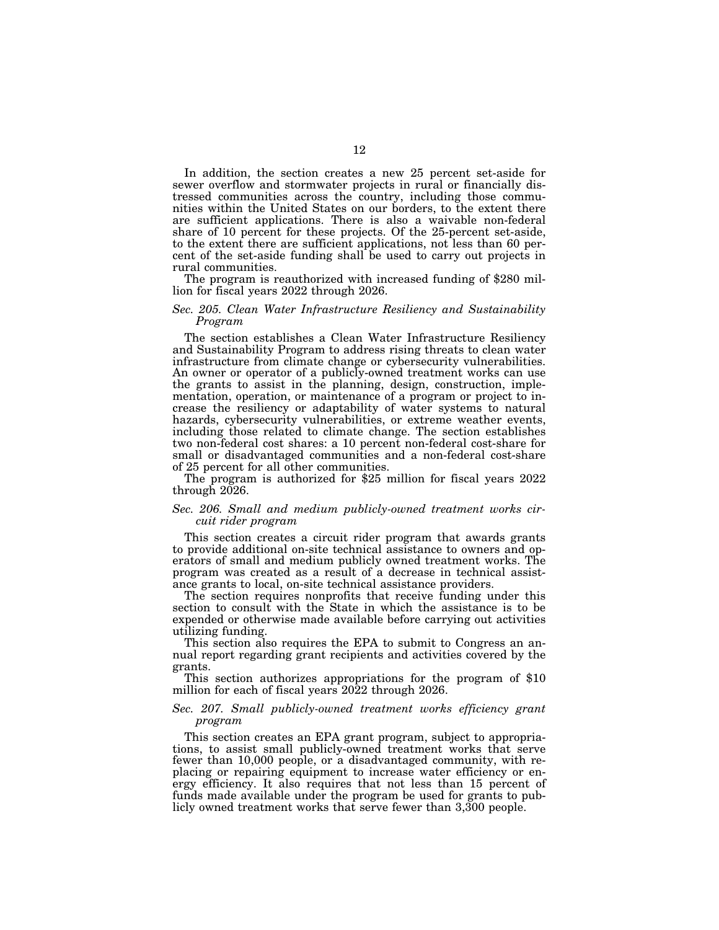In addition, the section creates a new 25 percent set-aside for sewer overflow and stormwater projects in rural or financially distressed communities across the country, including those communities within the United States on our borders, to the extent there are sufficient applications. There is also a waivable non-federal share of 10 percent for these projects. Of the 25-percent set-aside, to the extent there are sufficient applications, not less than 60 percent of the set-aside funding shall be used to carry out projects in rural communities.

The program is reauthorized with increased funding of \$280 million for fiscal years 2022 through 2026.

#### *Sec. 205. Clean Water Infrastructure Resiliency and Sustainability Program*

The section establishes a Clean Water Infrastructure Resiliency and Sustainability Program to address rising threats to clean water infrastructure from climate change or cybersecurity vulnerabilities. An owner or operator of a publicly-owned treatment works can use the grants to assist in the planning, design, construction, implementation, operation, or maintenance of a program or project to increase the resiliency or adaptability of water systems to natural hazards, cybersecurity vulnerabilities, or extreme weather events, including those related to climate change. The section establishes two non-federal cost shares: a 10 percent non-federal cost-share for small or disadvantaged communities and a non-federal cost-share

of 25 percent for all other communities. The program is authorized for \$25 million for fiscal years 2022 through  $2026$ .

#### *Sec. 206. Small and medium publicly-owned treatment works circuit rider program*

This section creates a circuit rider program that awards grants to provide additional on-site technical assistance to owners and operators of small and medium publicly owned treatment works. The program was created as a result of a decrease in technical assistance grants to local, on-site technical assistance providers.

The section requires nonprofits that receive funding under this section to consult with the State in which the assistance is to be expended or otherwise made available before carrying out activities utilizing funding.

This section also requires the EPA to submit to Congress an annual report regarding grant recipients and activities covered by the grants.

This section authorizes appropriations for the program of \$10 million for each of fiscal years 2022 through 2026.

#### *Sec. 207. Small publicly-owned treatment works efficiency grant program*

This section creates an EPA grant program, subject to appropriations, to assist small publicly-owned treatment works that serve fewer than 10,000 people, or a disadvantaged community, with replacing or repairing equipment to increase water efficiency or energy efficiency. It also requires that not less than 15 percent of funds made available under the program be used for grants to publicly owned treatment works that serve fewer than 3,300 people.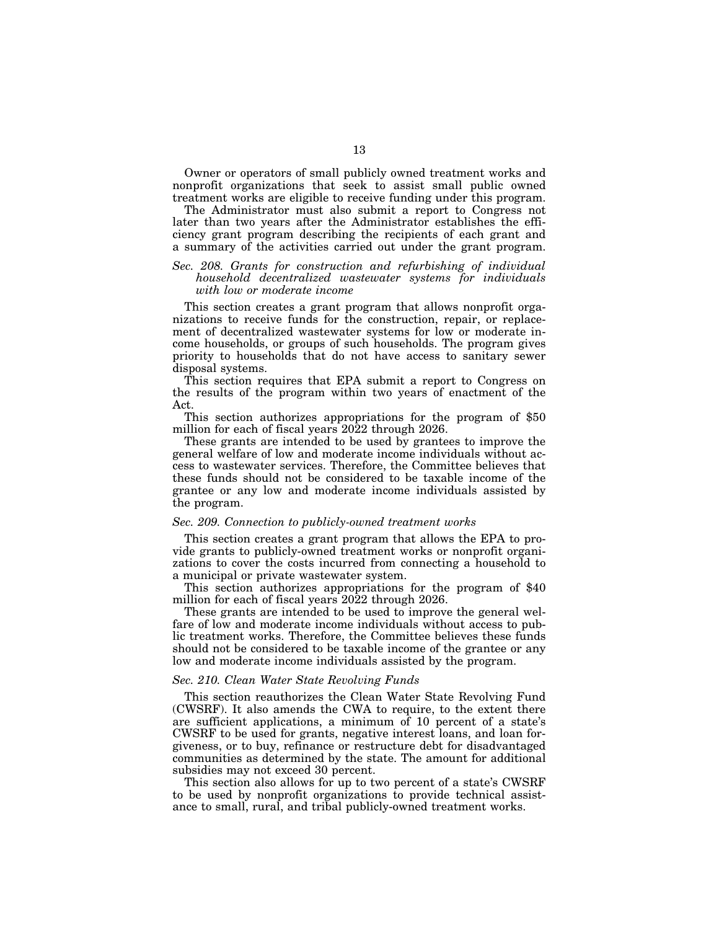Owner or operators of small publicly owned treatment works and nonprofit organizations that seek to assist small public owned treatment works are eligible to receive funding under this program.

The Administrator must also submit a report to Congress not later than two years after the Administrator establishes the efficiency grant program describing the recipients of each grant and a summary of the activities carried out under the grant program.

#### *Sec. 208. Grants for construction and refurbishing of individual household decentralized wastewater systems for individuals with low or moderate income*

This section creates a grant program that allows nonprofit organizations to receive funds for the construction, repair, or replacement of decentralized wastewater systems for low or moderate income households, or groups of such households. The program gives priority to households that do not have access to sanitary sewer disposal systems.

This section requires that EPA submit a report to Congress on the results of the program within two years of enactment of the Act.

This section authorizes appropriations for the program of \$50 million for each of fiscal years 2022 through 2026.

These grants are intended to be used by grantees to improve the general welfare of low and moderate income individuals without access to wastewater services. Therefore, the Committee believes that these funds should not be considered to be taxable income of the grantee or any low and moderate income individuals assisted by the program.

#### *Sec. 209. Connection to publicly-owned treatment works*

This section creates a grant program that allows the EPA to provide grants to publicly-owned treatment works or nonprofit organizations to cover the costs incurred from connecting a household to a municipal or private wastewater system.

This section authorizes appropriations for the program of \$40 million for each of fiscal years 2022 through 2026.

These grants are intended to be used to improve the general welfare of low and moderate income individuals without access to public treatment works. Therefore, the Committee believes these funds should not be considered to be taxable income of the grantee or any low and moderate income individuals assisted by the program.

#### *Sec. 210. Clean Water State Revolving Funds*

This section reauthorizes the Clean Water State Revolving Fund (CWSRF). It also amends the CWA to require, to the extent there are sufficient applications, a minimum of 10 percent of a state's CWSRF to be used for grants, negative interest loans, and loan forgiveness, or to buy, refinance or restructure debt for disadvantaged communities as determined by the state. The amount for additional subsidies may not exceed 30 percent.

This section also allows for up to two percent of a state's CWSRF to be used by nonprofit organizations to provide technical assistance to small, rural, and tribal publicly-owned treatment works.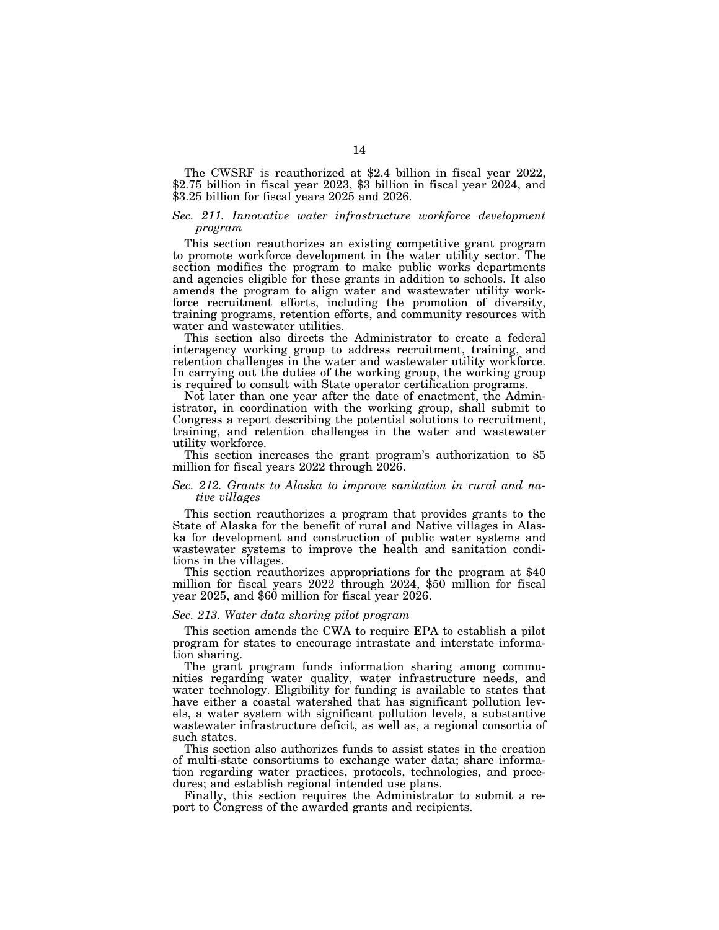The CWSRF is reauthorized at \$2.4 billion in fiscal year 2022, \$2.75 billion in fiscal year 2023, \$3 billion in fiscal year 2024, and \$3.25 billion for fiscal years 2025 and 2026.

#### *Sec. 211. Innovative water infrastructure workforce development program*

This section reauthorizes an existing competitive grant program to promote workforce development in the water utility sector. The section modifies the program to make public works departments and agencies eligible for these grants in addition to schools. It also amends the program to align water and wastewater utility workforce recruitment efforts, including the promotion of diversity, training programs, retention efforts, and community resources with water and wastewater utilities.

This section also directs the Administrator to create a federal interagency working group to address recruitment, training, and retention challenges in the water and wastewater utility workforce. In carrying out the duties of the working group, the working group is required to consult with State operator certification programs.

Not later than one year after the date of enactment, the Administrator, in coordination with the working group, shall submit to Congress a report describing the potential solutions to recruitment, training, and retention challenges in the water and wastewater

This section increases the grant program's authorization to \$5 million for fiscal years 2022 through 2026.

#### *Sec. 212. Grants to Alaska to improve sanitation in rural and native villages*

This section reauthorizes a program that provides grants to the State of Alaska for the benefit of rural and Native villages in Alaska for development and construction of public water systems and wastewater systems to improve the health and sanitation conditions in the villages.

This section reauthorizes appropriations for the program at \$40 million for fiscal years 2022 through 2024, \$50 million for fiscal year 2025, and \$60 million for fiscal year 2026.

#### *Sec. 213. Water data sharing pilot program*

This section amends the CWA to require EPA to establish a pilot program for states to encourage intrastate and interstate information sharing.

The grant program funds information sharing among communities regarding water quality, water infrastructure needs, and water technology. Eligibility for funding is available to states that have either a coastal watershed that has significant pollution levels, a water system with significant pollution levels, a substantive wastewater infrastructure deficit, as well as, a regional consortia of such states.

This section also authorizes funds to assist states in the creation of multi-state consortiums to exchange water data; share information regarding water practices, protocols, technologies, and procedures; and establish regional intended use plans.

Finally, this section requires the Administrator to submit a report to Congress of the awarded grants and recipients.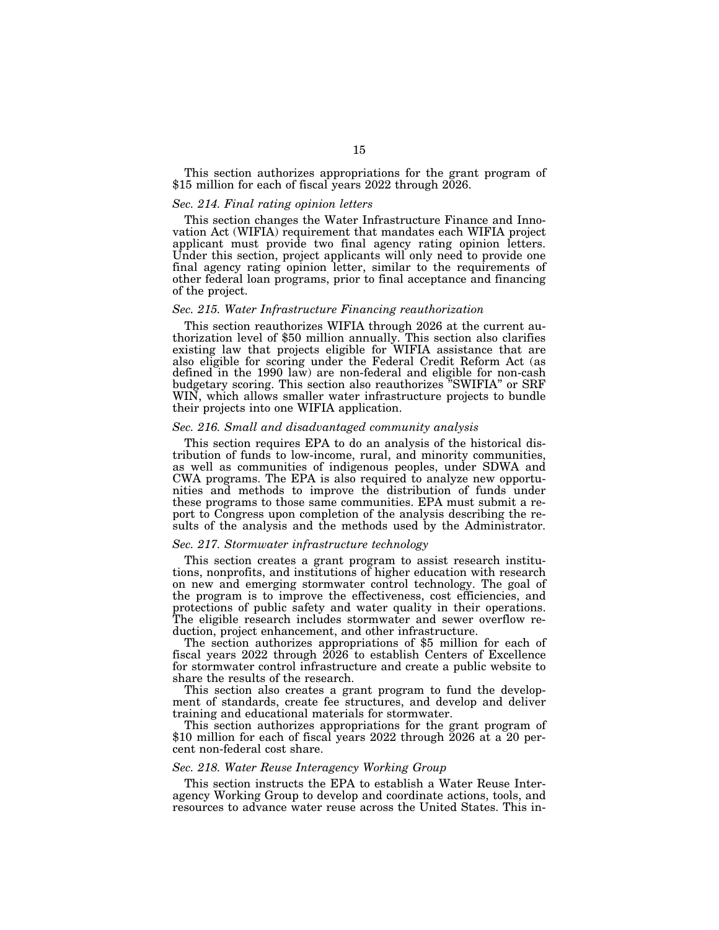This section authorizes appropriations for the grant program of \$15 million for each of fiscal years 2022 through 2026.

#### *Sec. 214. Final rating opinion letters*

This section changes the Water Infrastructure Finance and Innovation Act (WIFIA) requirement that mandates each WIFIA project applicant must provide two final agency rating opinion letters. Under this section, project applicants will only need to provide one final agency rating opinion letter, similar to the requirements of other federal loan programs, prior to final acceptance and financing of the project.

#### *Sec. 215. Water Infrastructure Financing reauthorization*

This section reauthorizes WIFIA through 2026 at the current au- thorization level of \$50 million annually. This section also clarifies existing law that projects eligible for WIFIA assistance that are also eligible for scoring under the Federal Credit Reform Act (as defined in the 1990 law) are non-federal and eligible for non-cash budgetary scoring. This section also reauthorizes ''SWIFIA'' or SRF WIN, which allows smaller water infrastructure projects to bundle their projects into one WIFIA application.

#### *Sec. 216. Small and disadvantaged community analysis*

This section requires EPA to do an analysis of the historical distribution of funds to low-income, rural, and minority communities, as well as communities of indigenous peoples, under SDWA and CWA programs. The EPA is also required to analyze new opportunities and methods to improve the distribution of funds under these programs to those same communities. EPA must submit a report to Congress upon completion of the analysis describing the results of the analysis and the methods used by the Administrator.

#### *Sec. 217. Stormwater infrastructure technology*

This section creates a grant program to assist research institutions, nonprofits, and institutions of higher education with research on new and emerging stormwater control technology. The goal of the program is to improve the effectiveness, cost efficiencies, and protections of public safety and water quality in their operations. The eligible research includes stormwater and sewer overflow reduction, project enhancement, and other infrastructure.

The section authorizes appropriations of \$5 million for each of fiscal years  $2022$  through  $2026$  to establish Centers of Excellence for stormwater control infrastructure and create a public website to share the results of the research.

This section also creates a grant program to fund the development of standards, create fee structures, and develop and deliver training and educational materials for stormwater.

This section authorizes appropriations for the grant program of \$10 million for each of fiscal years 2022 through 2026 at a 20 percent non-federal cost share.

#### *Sec. 218. Water Reuse Interagency Working Group*

This section instructs the EPA to establish a Water Reuse Interagency Working Group to develop and coordinate actions, tools, and resources to advance water reuse across the United States. This in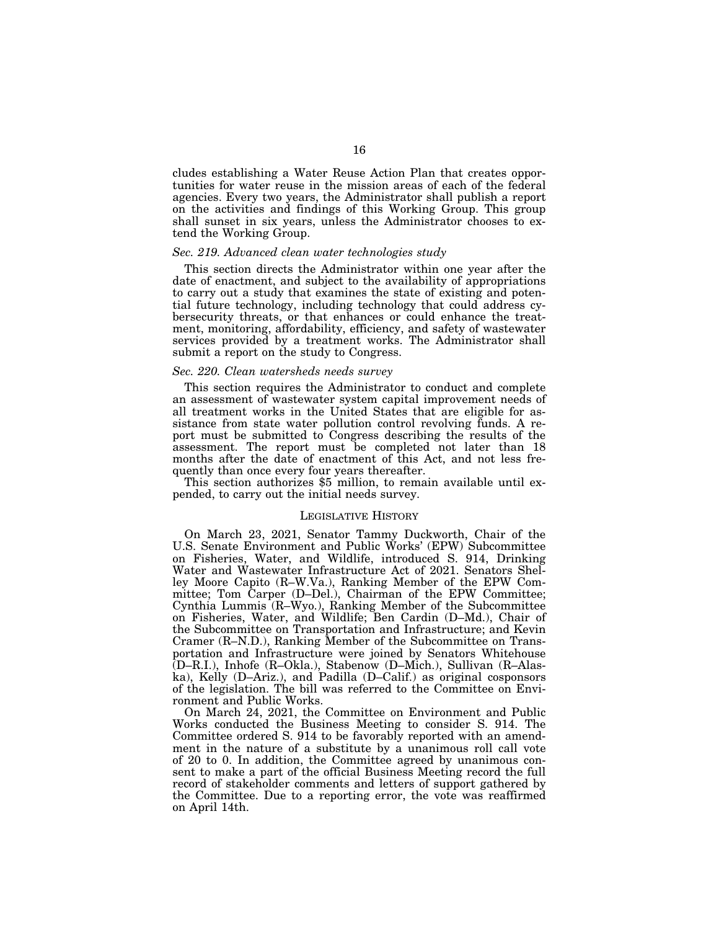cludes establishing a Water Reuse Action Plan that creates opportunities for water reuse in the mission areas of each of the federal agencies. Every two years, the Administrator shall publish a report on the activities and findings of this Working Group. This group shall sunset in six years, unless the Administrator chooses to extend the Working Group.

#### *Sec. 219. Advanced clean water technologies study*

This section directs the Administrator within one year after the date of enactment, and subject to the availability of appropriations to carry out a study that examines the state of existing and potential future technology, including technology that could address cybersecurity threats, or that enhances or could enhance the treatment, monitoring, affordability, efficiency, and safety of wastewater services provided by a treatment works. The Administrator shall submit a report on the study to Congress.

#### *Sec. 220. Clean watersheds needs survey*

This section requires the Administrator to conduct and complete an assessment of wastewater system capital improvement needs of all treatment works in the United States that are eligible for assistance from state water pollution control revolving funds. A report must be submitted to Congress describing the results of the assessment. The report must be completed not later than 18 months after the date of enactment of this Act, and not less frequently than once every four years thereafter.

This section authorizes \$5 million, to remain available until expended, to carry out the initial needs survey.

#### LEGISLATIVE HISTORY

On March 23, 2021, Senator Tammy Duckworth, Chair of the U.S. Senate Environment and Public Works' (EPW) Subcommittee on Fisheries, Water, and Wildlife, introduced S. 914, Drinking Water and Wastewater Infrastructure Act of 2021. Senators Shelley Moore Capito (R–W.Va.), Ranking Member of the EPW Committee; Tom Carper (D–Del.), Chairman of the EPW Committee; Cynthia Lummis (R–Wyo.), Ranking Member of the Subcommittee on Fisheries, Water, and Wildlife; Ben Cardin (D–Md.), Chair of the Subcommittee on Transportation and Infrastructure; and Kevin Cramer (R–N.D.), Ranking Member of the Subcommittee on Transportation and Infrastructure were joined by Senators Whitehouse (D–R.I.), Inhofe (R–Okla.), Stabenow (D–Mich.), Sullivan (R–Alaska), Kelly (D–Ariz.), and Padilla (D–Calif.) as original cosponsors of the legislation. The bill was referred to the Committee on Environment and Public Works.

On March 24, 2021, the Committee on Environment and Public Works conducted the Business Meeting to consider S. 914. The Committee ordered S. 914 to be favorably reported with an amendment in the nature of a substitute by a unanimous roll call vote of 20 to 0. In addition, the Committee agreed by unanimous consent to make a part of the official Business Meeting record the full record of stakeholder comments and letters of support gathered by the Committee. Due to a reporting error, the vote was reaffirmed on April 14th.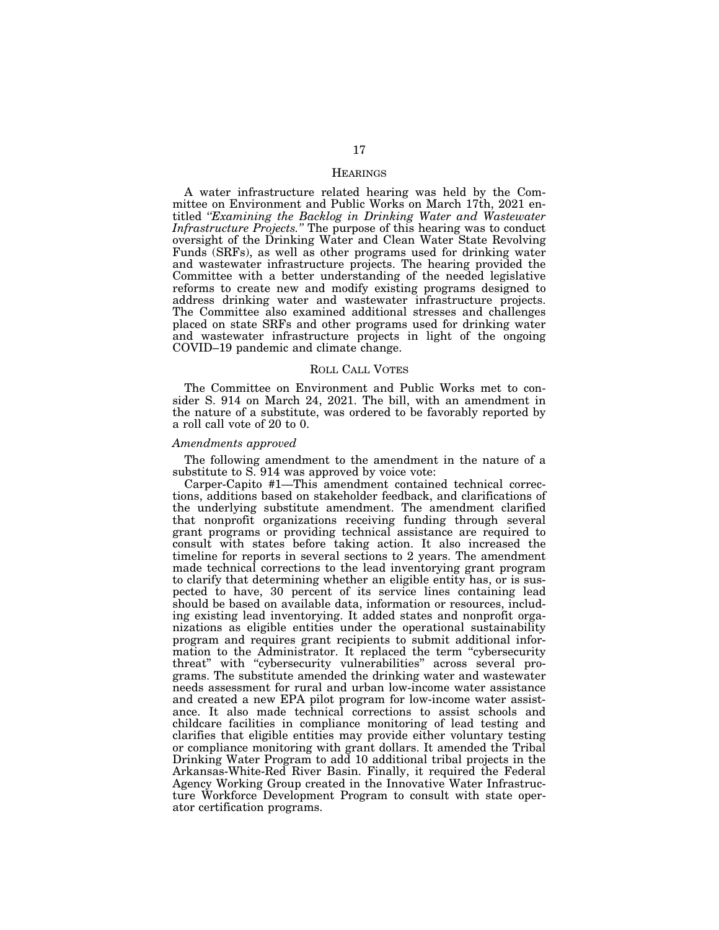#### **HEARINGS**

A water infrastructure related hearing was held by the Committee on Environment and Public Works on March 17th, 2021 entitled '*'Examining the Backlog in Drinking Water and Wastewater Infrastructure Projects.''* The purpose of this hearing was to conduct oversight of the Drinking Water and Clean Water State Revolving Funds (SRFs), as well as other programs used for drinking water and wastewater infrastructure projects. The hearing provided the Committee with a better understanding of the needed legislative reforms to create new and modify existing programs designed to address drinking water and wastewater infrastructure projects. The Committee also examined additional stresses and challenges placed on state SRFs and other programs used for drinking water and wastewater infrastructure projects in light of the ongoing COVID–19 pandemic and climate change.

#### ROLL CALL VOTES

The Committee on Environment and Public Works met to consider S. 914 on March 24, 2021. The bill, with an amendment in the nature of a substitute, was ordered to be favorably reported by a roll call vote of 20 to 0.

#### *Amendments approved*

The following amendment to the amendment in the nature of a substitute to S. 914 was approved by voice vote:

Carper-Capito #1—This amendment contained technical corrections, additions based on stakeholder feedback, and clarifications of the underlying substitute amendment. The amendment clarified that nonprofit organizations receiving funding through several grant programs or providing technical assistance are required to consult with states before taking action. It also increased the timeline for reports in several sections to 2 years. The amendment made technical corrections to the lead inventorying grant program to clarify that determining whether an eligible entity has, or is suspected to have, 30 percent of its service lines containing lead should be based on available data, information or resources, including existing lead inventorying. It added states and nonprofit organizations as eligible entities under the operational sustainability program and requires grant recipients to submit additional information to the Administrator. It replaced the term ''cybersecurity threat'' with ''cybersecurity vulnerabilities'' across several programs. The substitute amended the drinking water and wastewater needs assessment for rural and urban low-income water assistance and created a new EPA pilot program for low-income water assistance. It also made technical corrections to assist schools and childcare facilities in compliance monitoring of lead testing and clarifies that eligible entities may provide either voluntary testing or compliance monitoring with grant dollars. It amended the Tribal Drinking Water Program to add 10 additional tribal projects in the Arkansas-White-Red River Basin. Finally, it required the Federal Agency Working Group created in the Innovative Water Infrastructure Workforce Development Program to consult with state operator certification programs.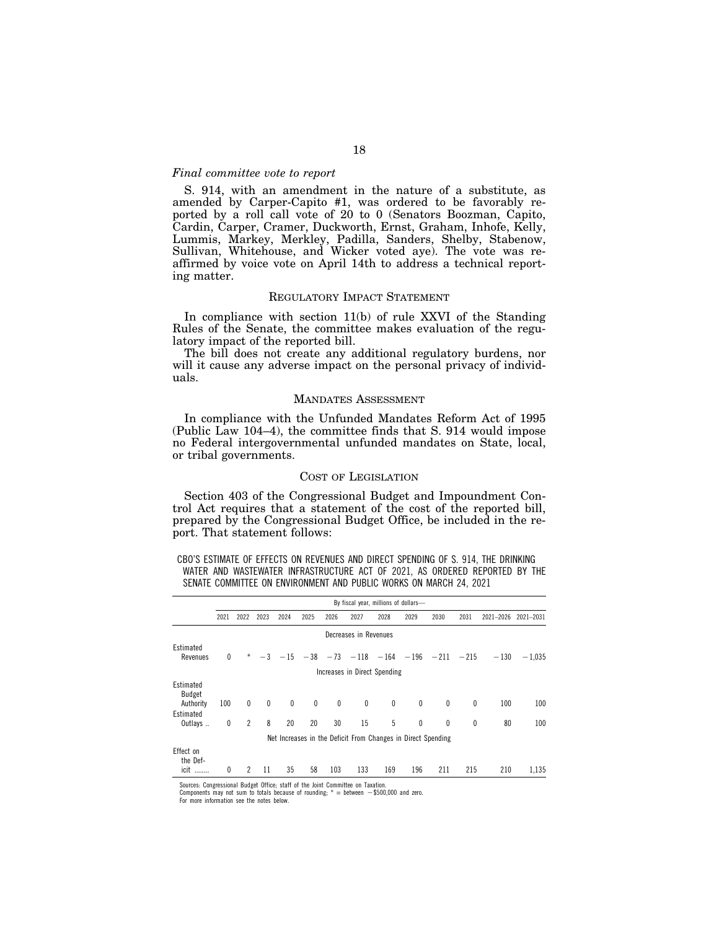#### *Final committee vote to report*

S. 914, with an amendment in the nature of a substitute, as amended by Carper-Capito #1, was ordered to be favorably reported by a roll call vote of 20 to 0 (Senators Boozman, Capito, Cardin, Carper, Cramer, Duckworth, Ernst, Graham, Inhofe, Kelly, Lummis, Markey, Merkley, Padilla, Sanders, Shelby, Stabenow, Sullivan, Whitehouse, and Wicker voted aye). The vote was reaffirmed by voice vote on April 14th to address a technical reporting matter.

#### REGULATORY IMPACT STATEMENT

In compliance with section 11(b) of rule XXVI of the Standing Rules of the Senate, the committee makes evaluation of the regulatory impact of the reported bill.

The bill does not create any additional regulatory burdens, nor will it cause any adverse impact on the personal privacy of individuals.

#### MANDATES ASSESSMENT

In compliance with the Unfunded Mandates Reform Act of 1995 (Public Law 104–4), the committee finds that S. 914 would impose no Federal intergovernmental unfunded mandates on State, local, or tribal governments.

#### COST OF LEGISLATION

Section 403 of the Congressional Budget and Impoundment Control Act requires that a statement of the cost of the reported bill, prepared by the Congressional Budget Office, be included in the report. That statement follows:

CBO'S ESTIMATE OF EFFECTS ON REVENUES AND DIRECT SPENDING OF S. 914, THE DRINKING WATER AND WASTEWATER INFRASTRUCTURE ACT OF 2021, AS ORDERED REPORTED BY THE SENATE COMMITTEE ON ENVIRONMENT AND PUBLIC WORKS ON MARCH 24, 2021

|                                                              | By fiscal year, millions of dollars- |                |              |             |              |              |             |                                                           |              |              |      |           |           |
|--------------------------------------------------------------|--------------------------------------|----------------|--------------|-------------|--------------|--------------|-------------|-----------------------------------------------------------|--------------|--------------|------|-----------|-----------|
|                                                              | 2021                                 | 2022           | 2023         | 2024        | 2025         | 2026         | 2027        | 2028                                                      | 2029         | 2030         | 2031 | 2021-2026 | 2021-2031 |
| Decreases in Revenues                                        |                                      |                |              |             |              |              |             |                                                           |              |              |      |           |           |
| Estimated<br>Revenues                                        | 0                                    | $^\star$       |              |             |              |              |             | $-3$ $-15$ $-38$ $-73$ $-118$ $-164$ $-196$ $-211$ $-215$ |              |              |      | $-130$    | $-1.035$  |
|                                                              | Increases in Direct Spending         |                |              |             |              |              |             |                                                           |              |              |      |           |           |
| Estimated<br>Budget<br>Authority                             | 100                                  | $\mathbf{0}$   | $\mathbf{0}$ | $\mathbf 0$ | $\mathbf{0}$ | $\mathbf{0}$ | $\mathbf 0$ | 0                                                         | $\mathbf{0}$ | $\mathbf{0}$ | 0    | 100       | 100       |
| Estimated<br>Outlays                                         | 0                                    | $\overline{2}$ | 8            | 20          | 20           | 30           | 15          | 5                                                         | $\theta$     | $\theta$     | 0    | 80        | 100       |
| Net Increases in the Deficit From Changes in Direct Spending |                                      |                |              |             |              |              |             |                                                           |              |              |      |           |           |
| Effect on<br>the Def-<br>icit                                | 0                                    | $\mathfrak{p}$ | 11           | 35          | 58           | 103          | 133         | 169                                                       | 196          | 211          | 215  | 210       | 1,135     |

Sources: Congressional Budget Office; staff of the Joint Committee on Taxation.

Components may not sum to totals because of rounding;  $* =$  between  $-$ \$500,000 and zero.

For more information see the notes below.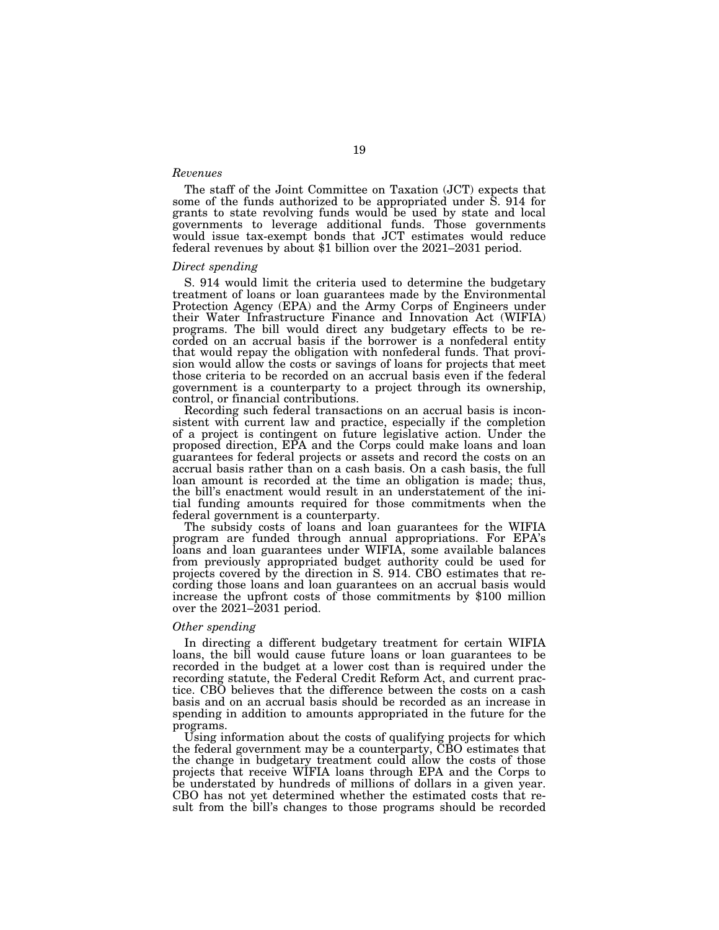#### *Revenues*

The staff of the Joint Committee on Taxation (JCT) expects that some of the funds authorized to be appropriated under S. 914 for grants to state revolving funds would be used by state and local governments to leverage additional funds. Those governments would issue tax-exempt bonds that JCT estimates would reduce federal revenues by about \$1 billion over the 2021–2031 period.

#### *Direct spending*

S. 914 would limit the criteria used to determine the budgetary treatment of loans or loan guarantees made by the Environmental Protection Agency (EPA) and the Army Corps of Engineers under their Water Infrastructure Finance and Innovation Act (WIFIA) programs. The bill would direct any budgetary effects to be recorded on an accrual basis if the borrower is a nonfederal entity that would repay the obligation with nonfederal funds. That provision would allow the costs or savings of loans for projects that meet those criteria to be recorded on an accrual basis even if the federal government is a counterparty to a project through its ownership, control, or financial contributions.

Recording such federal transactions on an accrual basis is inconsistent with current law and practice, especially if the completion of a project is contingent on future legislative action. Under the proposed direction, EPA and the Corps could make loans and loan guarantees for federal projects or assets and record the costs on an accrual basis rather than on a cash basis. On a cash basis, the full loan amount is recorded at the time an obligation is made; thus, the bill's enactment would result in an understatement of the initial funding amounts required for those commitments when the federal government is a counterparty.

The subsidy costs of loans and loan guarantees for the WIFIA program are funded through annual appropriations. For EPA's loans and loan guarantees under WIFIA, some available balances from previously appropriated budget authority could be used for projects covered by the direction in S. 914. CBO estimates that recording those loans and loan guarantees on an accrual basis would increase the upfront costs of those commitments by \$100 million over the 2021–2031 period.

#### *Other spending*

In directing a different budgetary treatment for certain WIFIA loans, the bill would cause future loans or loan guarantees to be recorded in the budget at a lower cost than is required under the recording statute, the Federal Credit Reform Act, and current practice. CBO believes that the difference between the costs on a cash basis and on an accrual basis should be recorded as an increase in spending in addition to amounts appropriated in the future for the programs.

Using information about the costs of qualifying projects for which the federal government may be a counterparty, CBO estimates that the change in budgetary treatment could allow the costs of those projects that receive WIFIA loans through EPA and the Corps to be understated by hundreds of millions of dollars in a given year. CBO has not yet determined whether the estimated costs that result from the bill's changes to those programs should be recorded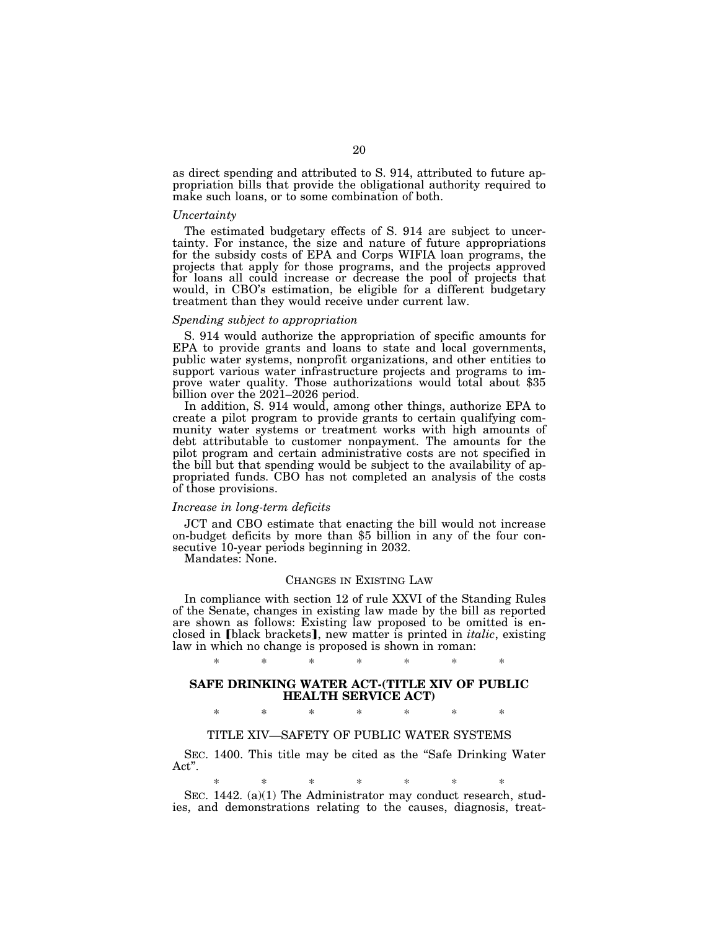as direct spending and attributed to S. 914, attributed to future appropriation bills that provide the obligational authority required to make such loans, or to some combination of both.

#### *Uncertainty*

The estimated budgetary effects of S. 914 are subject to uncertainty. For instance, the size and nature of future appropriations for the subsidy costs of EPA and Corps WIFIA loan programs, the projects that apply for those programs, and the projects approved for loans all could increase or decrease the pool of projects that would, in CBO's estimation, be eligible for a different budgetary treatment than they would receive under current law.

#### *Spending subject to appropriation*

S. 914 would authorize the appropriation of specific amounts for EPA to provide grants and loans to state and local governments, public water systems, nonprofit organizations, and other entities to support various water infrastructure projects and programs to improve water quality. Those authorizations would total about \$35 billion over the 2021–2026 period.

In addition, S. 914 would, among other things, authorize EPA to create a pilot program to provide grants to certain qualifying community water systems or treatment works with high amounts of debt attributable to customer nonpayment. The amounts for the pilot program and certain administrative costs are not specified in the bill but that spending would be subject to the availability of appropriated funds. CBO has not completed an analysis of the costs of those provisions.

#### *Increase in long-term deficits*

JCT and CBO estimate that enacting the bill would not increase on-budget deficits by more than \$5 billion in any of the four consecutive 10-year periods beginning in 2032.

Mandates: None.

#### CHANGES IN EXISTING LAW

In compliance with section 12 of rule XXVI of the Standing Rules of the Senate, changes in existing law made by the bill as reported are shown as follows: Existing law proposed to be omitted is enclosed in **[black brackets]**, new matter is printed in *italic*, existing law in which no change is proposed is shown in roman:

## \* \* \* \* \* \* \*

#### **SAFE DRINKING WATER ACT-(TITLE XIV OF PUBLIC HEALTH SERVICE ACT)**

\* \* \* \* \* \* \*

#### TITLE XIV—SAFETY OF PUBLIC WATER SYSTEMS

SEC. 1400. This title may be cited as the "Safe Drinking Water Act''.

## \* \* \* \* \* \* \*

SEC. 1442. (a)(1) The Administrator may conduct research, studies, and demonstrations relating to the causes, diagnosis, treat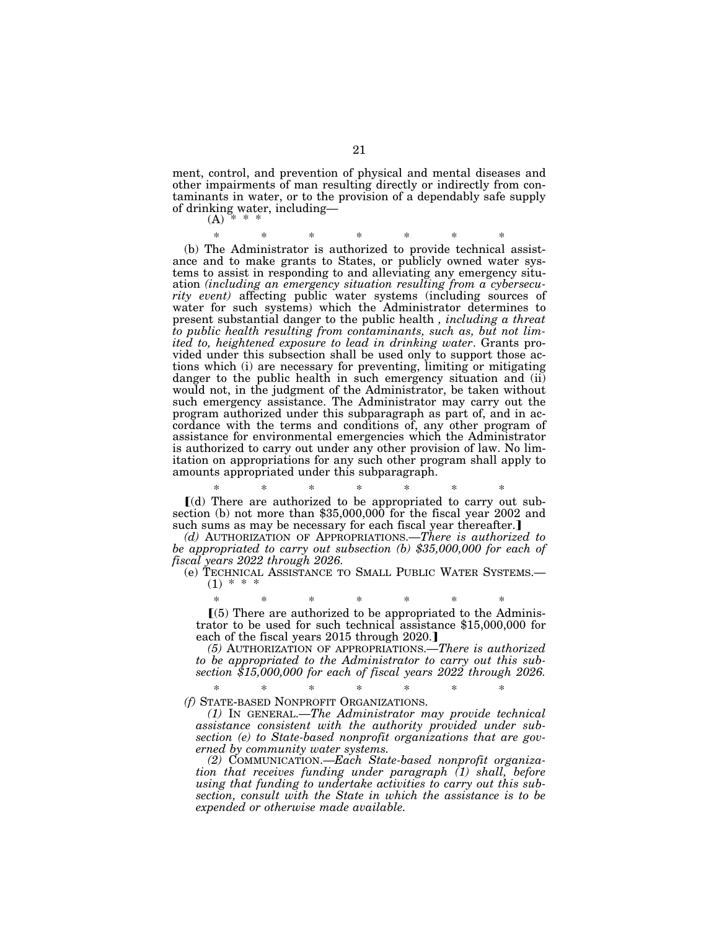ment, control, and prevention of physical and mental diseases and other impairments of man resulting directly or indirectly from contaminants in water, or to the provision of a dependably safe supply of drinking water, including—

 $(A)$ 

\* \* \* \* \* \* \*

(b) The Administrator is authorized to provide technical assistance and to make grants to States, or publicly owned water systems to assist in responding to and alleviating any emergency situation *(including an emergency situation resulting from a cybersecurity event)* affecting public water systems (including sources of water for such systems) which the Administrator determines to present substantial danger to the public health *, including a threat to public health resulting from contaminants, such as, but not limited to, heightened exposure to lead in drinking water*. Grants provided under this subsection shall be used only to support those actions which (i) are necessary for preventing, limiting or mitigating danger to the public health in such emergency situation and (ii) would not, in the judgment of the Administrator, be taken without such emergency assistance. The Administrator may carry out the program authorized under this subparagraph as part of, and in accordance with the terms and conditions of, any other program of assistance for environmental emergencies which the Administrator is authorized to carry out under any other provision of law. No limitation on appropriations for any such other program shall apply to amounts appropriated under this subparagraph.

\* \* \* \* \* \* \* ø(d) There are authorized to be appropriated to carry out subsection (b) not more than \$35,000,000 for the fiscal year 2002 and such sums as may be necessary for each fiscal year thereafter.

*(d)* AUTHORIZATION OF APPROPRIATIONS.—*There is authorized to be appropriated to carry out subsection (b) \$35,000,000 for each of fiscal years 2022 through 2026.* 

(e) TECHNICAL ASSISTANCE TO SMALL PUBLIC WATER SYSTEMS.—  $(1) * *$ 

\* \* \* \* \* \* \*  $(5)$  There are authorized to be appropriated to the Administrator to be used for such technical assistance \$15,000,000 for each of the fiscal years 2015 through 2020.

*(5)* AUTHORIZATION OF APPROPRIATIONS.—*There is authorized to be appropriated to the Administrator to carry out this subsection \$15,000,000 for each of fiscal years 2022 through 2026.* 

\* \* \* \* \* \* \* *(f)* STATE-BASED NONPROFIT ORGANIZATIONS.

*(1)* IN GENERAL.—*The Administrator may provide technical assistance consistent with the authority provided under subsection (e) to State-based nonprofit organizations that are governed by community water systems.* 

*(2)* COMMUNICATION.—*Each State-based nonprofit organization that receives funding under paragraph (1) shall, before using that funding to undertake activities to carry out this subsection, consult with the State in which the assistance is to be expended or otherwise made available.*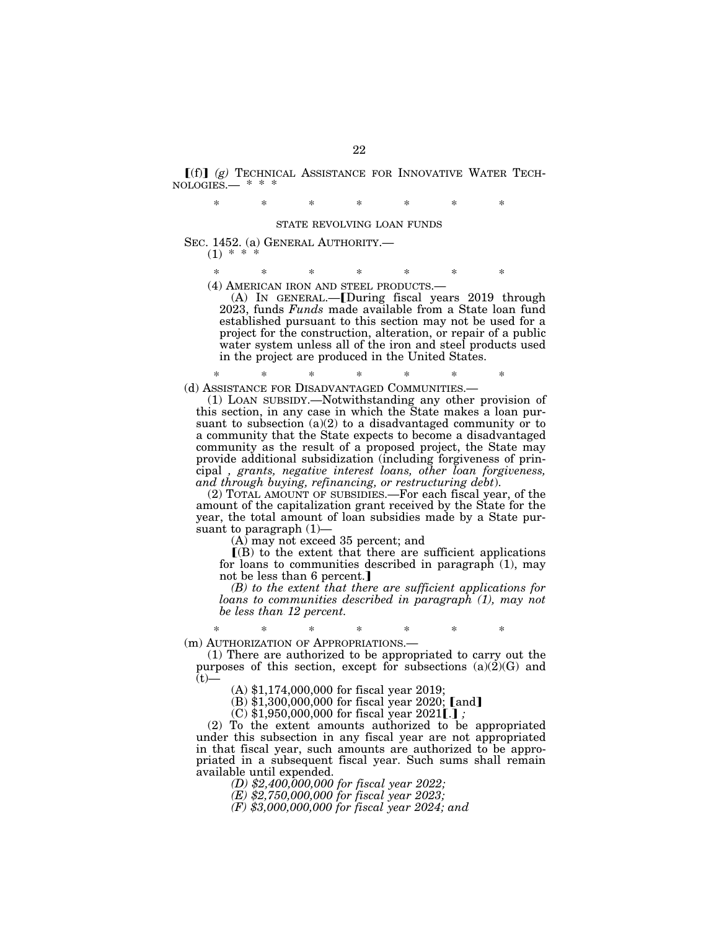$f(f)$  $(g)$  Technical Assistance for Innovative Water Technologies.— \* \* \*

\* \* \* \* \* \* \*

#### STATE REVOLVING LOAN FUNDS

SEC. 1452. (a) GENERAL AUTHORITY.—  $(1)$  \*

\* \* \* \* \* \* \*

(4) AMERICAN IRON AND STEEL PRODUCTS.—

(A) IN GENERAL.-[During fiscal years 2019 through 2023, funds *Funds* made available from a State loan fund established pursuant to this section may not be used for a project for the construction, alteration, or repair of a public water system unless all of the iron and steel products used in the project are produced in the United States.

\* \* \* \* \* \* \* (d) ASSISTANCE FOR DISADVANTAGED COMMUNITIES.—

(1) LOAN SUBSIDY.—Notwithstanding any other provision of this section, in any case in which the State makes a loan pursuant to subsection  $(a)(2)$  to a disadvantaged community or to a community that the State expects to become a disadvantaged community as the result of a proposed project, the State may provide additional subsidization (including forgiveness of principal *, grants, negative interest loans, other loan forgiveness, and through buying, refinancing, or restructuring debt*).

(2) TOTAL AMOUNT OF SUBSIDIES.—For each fiscal year, of the amount of the capitalization grant received by the State for the year, the total amount of loan subsidies made by a State pursuant to paragraph  $(1)$ –

(A) may not exceed 35 percent; and

 $(6)$  to the extent that there are sufficient applications for loans to communities described in paragraph (1), may not be less than 6 percent.]

*(B) to the extent that there are sufficient applications for loans to communities described in paragraph (1), may not be less than 12 percent.* 

\* \* \* \* \* \* \* (m) AUTHORIZATION OF APPROPRIATIONS.—

(1) There are authorized to be appropriated to carry out the purposes of this section, except for subsections  $(a)(2)(G)$  and  $(t)$ —

(A) \$1,174,000,000 for fiscal year 2019;

 $(B)$  \$1,300,000,000 for fiscal year 2020; [and]

 $(C)$  \$1,950,000,000 for fiscal year 2021[.];

(2) To the extent amounts authorized to be appropriated under this subsection in any fiscal year are not appropriated in that fiscal year, such amounts are authorized to be appropriated in a subsequent fiscal year. Such sums shall remain available until expended.

*(D) \$2,400,000,000 for fiscal year 2022;* 

*(E) \$2,750,000,000 for fiscal year 2023;* 

*(F) \$3,000,000,000 for fiscal year 2024; and*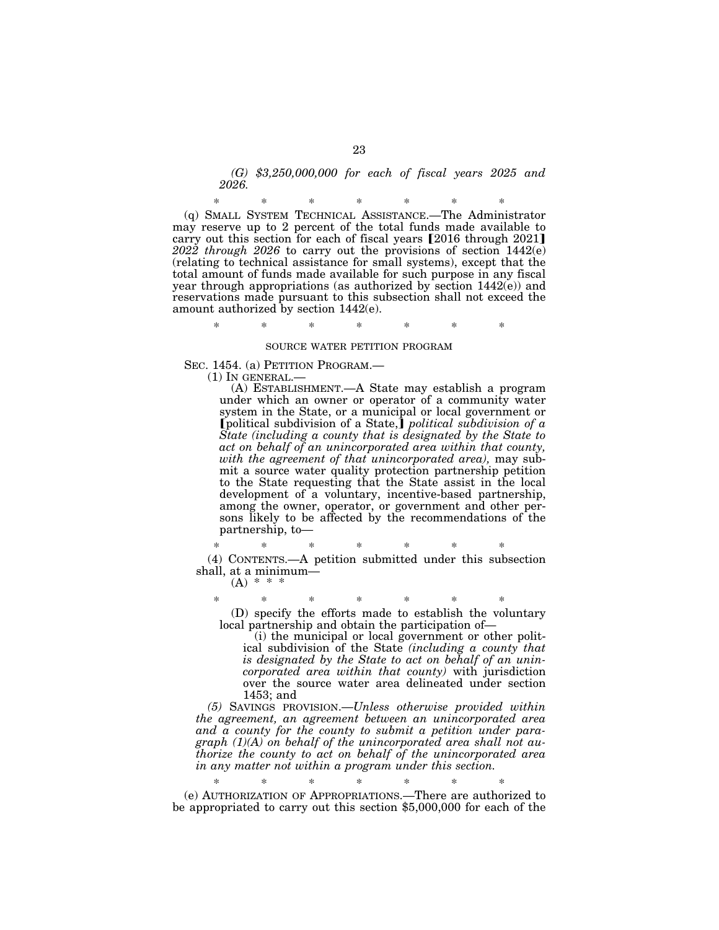*(G) \$3,250,000,000 for each of fiscal years 2025 and 2026.* 

\* \* \* \* \* \* \* (q) SMALL SYSTEM TECHNICAL ASSISTANCE.—The Administrator may reserve up to 2 percent of the total funds made available to carry out this section for each of fiscal years  $[2016$  through  $2021$ *2022 through 2026* to carry out the provisions of section 1442(e) (relating to technical assistance for small systems), except that the total amount of funds made available for such purpose in any fiscal year through appropriations (as authorized by section 1442(e)) and reservations made pursuant to this subsection shall not exceed the amount authorized by section 1442(e).

\* \* \* \* \* \* \*

#### SOURCE WATER PETITION PROGRAM

SEC. 1454. (a) PETITION PROGRAM.—

(1) IN GENERAL.—

(A) ESTABLISHMENT.—A State may establish a program under which an owner or operator of a community water system in the State, or a municipal or local government or **[political subdivision of a State,]** *political subdivision of a State (including a county that is designated by the State to act on behalf of an unincorporated area within that county, with the agreement of that unincorporated area),* may submit a source water quality protection partnership petition to the State requesting that the State assist in the local development of a voluntary, incentive-based partnership, among the owner, operator, or government and other persons likely to be affected by the recommendations of the partnership, to—

\* \* \* \* \* \* \* (4) CONTENTS.—A petition submitted under this subsection shall, at a minimum—

 $(A) *$ 

\* \* \* \* \* \* \* (D) specify the efforts made to establish the voluntary local partnership and obtain the participation of—

(i) the municipal or local government or other political subdivision of the State *(including a county that is designated by the State to act on behalf of an unincorporated area within that county)* with jurisdiction over the source water area delineated under section 1453; and

*(5)* SAVINGS PROVISION.—*Unless otherwise provided within the agreement, an agreement between an unincorporated area and a county for the county to submit a petition under paragraph (1)(A) on behalf of the unincorporated area shall not authorize the county to act on behalf of the unincorporated area in any matter not within a program under this section.* 

\* \* \* \* \* \* \* (e) AUTHORIZATION OF APPROPRIATIONS.—There are authorized to be appropriated to carry out this section \$5,000,000 for each of the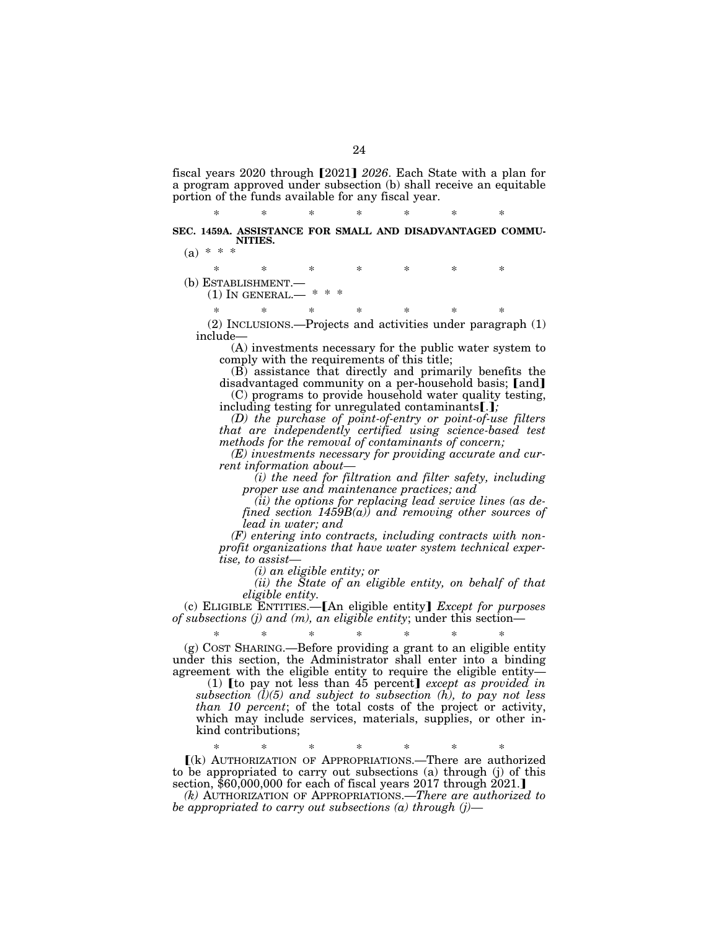fiscal years 2020 through [2021] 2026. Each State with a plan for a program approved under subsection (b) shall receive an equitable portion of the funds available for any fiscal year.

\* \* \* \* \* \* \* **SEC. 1459A. ASSISTANCE FOR SMALL AND DISADVANTAGED COMMU-NITIES.** 

 $(a) * * *$ 

\* \* \* \* \* \* \* (b) ESTABLISHMENT.—  $(1)$  In GENERAL.— \* \* \* \* \* \* \* \*

(2) INCLUSIONS.—Projects and activities under paragraph (1) include—

(A) investments necessary for the public water system to comply with the requirements of this title;

(B) assistance that directly and primarily benefits the disadvantaged community on a per-household basis; [and] (C) programs to provide household water quality testing,

including testing for unregulated contaminants[.*]*;

*(D) the purchase of point-of-entry or point-of-use filters that are independently certified using science-based test methods for the removal of contaminants of concern;* 

*(E) investments necessary for providing accurate and current information about—* 

*(i) the need for filtration and filter safety, including proper use and maintenance practices; and* 

*(ii) the options for replacing lead service lines (as defined section 1459B(a)) and removing other sources of lead in water; and* 

*(F) entering into contracts, including contracts with nonprofit organizations that have water system technical expertise, to assist—* 

*(i) an eligible entity; or* 

*(ii) the State of an eligible entity, on behalf of that eligible entity.* 

(c) ELIGIBLE ENTITIES.<sup>-</sup>[An eligible entity] *Except for purposes of subsections (j) and (m), an eligible entity*; under this section—

\* \* \* \* \* \* \* (g) COST SHARING.—Before providing a grant to an eligible entity under this section, the Administrator shall enter into a binding agreement with the eligible entity to require the eligible entity—

 $(1)$  [to pay not less than 45 percent] *except as provided in subsection (l)(5) and subject to subsection (h), to pay not less than 10 percent*; of the total costs of the project or activity, which may include services, materials, supplies, or other inkind contributions;

\* \* \* \* \* \* \*

ø(k) AUTHORIZATION OF APPROPRIATIONS.—There are authorized to be appropriated to carry out subsections (a) through (j) of this section,  $$60,000,000$  for each of fiscal years 2017 through  $2021$ .

*(k)* AUTHORIZATION OF APPROPRIATIONS.—*There are authorized to be appropriated to carry out subsections (a) through (j)—*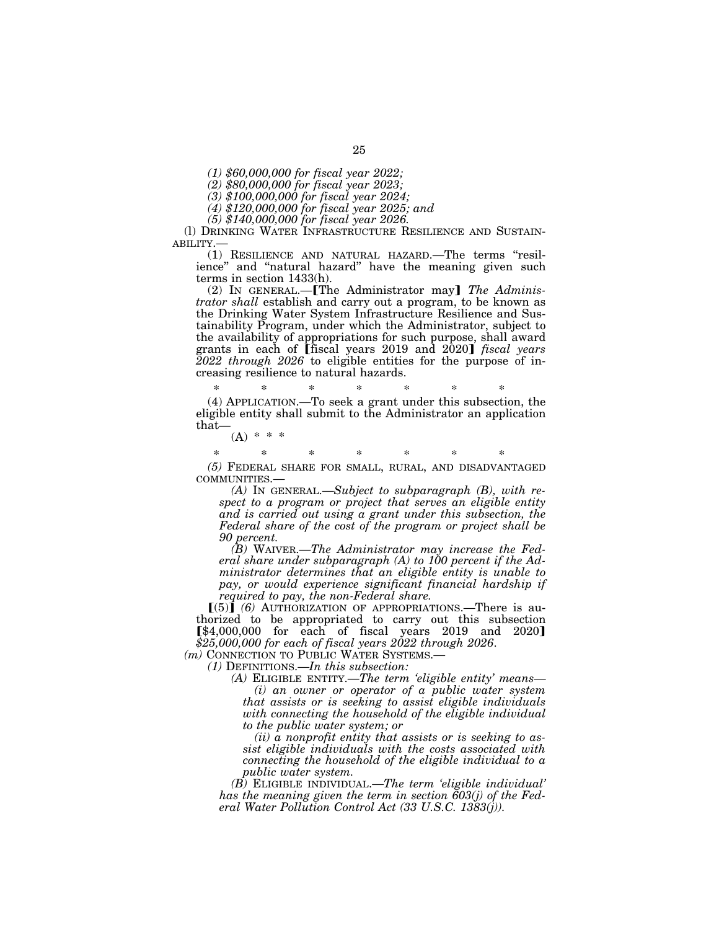*(1) \$60,000,000 for fiscal year 2022;* 

*(2) \$80,000,000 for fiscal year 2023;* 

*(3) \$100,000,000 for fiscal year 2024;* 

*(4) \$120,000,000 for fiscal year 2025; and* 

*(5) \$140,000,000 for fiscal year 2026.* 

(l) DRINKING WATER INFRASTRUCTURE RESILIENCE AND SUSTAIN-ABILITY.—

(1) RESILIENCE AND NATURAL HAZARD.—The terms ''resilience" and "natural hazard" have the meaning given such terms in section 1433(h).

(2) IN GENERAL.—**[The Administrator may]** The Adminis*trator shall* establish and carry out a program, to be known as the Drinking Water System Infrastructure Resilience and Sustainability Program, under which the Administrator, subject to the availability of appropriations for such purpose, shall award grants in each of **[fiscal years 2019** and 2020] *fiscal years 2022 through 2026* to eligible entities for the purpose of increasing resilience to natural hazards.

\* \* \* \* \* \* \* (4) APPLICATION.—To seek a grant under this subsection, the eligible entity shall submit to the Administrator an application that—

 $(A) * * * *$ 

\* \* \* \* \* \* \*

*(5)* FEDERAL SHARE FOR SMALL, RURAL, AND DISADVANTAGED COMMUNITIES.— *(A)* IN GENERAL.—*Subject to subparagraph (B), with re-*

*spect to a program or project that serves an eligible entity and is carried out using a grant under this subsection, the Federal share of the cost of the program or project shall be 90 percent.* 

*(B)* WAIVER.—*The Administrator may increase the Federal share under subparagraph (A) to 100 percent if the Administrator determines that an eligible entity is unable to pay, or would experience significant financial hardship if required to pay, the non-Federal share.* 

 $[(5)]$  (6) AUTHORIZATION OF APPROPRIATIONS.—There is authorized to be appropriated to carry out this subsection  $[\$4,000,000$  for each of fiscal years 2019 and 2020] *\$25,000,000 for each of fiscal years 2022 through 2026*.

*(m)* CONNECTION TO PUBLIC WATER SYSTEMS.—

*(1)* DEFINITIONS.—*In this subsection:* 

*(A)* ELIGIBLE ENTITY.—*The term 'eligible entity' means— (i) an owner or operator of a public water system that assists or is seeking to assist eligible individuals with connecting the household of the eligible individual to the public water system; or* 

*(ii) a nonprofit entity that assists or is seeking to assist eligible individuals with the costs associated with connecting the household of the eligible individual to a public water system.* 

*(B)* ELIGIBLE INDIVIDUAL.—*The term 'eligible individual' has the meaning given the term in section 603(j) of the Federal Water Pollution Control Act (33 U.S.C. 1383(j)).*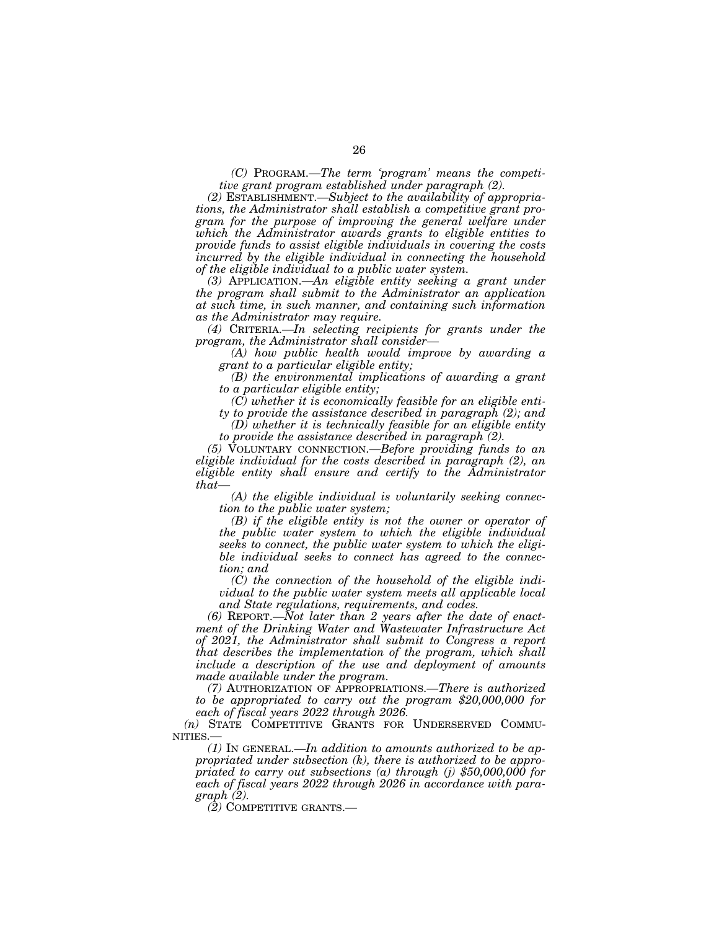*(C)* PROGRAM.—*The term 'program' means the competitive grant program established under paragraph (2).* 

*(2)* ESTABLISHMENT.—*Subject to the availability of appropriations, the Administrator shall establish a competitive grant program for the purpose of improving the general welfare under which the Administrator awards grants to eligible entities to provide funds to assist eligible individuals in covering the costs incurred by the eligible individual in connecting the household of the eligible individual to a public water system.* 

*(3)* APPLICATION.—*An eligible entity seeking a grant under the program shall submit to the Administrator an application at such time, in such manner, and containing such information as the Administrator may require.* 

*(4)* CRITERIA.—*In selecting recipients for grants under the program, the Administrator shall consider—* 

*(A) how public health would improve by awarding a grant to a particular eligible entity;* 

*(B) the environmental implications of awarding a grant to a particular eligible entity;* 

*(C) whether it is economically feasible for an eligible enti-*

*ty to provide the assistance described in paragraph (2); and (D) whether it is technically feasible for an eligible entity* 

*to provide the assistance described in paragraph (2).* 

*(5)* VOLUNTARY CONNECTION.—*Before providing funds to an eligible individual for the costs described in paragraph (2), an eligible entity shall ensure and certify to the Administrator that—* 

*(A) the eligible individual is voluntarily seeking connection to the public water system;* 

*(B) if the eligible entity is not the owner or operator of the public water system to which the eligible individual seeks to connect, the public water system to which the eligible individual seeks to connect has agreed to the connection; and* 

*(C) the connection of the household of the eligible individual to the public water system meets all applicable local and State regulations, requirements, and codes.* 

*(6)* REPORT.—*Not later than 2 years after the date of enactment of the Drinking Water and Wastewater Infrastructure Act of 2021, the Administrator shall submit to Congress a report that describes the implementation of the program, which shall include a description of the use and deployment of amounts made available under the program.* 

*(7)* AUTHORIZATION OF APPROPRIATIONS.—*There is authorized to be appropriated to carry out the program \$20,000,000 for each of fiscal years 2022 through 2026.* 

*(n)* STATE COMPETITIVE GRANTS FOR UNDERSERVED COMMU-NITIES.—

*(1)* IN GENERAL.—*In addition to amounts authorized to be appropriated under subsection (k), there is authorized to be appropriated to carry out subsections (a) through (j) \$50,000,000 for each of fiscal years 2022 through 2026 in accordance with paragraph (2).* 

*(2)* COMPETITIVE GRANTS.—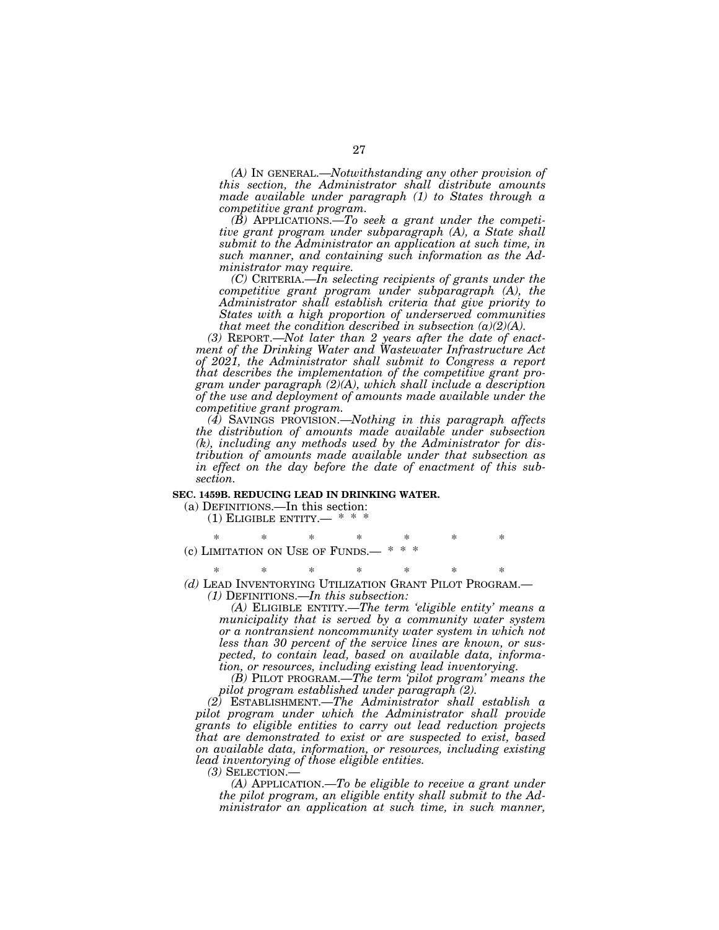*(A)* IN GENERAL.—*Notwithstanding any other provision of this section, the Administrator shall distribute amounts made available under paragraph (1) to States through a competitive grant program.* 

*(B)* APPLICATIONS.—*To seek a grant under the competitive grant program under subparagraph (A), a State shall submit to the Administrator an application at such time, in such manner, and containing such information as the Administrator may require.* 

*(C)* CRITERIA.—*In selecting recipients of grants under the competitive grant program under subparagraph (A), the Administrator shall establish criteria that give priority to States with a high proportion of underserved communities that meet the condition described in subsection (a)(2)(A).* 

*(3)* REPORT.—*Not later than 2 years after the date of enactment of the Drinking Water and Wastewater Infrastructure Act of 2021, the Administrator shall submit to Congress a report that describes the implementation of the competitive grant program under paragraph (2)(A), which shall include a description of the use and deployment of amounts made available under the competitive grant program.* 

*(4)* SAVINGS PROVISION.—*Nothing in this paragraph affects the distribution of amounts made available under subsection (k), including any methods used by the Administrator for distribution of amounts made available under that subsection as in effect on the day before the date of enactment of this subsection.* 

#### **SEC. 1459B. REDUCING LEAD IN DRINKING WATER.**

(a) DEFINITIONS.—In this section:  $(1)$  ELIGIBLE ENTITY.— \* \*

\* \* \* \* \* \* \* (c) LIMITATION ON USE OF FUNDS.

\* \* \* \* \* \* \* *(d)* LEAD INVENTORYING UTILIZATION GRANT PILOT PROGRAM.— *(1)* DEFINITIONS.—*In this subsection:* 

*(A)* ELIGIBLE ENTITY.—*The term 'eligible entity' means a municipality that is served by a community water system or a nontransient noncommunity water system in which not less than 30 percent of the service lines are known, or suspected, to contain lead, based on available data, information, or resources, including existing lead inventorying.* 

*(B)* PILOT PROGRAM.—*The term 'pilot program' means the pilot program established under paragraph (2).* 

*(2)* ESTABLISHMENT.—*The Administrator shall establish a pilot program under which the Administrator shall provide grants to eligible entities to carry out lead reduction projects that are demonstrated to exist or are suspected to exist, based on available data, information, or resources, including existing lead inventorying of those eligible entities.* 

*(3)* SELECTION.— *(A)* APPLICATION.—*To be eligible to receive a grant under the pilot program, an eligible entity shall submit to the Administrator an application at such time, in such manner,*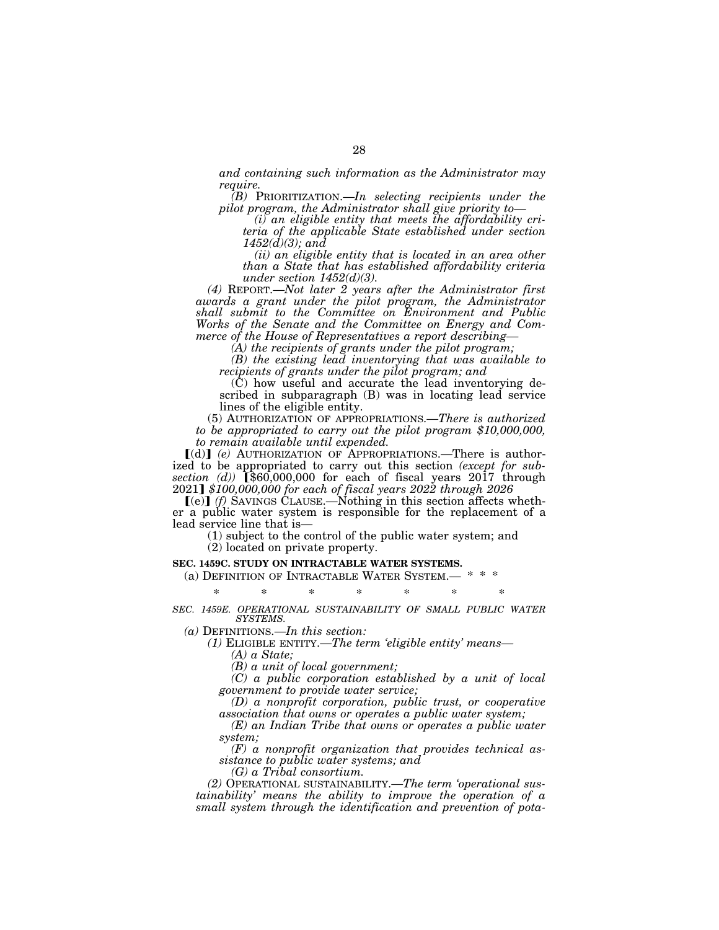*and containing such information as the Administrator may require.* 

*(B)* PRIORITIZATION.—*In selecting recipients under the pilot program, the Administrator shall give priority to—* 

*(i) an eligible entity that meets the affordability criteria of the applicable State established under section 1452(d)(3); and* 

*(ii) an eligible entity that is located in an area other than a State that has established affordability criteria under section 1452(d)(3).* 

*(4)* REPORT.—*Not later 2 years after the Administrator first awards a grant under the pilot program, the Administrator shall submit to the Committee on Environment and Public Works of the Senate and the Committee on Energy and Commerce of the House of Representatives a report describing—* 

*(A) the recipients of grants under the pilot program;* 

*(B) the existing lead inventorying that was available to recipients of grants under the pilot program; and* 

(C) how useful and accurate the lead inventorying described in subparagraph (B) was in locating lead service lines of the eligible entity.

(5) AUTHORIZATION OF APPROPRIATIONS.—*There is authorized to be appropriated to carry out the pilot program \$10,000,000, to remain available until expended.* 

ø(d)¿ *(e)* AUTHORIZATION OF APPROPRIATIONS.—There is authorized to be appropriated to carry out this section *(except for subsection (d))* (§60,000,000 for each of fiscal years 2017 through 2021¿ *\$100,000,000 for each of fiscal years 2022 through 2026* 

 $[(e)]$  (f) SAVINGS CLAUSE.—Nothing in this section affects whether a public water system is responsible for the replacement of a lead service line that is—

(1) subject to the control of the public water system; and

(2) located on private property.

#### **SEC. 1459C. STUDY ON INTRACTABLE WATER SYSTEMS.**

(a) DEFINITION OF INTRACTABLE WATER SYSTEM.-

\* \* \* \* \* \* \*

*SEC. 1459E. OPERATIONAL SUSTAINABILITY OF SMALL PUBLIC WATER SYSTEMS.* 

*(a)* DEFINITIONS.—*In this section:* 

*(1)* ELIGIBLE ENTITY.—*The term 'eligible entity' means—* 

*(A) a State;* 

*(B) a unit of local government;* 

*(C) a public corporation established by a unit of local government to provide water service;* 

*(D) a nonprofit corporation, public trust, or cooperative association that owns or operates a public water system;* 

*(E) an Indian Tribe that owns or operates a public water system;* 

*(F) a nonprofit organization that provides technical assistance to public water systems; and* 

*(G) a Tribal consortium.* 

*(2)* OPERATIONAL SUSTAINABILITY.—*The term 'operational sustainability' means the ability to improve the operation of a small system through the identification and prevention of pota-*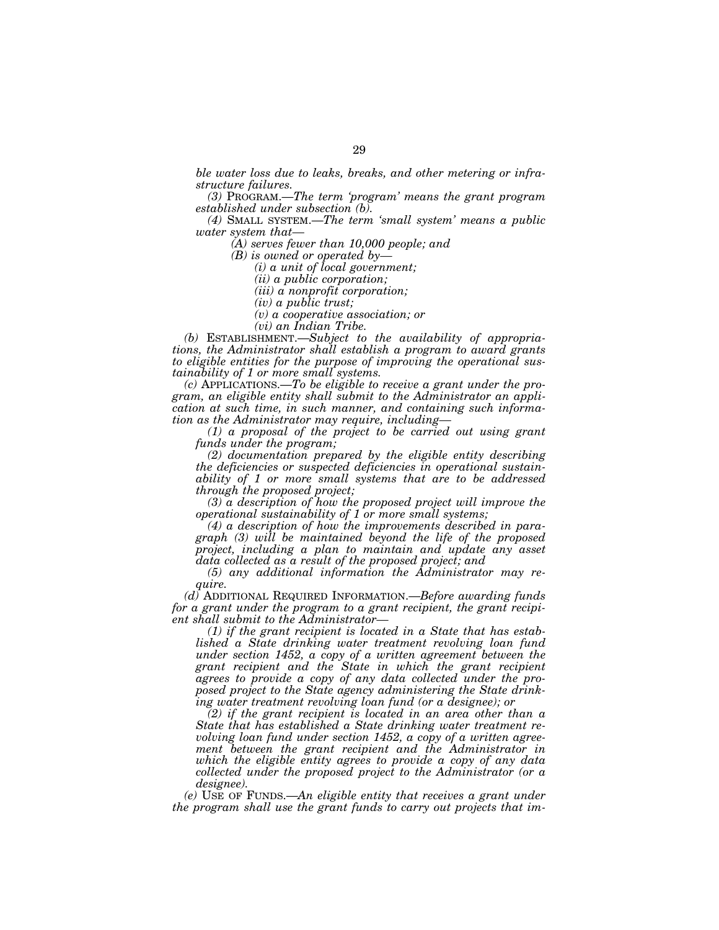*ble water loss due to leaks, breaks, and other metering or infrastructure failures.* 

*(3)* PROGRAM.—*The term 'program' means the grant program established under subsection (b).* 

*(4)* SMALL SYSTEM.—*The term 'small system' means a public water system that—* 

*(A) serves fewer than 10,000 people; and* 

*(B) is owned or operated by—* 

*(i) a unit of local government;* 

*(ii) a public corporation;* 

*(iii) a nonprofit corporation;* 

*(iv) a public trust;* 

*(v) a cooperative association; or* 

*(vi) an Indian Tribe.* 

*(b)* ESTABLISHMENT.—*Subject to the availability of appropriations, the Administrator shall establish a program to award grants to eligible entities for the purpose of improving the operational sustainability of 1 or more small systems.* 

*(c)* APPLICATIONS.—*To be eligible to receive a grant under the program, an eligible entity shall submit to the Administrator an application at such time, in such manner, and containing such information as the Administrator may require, including—* 

*(1) a proposal of the project to be carried out using grant funds under the program;* 

*(2) documentation prepared by the eligible entity describing the deficiencies or suspected deficiencies in operational sustainability of 1 or more small systems that are to be addressed through the proposed project;* 

*(3) a description of how the proposed project will improve the operational sustainability of 1 or more small systems;* 

*(4) a description of how the improvements described in paragraph (3) will be maintained beyond the life of the proposed project, including a plan to maintain and update any asset data collected as a result of the proposed project; and* 

*(5) any additional information the Administrator may require.* 

*(d)* ADDITIONAL REQUIRED INFORMATION.—*Before awarding funds for a grant under the program to a grant recipient, the grant recipient shall submit to the Administrator—* 

*(1) if the grant recipient is located in a State that has established a State drinking water treatment revolving loan fund under section 1452, a copy of a written agreement between the grant recipient and the State in which the grant recipient agrees to provide a copy of any data collected under the proposed project to the State agency administering the State drinking water treatment revolving loan fund (or a designee); or* 

*(2) if the grant recipient is located in an area other than a State that has established a State drinking water treatment revolving loan fund under section 1452, a copy of a written agreement between the grant recipient and the Administrator in which the eligible entity agrees to provide a copy of any data collected under the proposed project to the Administrator (or a designee).* 

*(e)* USE OF FUNDS.—*An eligible entity that receives a grant under the program shall use the grant funds to carry out projects that im-*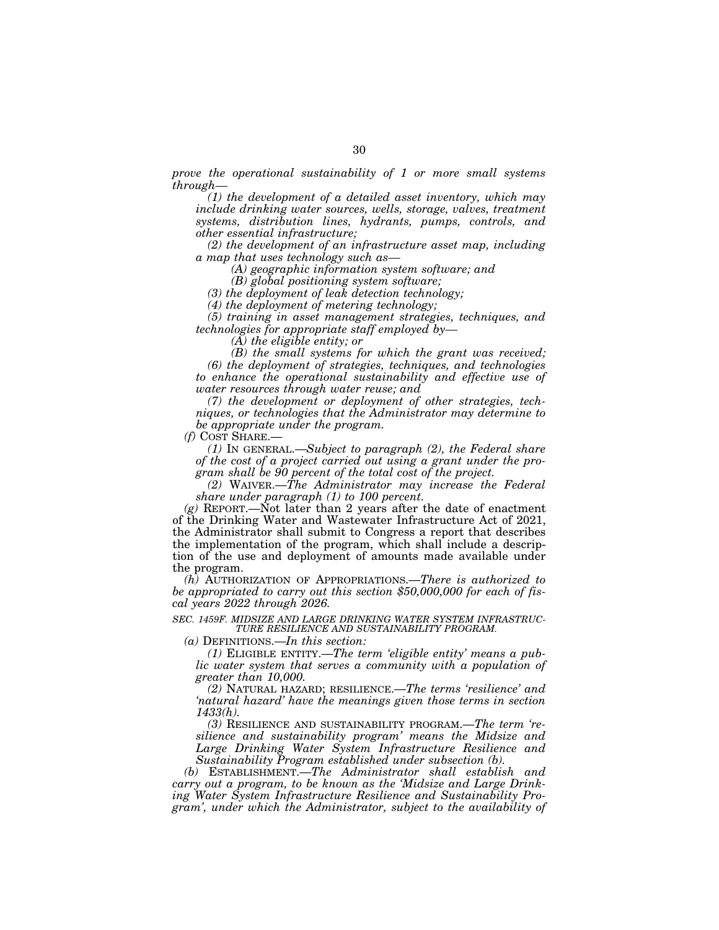*prove the operational sustainability of 1 or more small systems through—* 

*(1) the development of a detailed asset inventory, which may include drinking water sources, wells, storage, valves, treatment systems, distribution lines, hydrants, pumps, controls, and other essential infrastructure;* 

*(2) the development of an infrastructure asset map, including a map that uses technology such as—* 

*(A) geographic information system software; and* 

*(B) global positioning system software;* 

*(3) the deployment of leak detection technology;* 

*(4) the deployment of metering technology;* 

*(5) training in asset management strategies, techniques, and technologies for appropriate staff employed by—* 

*(A) the eligible entity; or* 

*(B) the small systems for which the grant was received; (6) the deployment of strategies, techniques, and technologies to enhance the operational sustainability and effective use of water resources through water reuse; and* 

*(7) the development or deployment of other strategies, techniques, or technologies that the Administrator may determine to be appropriate under the program.* 

*(f)* COST SHARE.—

*(1)* IN GENERAL.—*Subject to paragraph (2), the Federal share of the cost of a project carried out using a grant under the program shall be 90 percent of the total cost of the project.* 

*(2)* WAIVER.—*The Administrator may increase the Federal share under paragraph (1) to 100 percent.* 

*(g)* REPORT.—Not later than 2 years after the date of enactment of the Drinking Water and Wastewater Infrastructure Act of 2021, the Administrator shall submit to Congress a report that describes the implementation of the program, which shall include a description of the use and deployment of amounts made available under the program.

*(h)* AUTHORIZATION OF APPROPRIATIONS.—*There is authorized to be appropriated to carry out this section \$50,000,000 for each of fiscal years 2022 through 2026.* 

*SEC. 1459F. MIDSIZE AND LARGE DRINKING WATER SYSTEM INFRASTRUC-TURE RESILIENCE AND SUSTAINABILITY PROGRAM.* 

*(a)* DEFINITIONS.—*In this section:* 

*(1)* ELIGIBLE ENTITY.—*The term 'eligible entity' means a public water system that serves a community with a population of greater than 10,000.* 

*(2)* NATURAL HAZARD; RESILIENCE.—*The terms 'resilience' and 'natural hazard' have the meanings given those terms in section 1433(h).* 

*(3)* RESILIENCE AND SUSTAINABILITY PROGRAM.—*The term 'resilience and sustainability program' means the Midsize and Large Drinking Water System Infrastructure Resilience and Sustainability Program established under subsection (b).* 

*(b)* ESTABLISHMENT.—*The Administrator shall establish and carry out a program, to be known as the 'Midsize and Large Drinking Water System Infrastructure Resilience and Sustainability Program', under which the Administrator, subject to the availability of*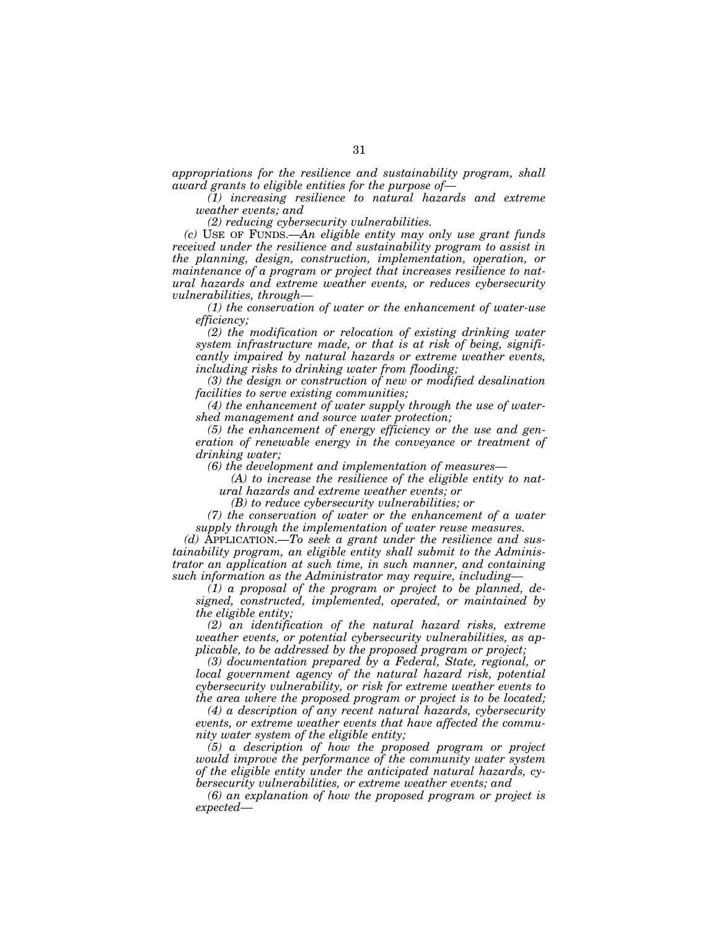*appropriations for the resilience and sustainability program, shall award grants to eligible entities for the purpose of—* 

*(1) increasing resilience to natural hazards and extreme weather events; and* 

*(2) reducing cybersecurity vulnerabilities.* 

*(c)* USE OF FUNDS.—*An eligible entity may only use grant funds received under the resilience and sustainability program to assist in the planning, design, construction, implementation, operation, or maintenance of a program or project that increases resilience to natural hazards and extreme weather events, or reduces cybersecurity vulnerabilities, through—* 

*(1) the conservation of water or the enhancement of water-use efficiency;* 

*(2) the modification or relocation of existing drinking water system infrastructure made, or that is at risk of being, significantly impaired by natural hazards or extreme weather events, including risks to drinking water from flooding;* 

*(3) the design or construction of new or modified desalination facilities to serve existing communities;* 

*(4) the enhancement of water supply through the use of watershed management and source water protection;* 

*(5) the enhancement of energy efficiency or the use and generation of renewable energy in the conveyance or treatment of drinking water;* 

*(6) the development and implementation of measures—* 

*(A) to increase the resilience of the eligible entity to nat-*

*ural hazards and extreme weather events; or* 

*(B) to reduce cybersecurity vulnerabilities; or* 

*(7) the conservation of water or the enhancement of a water supply through the implementation of water reuse measures.* 

*(d)* APPLICATION.—*To seek a grant under the resilience and sustainability program, an eligible entity shall submit to the Administrator an application at such time, in such manner, and containing such information as the Administrator may require, including—* 

*(1) a proposal of the program or project to be planned, designed, constructed, implemented, operated, or maintained by the eligible entity;* 

*(2) an identification of the natural hazard risks, extreme weather events, or potential cybersecurity vulnerabilities, as applicable, to be addressed by the proposed program or project;* 

*(3) documentation prepared by a Federal, State, regional, or local government agency of the natural hazard risk, potential cybersecurity vulnerability, or risk for extreme weather events to the area where the proposed program or project is to be located;* 

*(4) a description of any recent natural hazards, cybersecurity events, or extreme weather events that have affected the community water system of the eligible entity;* 

*(5) a description of how the proposed program or project would improve the performance of the community water system of the eligible entity under the anticipated natural hazards, cybersecurity vulnerabilities, or extreme weather events; and* 

*(6) an explanation of how the proposed program or project is expected—*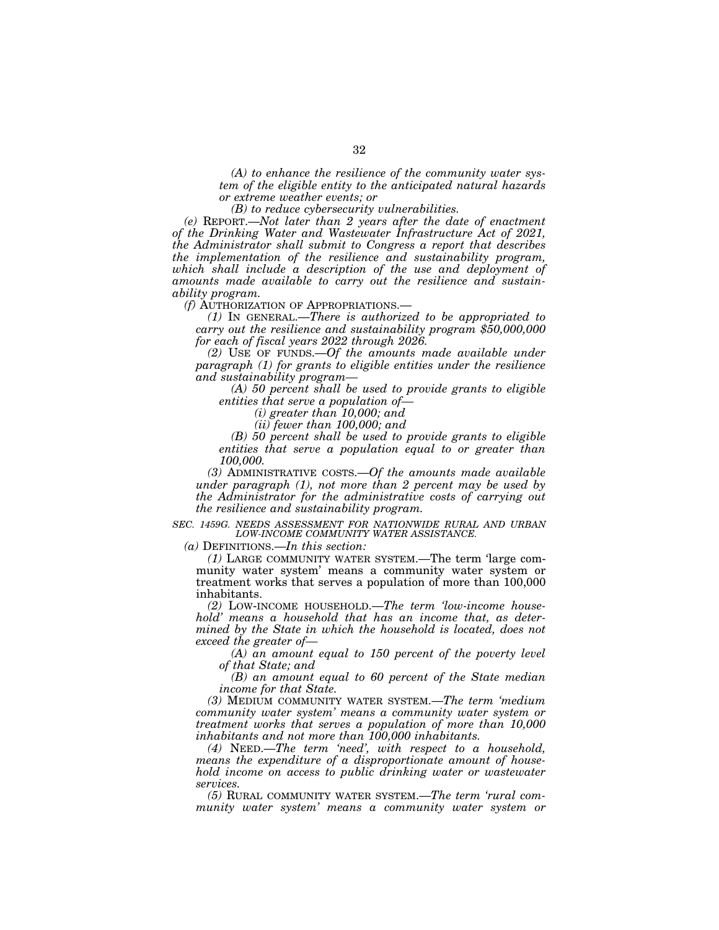*(A) to enhance the resilience of the community water system of the eligible entity to the anticipated natural hazards or extreme weather events; or* 

*(B) to reduce cybersecurity vulnerabilities.* 

*(e)* REPORT.—*Not later than 2 years after the date of enactment of the Drinking Water and Wastewater Infrastructure Act of 2021, the Administrator shall submit to Congress a report that describes the implementation of the resilience and sustainability program, which shall include a description of the use and deployment of amounts made available to carry out the resilience and sustainability program.* 

*(f)* AUTHORIZATION OF APPROPRIATIONS.—

*(1)* IN GENERAL.—*There is authorized to be appropriated to carry out the resilience and sustainability program \$50,000,000 for each of fiscal years 2022 through 2026.* 

*(2)* USE OF FUNDS.—*Of the amounts made available under paragraph (1) for grants to eligible entities under the resilience and sustainability program—* 

*(A) 50 percent shall be used to provide grants to eligible entities that serve a population of—* 

*(i) greater than 10,000; and* 

*(ii) fewer than 100,000; and* 

*(B) 50 percent shall be used to provide grants to eligible entities that serve a population equal to or greater than 100,000.* 

*(3)* ADMINISTRATIVE COSTS.—*Of the amounts made available under paragraph (1), not more than 2 percent may be used by the Administrator for the administrative costs of carrying out the resilience and sustainability program.* 

*SEC. 1459G. NEEDS ASSESSMENT FOR NATIONWIDE RURAL AND URBAN LOW-INCOME COMMUNITY WATER ASSISTANCE.* 

*(a)* DEFINITIONS.—*In this section:* 

*(1)* LARGE COMMUNITY WATER SYSTEM.—The term 'large community water system' means a community water system or treatment works that serves a population of more than 100,000 inhabitants.

*(2)* LOW-INCOME HOUSEHOLD.—*The term 'low-income household' means a household that has an income that, as determined by the State in which the household is located, does not exceed the greater of—* 

*(A) an amount equal to 150 percent of the poverty level of that State; and* 

*(B) an amount equal to 60 percent of the State median income for that State.* 

*(3)* MEDIUM COMMUNITY WATER SYSTEM.—*The term 'medium community water system' means a community water system or treatment works that serves a population of more than 10,000 inhabitants and not more than 100,000 inhabitants.* 

*(4)* NEED.—*The term 'need', with respect to a household, means the expenditure of a disproportionate amount of household income on access to public drinking water or wastewater services.* 

*(5)* RURAL COMMUNITY WATER SYSTEM.—*The term 'rural community water system' means a community water system or*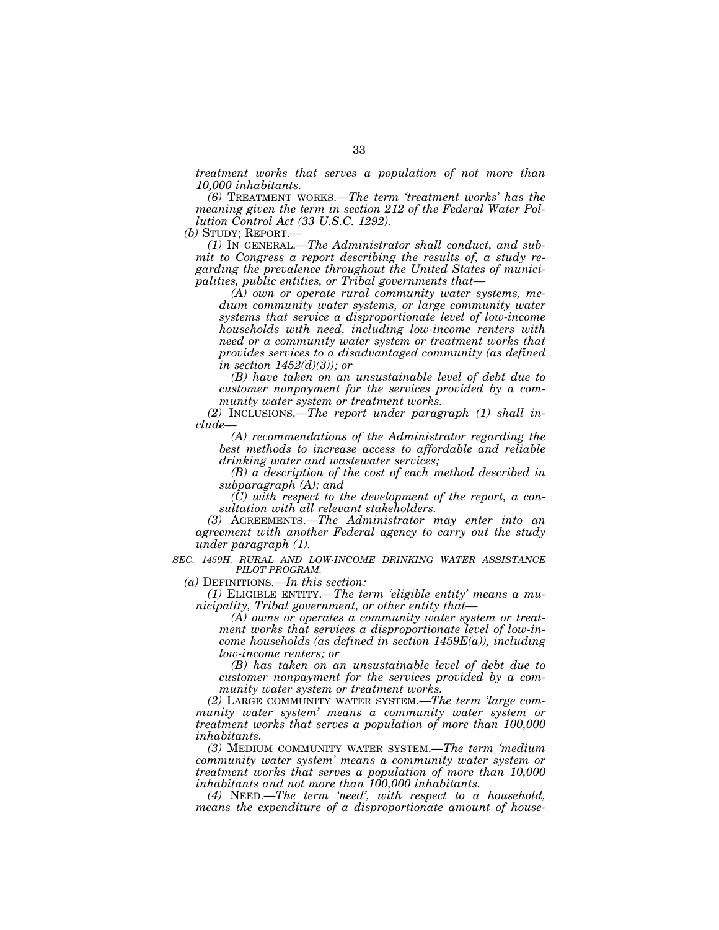*treatment works that serves a population of not more than 10,000 inhabitants.* 

*(6)* TREATMENT WORKS.—*The term 'treatment works' has the meaning given the term in section 212 of the Federal Water Pollution Control Act (33 U.S.C. 1292).* 

*(b)* STUDY; REPORT.—

*(1)* IN GENERAL.—*The Administrator shall conduct, and submit to Congress a report describing the results of, a study regarding the prevalence throughout the United States of municipalities, public entities, or Tribal governments that—* 

*(A) own or operate rural community water systems, medium community water systems, or large community water systems that service a disproportionate level of low-income households with need, including low-income renters with need or a community water system or treatment works that provides services to a disadvantaged community (as defined in section 1452(d)(3)); or* 

*(B) have taken on an unsustainable level of debt due to customer nonpayment for the services provided by a community water system or treatment works.* 

*(2)* INCLUSIONS.—*The report under paragraph (1) shall include—* 

*(A) recommendations of the Administrator regarding the best methods to increase access to affordable and reliable drinking water and wastewater services;* 

*(B) a description of the cost of each method described in subparagraph (A); and* 

*(C) with respect to the development of the report, a consultation with all relevant stakeholders.* 

*(3)* AGREEMENTS.—*The Administrator may enter into an agreement with another Federal agency to carry out the study under paragraph (1).* 

*SEC. 1459H. RURAL AND LOW-INCOME DRINKING WATER ASSISTANCE PILOT PROGRAM.* 

*(a)* DEFINITIONS.—*In this section:* 

*(1)* ELIGIBLE ENTITY.—*The term 'eligible entity' means a municipality, Tribal government, or other entity that—* 

*(A) owns or operates a community water system or treatment works that services a disproportionate level of low-income households (as defined in section 1459E(a)), including low-income renters; or* 

*(B) has taken on an unsustainable level of debt due to customer nonpayment for the services provided by a community water system or treatment works.* 

*(2)* LARGE COMMUNITY WATER SYSTEM.—*The term 'large community water system' means a community water system or treatment works that serves a population of more than 100,000 inhabitants.* 

*(3)* MEDIUM COMMUNITY WATER SYSTEM.—*The term 'medium community water system' means a community water system or treatment works that serves a population of more than 10,000 inhabitants and not more than 100,000 inhabitants.* 

*(4)* NEED.—*The term 'need', with respect to a household, means the expenditure of a disproportionate amount of house-*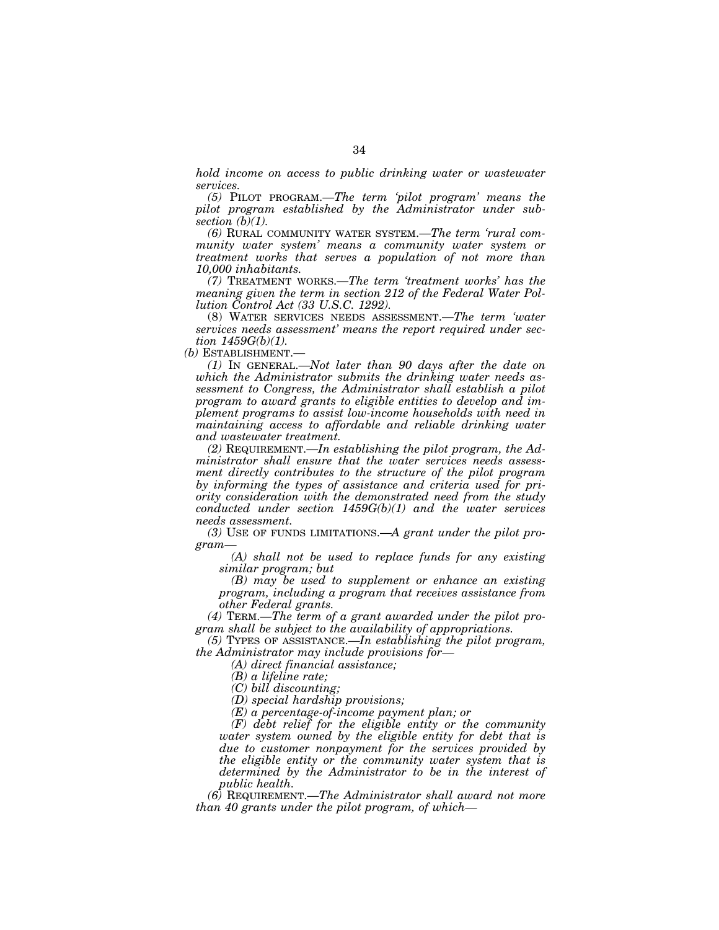*hold income on access to public drinking water or wastewater services.* 

*(5)* PILOT PROGRAM.—*The term 'pilot program' means the pilot program established by the Administrator under subsection (b)(1).* 

*(6)* RURAL COMMUNITY WATER SYSTEM.—*The term 'rural community water system' means a community water system or treatment works that serves a population of not more than 10,000 inhabitants.* 

*(7)* TREATMENT WORKS.—*The term 'treatment works' has the meaning given the term in section 212 of the Federal Water Pollution Control Act (33 U.S.C. 1292).* 

(8) WATER SERVICES NEEDS ASSESSMENT.—*The term 'water services needs assessment' means the report required under section 1459G(b)(1).* 

*(b)* ESTABLISHMENT.—

*(1)* IN GENERAL.—*Not later than 90 days after the date on which the Administrator submits the drinking water needs assessment to Congress, the Administrator shall establish a pilot program to award grants to eligible entities to develop and implement programs to assist low-income households with need in maintaining access to affordable and reliable drinking water and wastewater treatment.* 

*(2)* REQUIREMENT.—*In establishing the pilot program, the Administrator shall ensure that the water services needs assessment directly contributes to the structure of the pilot program by informing the types of assistance and criteria used for priority consideration with the demonstrated need from the study conducted under section 1459G(b)(1) and the water services needs assessment.* 

*(3)* USE OF FUNDS LIMITATIONS.—*A grant under the pilot program—* 

*(A) shall not be used to replace funds for any existing similar program; but* 

*(B) may be used to supplement or enhance an existing program, including a program that receives assistance from other Federal grants.* 

*(4)* TERM.—*The term of a grant awarded under the pilot program shall be subject to the availability of appropriations.* 

*(5)* TYPES OF ASSISTANCE.—*In establishing the pilot program, the Administrator may include provisions for—* 

*(A) direct financial assistance;* 

*(B) a lifeline rate;* 

*(C) bill discounting;* 

*(D) special hardship provisions;* 

*(E) a percentage-of-income payment plan; or* 

*(F) debt relief for the eligible entity or the community water system owned by the eligible entity for debt that is due to customer nonpayment for the services provided by the eligible entity or the community water system that is determined by the Administrator to be in the interest of public health.* 

*(6)* REQUIREMENT.—*The Administrator shall award not more than 40 grants under the pilot program, of which—*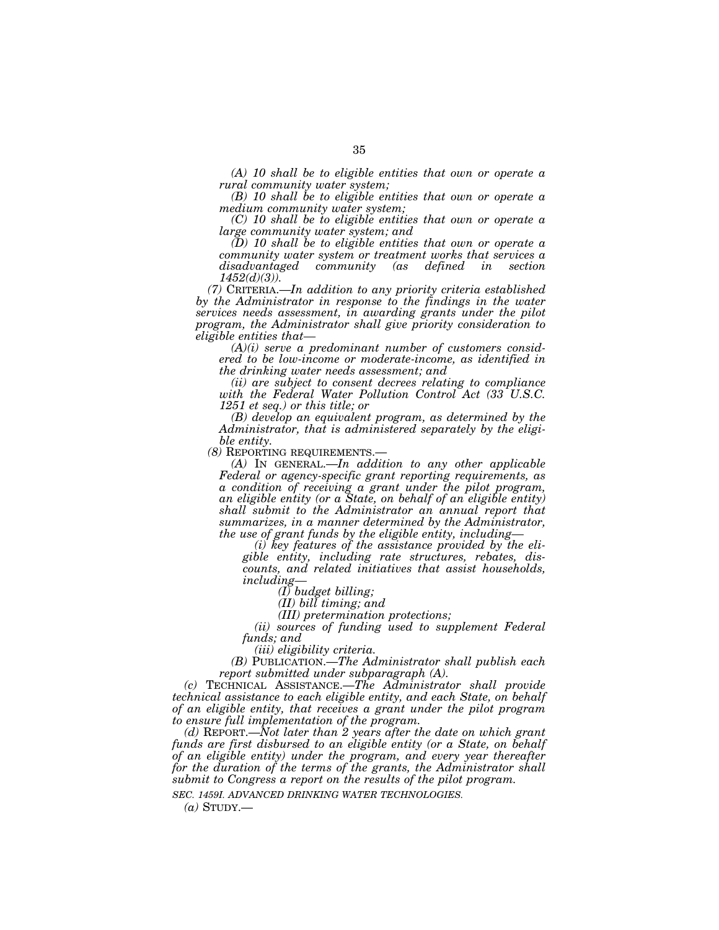*(A) 10 shall be to eligible entities that own or operate a rural community water system;* 

*(B) 10 shall be to eligible entities that own or operate a medium community water system;* 

*(C) 10 shall be to eligible entities that own or operate a large community water system; and* 

*(D) 10 shall be to eligible entities that own or operate a community water system or treatment works that services a disadvantaged community (as defined in section 1452(d)(3)).* 

*(7)* CRITERIA.—*In addition to any priority criteria established by the Administrator in response to the findings in the water services needs assessment, in awarding grants under the pilot program, the Administrator shall give priority consideration to eligible entities that—* 

*(A)(i) serve a predominant number of customers considered to be low-income or moderate-income, as identified in the drinking water needs assessment; and* 

*(ii) are subject to consent decrees relating to compliance with the Federal Water Pollution Control Act (33 U.S.C. 1251 et seq.) or this title; or* 

*(B) develop an equivalent program, as determined by the Administrator, that is administered separately by the eligible entity.* 

*(8)* REPORTING REQUIREMENTS.— *(A)* IN GENERAL.—*In addition to any other applicable Federal or agency-specific grant reporting requirements, as a condition of receiving a grant under the pilot program, an eligible entity (or a State, on behalf of an eligible entity) shall submit to the Administrator an annual report that summarizes, in a manner determined by the Administrator, the use of grant funds by the eligible entity, including—* 

*(i) key features of the assistance provided by the eligible entity, including rate structures, rebates, discounts, and related initiatives that assist households, including—* 

*(I) budget billing;* 

*(II) bill timing; and* 

*(III) pretermination protections;* 

*(ii) sources of funding used to supplement Federal funds; and* 

*(iii) eligibility criteria.* 

*(B)* PUBLICATION.—*The Administrator shall publish each report submitted under subparagraph (A).* 

*(c)* TECHNICAL ASSISTANCE.—*The Administrator shall provide technical assistance to each eligible entity, and each State, on behalf of an eligible entity, that receives a grant under the pilot program to ensure full implementation of the program.* 

*(d)* REPORT.—*Not later than 2 years after the date on which grant funds are first disbursed to an eligible entity (or a State, on behalf of an eligible entity) under the program, and every year thereafter for the duration of the terms of the grants, the Administrator shall submit to Congress a report on the results of the pilot program.* 

*SEC. 1459I. ADVANCED DRINKING WATER TECHNOLOGIES.* 

 $(a)$  STUDY.—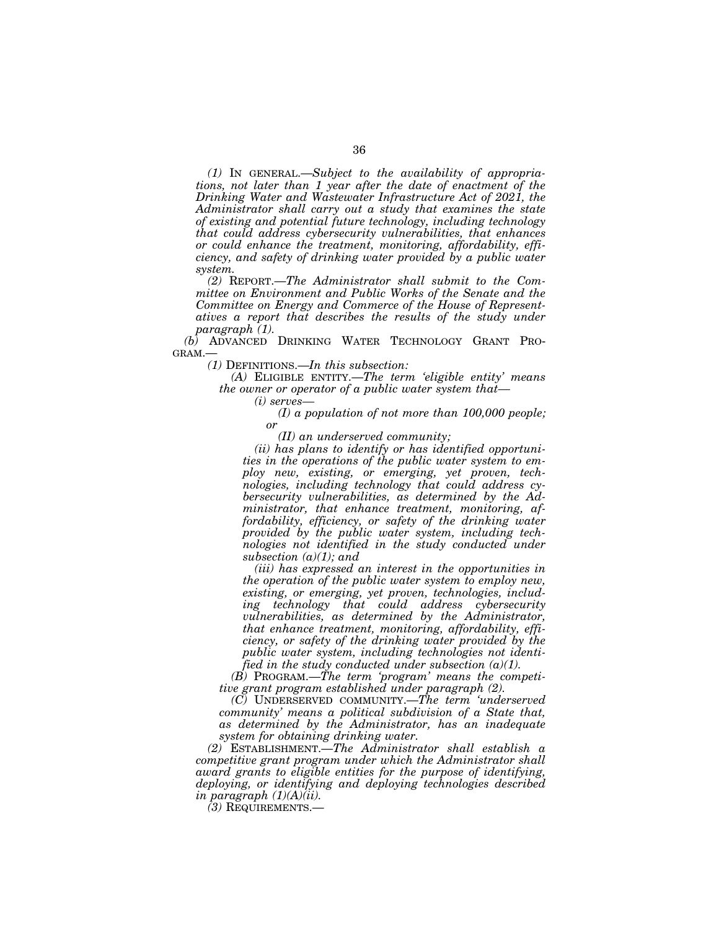*(1)* IN GENERAL.—*Subject to the availability of appropriations, not later than 1 year after the date of enactment of the Drinking Water and Wastewater Infrastructure Act of 2021, the Administrator shall carry out a study that examines the state of existing and potential future technology, including technology that could address cybersecurity vulnerabilities, that enhances or could enhance the treatment, monitoring, affordability, efficiency, and safety of drinking water provided by a public water system.* 

*(2)* REPORT.—*The Administrator shall submit to the Committee on Environment and Public Works of the Senate and the Committee on Energy and Commerce of the House of Representatives a report that describes the results of the study under paragraph (1).* 

*(b)* ADVANCED DRINKING WATER TECHNOLOGY GRANT PRO-GRAM.—

*(1)* DEFINITIONS.—*In this subsection:* 

*(A)* ELIGIBLE ENTITY.—*The term 'eligible entity' means the owner or operator of a public water system that—* 

*(i) serves—* 

*(I) a population of not more than 100,000 people; or* 

*(II) an underserved community;* 

*(ii) has plans to identify or has identified opportunities in the operations of the public water system to employ new, existing, or emerging, yet proven, technologies, including technology that could address cybersecurity vulnerabilities, as determined by the Administrator, that enhance treatment, monitoring, affordability, efficiency, or safety of the drinking water provided by the public water system, including technologies not identified in the study conducted under subsection (a)(1); and* 

*(iii) has expressed an interest in the opportunities in the operation of the public water system to employ new, existing, or emerging, yet proven, technologies, including technology that could address cybersecurity vulnerabilities, as determined by the Administrator, that enhance treatment, monitoring, affordability, efficiency, or safety of the drinking water provided by the public water system, including technologies not identified in the study conducted under subsection (a)(1).* 

*(B)* PROGRAM.—*The term 'program' means the competitive grant program established under paragraph (2).* 

*(C)* UNDERSERVED COMMUNITY.—*The term 'underserved community' means a political subdivision of a State that, as determined by the Administrator, has an inadequate system for obtaining drinking water.* 

*(2)* ESTABLISHMENT.—*The Administrator shall establish a competitive grant program under which the Administrator shall award grants to eligible entities for the purpose of identifying, deploying, or identifying and deploying technologies described in paragraph (1)(A)(ii).* 

*(3)* REQUIREMENTS.—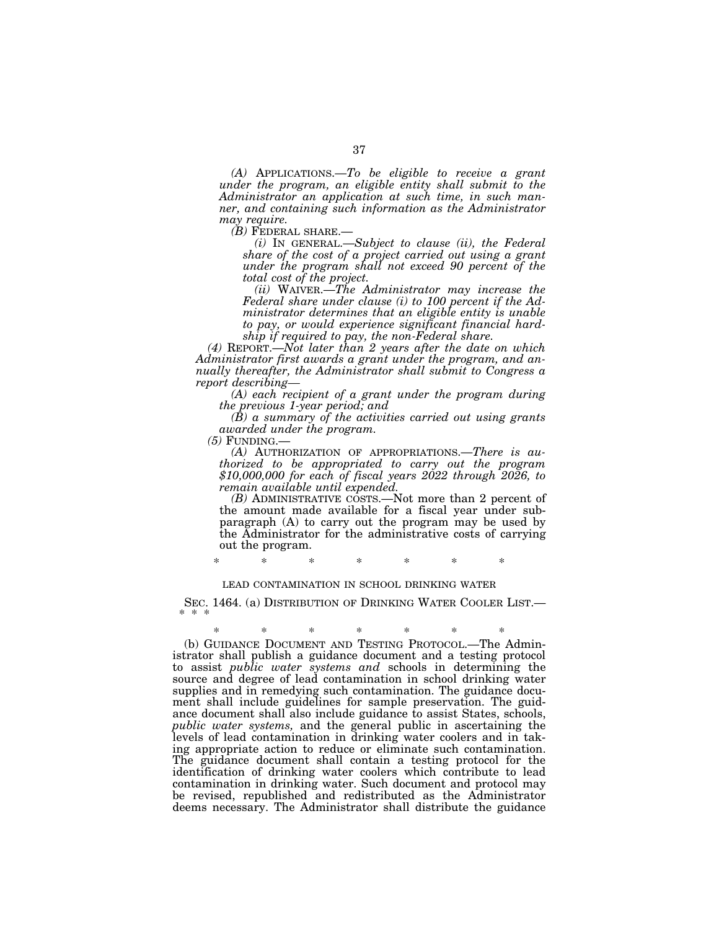*(A)* APPLICATIONS.—*To be eligible to receive a grant under the program, an eligible entity shall submit to the Administrator an application at such time, in such manner, and containing such information as the Administrator may require.* 

*(i)* In GENERAL.—Subject to clause *(ii), the Federal share of the cost of a project carried out using a grant under the program shall not exceed 90 percent of the total cost of the project.* 

*(ii)* WAIVER.—*The Administrator may increase the Federal share under clause (i) to 100 percent if the Administrator determines that an eligible entity is unable to pay, or would experience significant financial hardship if required to pay, the non-Federal share.* 

*(4)* REPORT.—*Not later than 2 years after the date on which Administrator first awards a grant under the program, and annually thereafter, the Administrator shall submit to Congress a report describing—* 

*(A) each recipient of a grant under the program during the previous 1-year period; and* 

*(B) a summary of the activities carried out using grants awarded under the program.* 

*(5)* FUNDING.— *(A)* AUTHORIZATION OF APPROPRIATIONS.—*There is authorized to be appropriated to carry out the program \$10,000,000 for each of fiscal years 2022 through 2026, to remain available until expended.* 

*(B)* ADMINISTRATIVE COSTS.—Not more than 2 percent of the amount made available for a fiscal year under subparagraph (A) to carry out the program may be used by the Administrator for the administrative costs of carrying out the program.

\* \* \* \* \* \* \*

#### LEAD CONTAMINATION IN SCHOOL DRINKING WATER

SEC. 1464. (a) DISTRIBUTION OF DRINKING WATER COOLER LIST.

\* \* \* \* \* \* \*

(b) GUIDANCE DOCUMENT AND TESTING PROTOCOL.—The Administrator shall publish a guidance document and a testing protocol to assist *public water systems and* schools in determining the source and degree of lead contamination in school drinking water supplies and in remedying such contamination. The guidance document shall include guidelines for sample preservation. The guidance document shall also include guidance to assist States, schools, *public water systems,* and the general public in ascertaining the levels of lead contamination in drinking water coolers and in taking appropriate action to reduce or eliminate such contamination. The guidance document shall contain a testing protocol for the identification of drinking water coolers which contribute to lead contamination in drinking water. Such document and protocol may be revised, republished and redistributed as the Administrator deems necessary. The Administrator shall distribute the guidance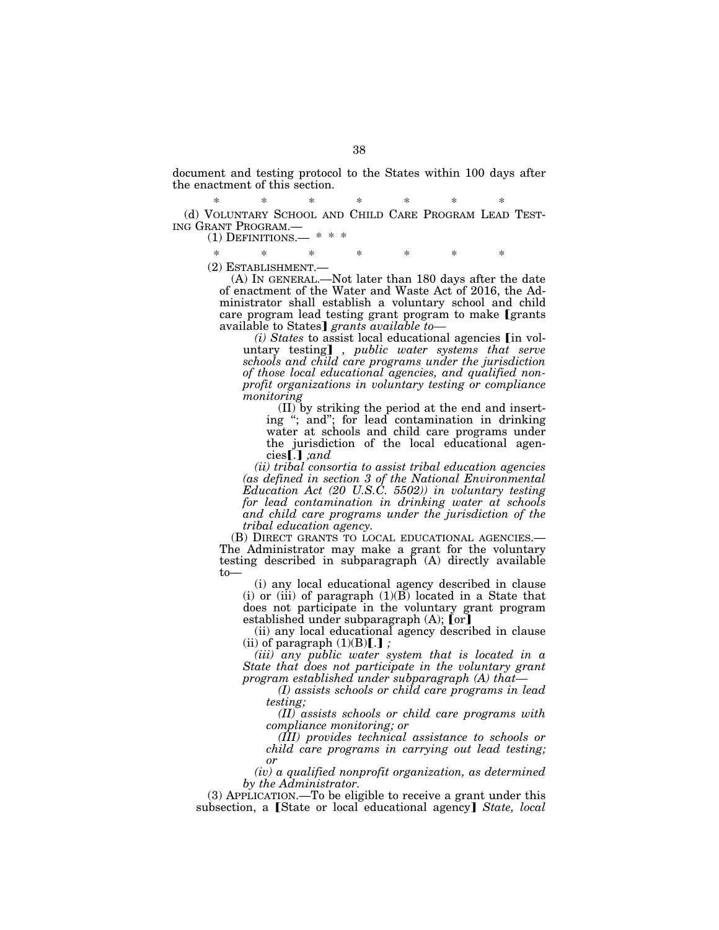document and testing protocol to the States within 100 days after the enactment of this section.

\* \* \* \* \* \* \* (d) VOLUNTARY SCHOOL AND CHILD CARE PROGRAM LEAD TEST- ING GRANT PROGRAM.—<br>(1) DEFINITIONS.—

\* \* \* \* \* \* \*

(2) ESTABLISHMENT.— (A) IN GENERAL.—Not later than 180 days after the date of enactment of the Water and Waste Act of 2016, the Administrator shall establish a voluntary school and child care program lead testing grant program to make [grants] available to States] grants available to-

*(i) States* to assist local educational agencies **[in vol**untary testing], *public water systems that serve schools and child care programs under the jurisdiction of those local educational agencies, and qualified nonprofit organizations in voluntary testing or compliance monitoring* 

(II) by striking the period at the end and inserting ''; and''; for lead contamination in drinking water at schools and child care programs under the jurisdiction of the local educational agen- $\vec{c}$ ies $\vec{I}$ . *jand* 

*(ii) tribal consortia to assist tribal education agencies (as defined in section 3 of the National Environmental Education Act (20 U.S.C. 5502)) in voluntary testing for lead contamination in drinking water at schools and child care programs under the jurisdiction of the tribal education agency.* 

(B) DIRECT GRANTS TO LOCAL EDUCATIONAL AGENCIES.— The Administrator may make a grant for the voluntary testing described in subparagraph (A) directly available to—

(i) any local educational agency described in clause (i) or (iii) of paragraph  $(1)(\overline{B})$  located in a State that does not participate in the voluntary grant program established under subparagraph  $(A)$ ; [or]

(ii) any local educational agency described in clause (ii) of paragraph  $(1)(B)[.]$ ;

*(iii) any public water system that is located in a State that does not participate in the voluntary grant program established under subparagraph (A) that—* 

*(I) assists schools or child care programs in lead testing;* 

*(II) assists schools or child care programs with compliance monitoring; or* 

*(III) provides technical assistance to schools or child care programs in carrying out lead testing; or* 

*(iv) a qualified nonprofit organization, as determined by the Administrator.* 

(3) APPLICATION.—To be eligible to receive a grant under this subsection, a [State or local educational agency] *State, local*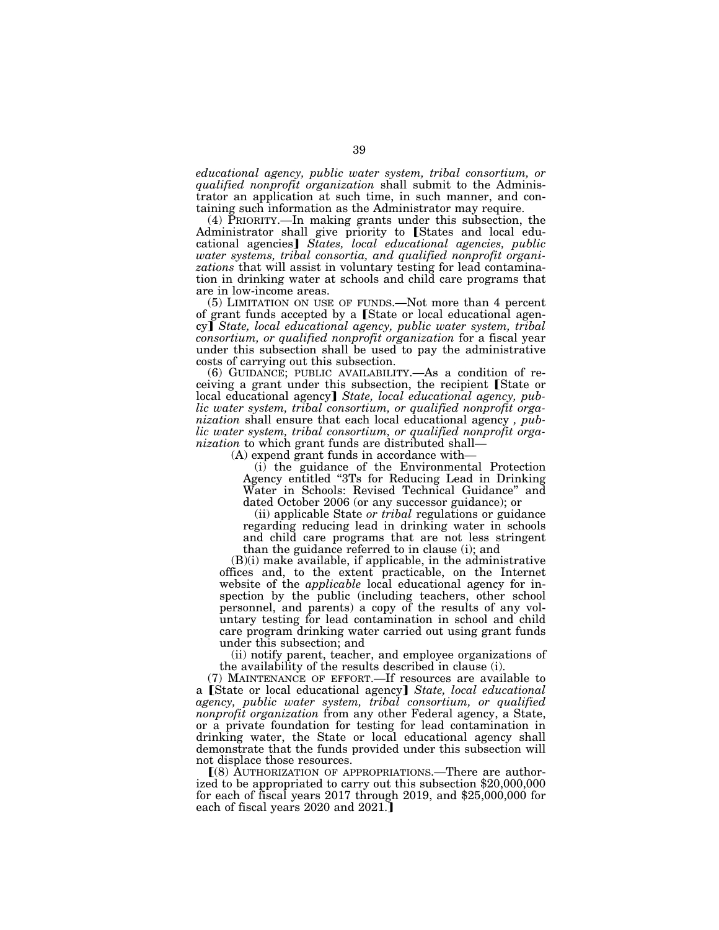*educational agency, public water system, tribal consortium, or qualified nonprofit organization* shall submit to the Administrator an application at such time, in such manner, and containing such information as the Administrator may require.

(4) PRIORITY.—In making grants under this subsection, the Administrator shall give priority to [States and local educational agencies] *States, local educational agencies, public water systems, tribal consortia, and qualified nonprofit organizations* that will assist in voluntary testing for lead contamination in drinking water at schools and child care programs that are in low-income areas.

(5) LIMITATION ON USE OF FUNDS.—Not more than 4 percent of grant funds accepted by a [State or local educational agency] State, local educational agency, public water system, tribal *consortium, or qualified nonprofit organization* for a fiscal year under this subsection shall be used to pay the administrative costs of carrying out this subsection.

(6) GUIDANCE; PUBLIC AVAILABILITY.—As a condition of receiving a grant under this subsection, the recipient [State or local educational agency] State, local educational agency, pub*lic water system, tribal consortium, or qualified nonprofit organization* shall ensure that each local educational agency *, public water system, tribal consortium, or qualified nonprofit organization* to which grant funds are distributed shall—

(A) expend grant funds in accordance with—

(i) the guidance of the Environmental Protection Agency entitled ''3Ts for Reducing Lead in Drinking Water in Schools: Revised Technical Guidance'' and dated October 2006 (or any successor guidance); or

(ii) applicable State *or tribal* regulations or guidance regarding reducing lead in drinking water in schools and child care programs that are not less stringent than the guidance referred to in clause (i); and

(B)(i) make available, if applicable, in the administrative offices and, to the extent practicable, on the Internet website of the *applicable* local educational agency for inspection by the public (including teachers, other school personnel, and parents) a copy of the results of any voluntary testing for lead contamination in school and child care program drinking water carried out using grant funds under this subsection; and

(ii) notify parent, teacher, and employee organizations of the availability of the results described in clause (i).

(7) MAINTENANCE OF EFFORT.—If resources are available to a [State or local educational agency] State, *local educational agency, public water system, tribal consortium, or qualified nonprofit organization* from any other Federal agency, a State, or a private foundation for testing for lead contamination in drinking water, the State or local educational agency shall demonstrate that the funds provided under this subsection will not displace those resources.

ø(8) AUTHORIZATION OF APPROPRIATIONS.—There are authorized to be appropriated to carry out this subsection \$20,000,000 for each of fiscal years 2017 through 2019, and \$25,000,000 for each of fiscal years 2020 and 2021.]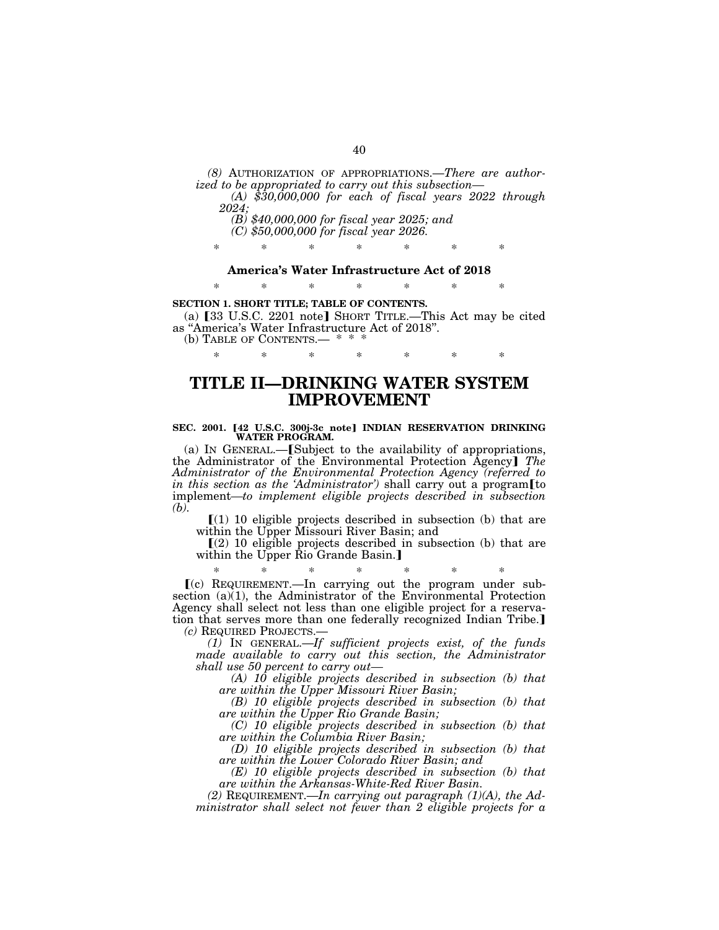*(8)* AUTHORIZATION OF APPROPRIATIONS.—*There are author-*

*ized to be appropriated to carry out this subsection— (A) \$30,000,000 for each of fiscal years 2022 through 2024;* 

*(B) \$40,000,000 for fiscal year 2025; and* 

*(C) \$50,000,000 for fiscal year 2026.* 

\* \* \* \* \* \* \*

**America's Water Infrastructure Act of 2018** 

\* \* \* \* \* \* \*

**SECTION 1. SHORT TITLE; TABLE OF CONTENTS.** 

(a)  $[33 \text{ U.S.C. } 2201 \text{ note}]$  SHORT TITLE.—This Act may be cited as ''America's Water Infrastructure Act of 2018''.

\* \* \* \* \* \* \*

(b) TABLE OF CONTENTS.— \*

## **TITLE II—DRINKING WATER SYSTEM IMPROVEMENT**

# SEC. 2001. [42 U.S.C. 300j-3c note] INDIAN RESERVATION DRINKING WATER PROGRAM.

(a) IN GENERAL.— $[Subject to the availability of approxiations,$ the Administrator of the Environmental Protection Agency¿ *The Administrator of the Environmental Protection Agency (referred to in this section as the 'Administrator'*) shall carry out a program[to implement*—to implement eligible projects described in subsection (b).* 

 $(1)$  10 eligible projects described in subsection (b) that are within the Upper Missouri River Basin; and

 $(2)$  10 eligible projects described in subsection (b) that are within the Upper Rio Grande Basin.]

\* \* \* \* \* \* \*  $(c)$  REQUIREMENT.—In carrying out the program under subsection (a)(1), the Administrator of the Environmental Protection Agency shall select not less than one eligible project for a reservation that serves more than one federally recognized Indian Tribe.] *(c)* REQUIRED PROJECTS.—

*(1)* IN GENERAL.—*If sufficient projects exist, of the funds made available to carry out this section, the Administrator shall use 50 percent to carry out—* 

*(A) 10 eligible projects described in subsection (b) that are within the Upper Missouri River Basin;* 

*(B) 10 eligible projects described in subsection (b) that are within the Upper Rio Grande Basin;* 

*(C) 10 eligible projects described in subsection (b) that are within the Columbia River Basin;* 

*(D) 10 eligible projects described in subsection (b) that are within the Lower Colorado River Basin; and* 

*(E) 10 eligible projects described in subsection (b) that are within the Arkansas-White-Red River Basin.* 

*(2)* REQUIREMENT.—*In carrying out paragraph (1)(A), the Administrator shall select not fewer than 2 eligible projects for a*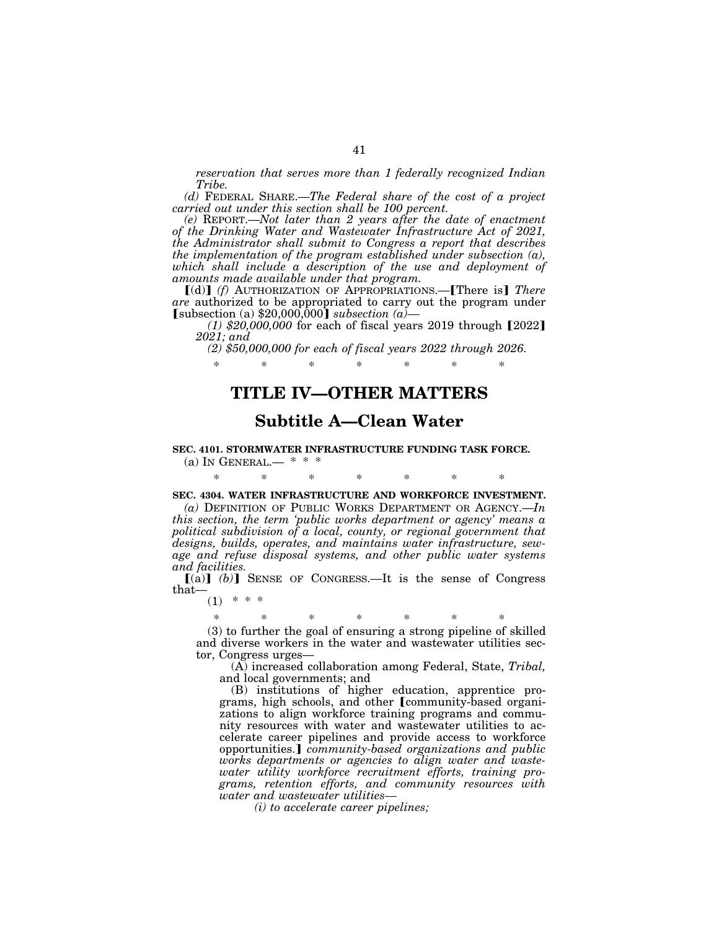*reservation that serves more than 1 federally recognized Indian Tribe.* 

*(d)* FEDERAL SHARE.—*The Federal share of the cost of a project carried out under this section shall be 100 percent.* 

*(e)* REPORT.—*Not later than 2 years after the date of enactment of the Drinking Water and Wastewater Infrastructure Act of 2021, the Administrator shall submit to Congress a report that describes the implementation of the program established under subsection (a), which shall include a description of the use and deployment of amounts made available under that program.* 

[(d)] (f) AUTHORIZATION OF APPROPRIATIONS.—**[There is]** There *are* authorized to be appropriated to carry out the program under  $[subsection (a) $20,000,000]$  *subsection* (a)

 $(1)$  \$20,000,000 for each of fiscal years 2019 through  $[2022]$ *2021; and* 

*(2) \$50,000,000 for each of fiscal years 2022 through 2026.* 

\* \* \* \* \* \* \*

## **TITLE IV—OTHER MATTERS**

## **Subtitle A—Clean Water**

#### **SEC. 4101. STORMWATER INFRASTRUCTURE FUNDING TASK FORCE.**

(a) IN GENERAL.—  $* * *$ 

\* \* \* \* \* \* \*

## **SEC. 4304. WATER INFRASTRUCTURE AND WORKFORCE INVESTMENT.**

*(a)* DEFINITION OF PUBLIC WORKS DEPARTMENT OR AGENCY.—*In this section, the term 'public works department or agency' means a political subdivision of a local, county, or regional government that designs, builds, operates, and maintains water infrastructure, sewage and refuse disposal systems, and other public water systems and facilities.* 

 $[(a)]$   $(b)$  SENSE OF CONGRESS.—It is the sense of Congress that—

 $(1)$  \* \* \*

## \* \* \* \* \* \* \* (3) to further the goal of ensuring a strong pipeline of skilled

and diverse workers in the water and wastewater utilities sector, Congress urges—

(A) increased collaboration among Federal, State, *Tribal,*  and local governments; and

(B) institutions of higher education, apprentice programs, high schools, and other [community-based organizations to align workforce training programs and community resources with water and wastewater utilities to accelerate career pipelines and provide access to workforce opportunities.¿ *community-based organizations and public works departments or agencies to align water and wastewater utility workforce recruitment efforts, training programs, retention efforts, and community resources with water and wastewater utilities—* 

*(i) to accelerate career pipelines;*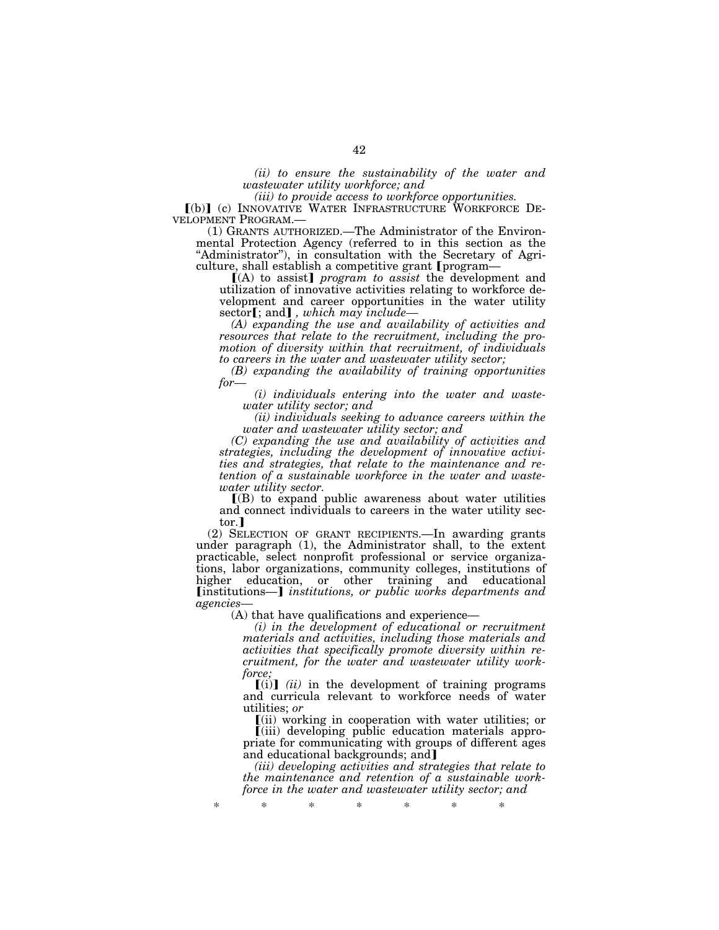*(ii) to ensure the sustainability of the water and wastewater utility workforce; and* 

*(iii) to provide access to workforce opportunities.* 

[(b)] (c) INNOVATIVE WATER INFRASTRUCTURE WORKFORCE DEVELOPMENT PROGRAM.—

 $(1)$  GRANTS AUTHORIZED.—The Administrator of the Environmental Protection Agency (referred to in this section as the "Administrator"), in consultation with the Secretary of Agriculture, shall establish a competitive grant [program-

ø(A) to assist¿ *program to assist* the development and utilization of innovative activities relating to workforce development and career opportunities in the water utility sector**[**; and**]**, which may include–

*(A) expanding the use and availability of activities and resources that relate to the recruitment, including the promotion of diversity within that recruitment, of individuals to careers in the water and wastewater utility sector;* 

*(B) expanding the availability of training opportunities for—* 

*(i) individuals entering into the water and wastewater utility sector; and* 

*(ii) individuals seeking to advance careers within the water and wastewater utility sector; and* 

*(C) expanding the use and availability of activities and strategies, including the development of innovative activities and strategies, that relate to the maintenance and retention of a sustainable workforce in the water and wastewater utility sector.* 

 $($ B $)$  to expand public awareness about water utilities and connect individuals to careers in the water utility sector.

(2) SELECTION OF GRANT RECIPIENTS.—In awarding grants under paragraph (1), the Administrator shall, to the extent practicable, select nonprofit professional or service organizations, labor organizations, community colleges, institutions of higher education, or other training and educational [institutions—] *institutions, or public works departments and agencies—* 

(A) that have qualifications and experience—

*(i) in the development of educational or recruitment materials and activities, including those materials and activities that specifically promote diversity within recruitment, for the water and wastewater utility workforce;* 

 $[(i)]$   $(ii)$  in the development of training programs and curricula relevant to workforce needs of water utilities; *or* 

ø(ii) working in cooperation with water utilities; or ø(iii) developing public education materials appropriate for communicating with groups of different ages and educational backgrounds; and

*(iii) developing activities and strategies that relate to the maintenance and retention of a sustainable workforce in the water and wastewater utility sector; and*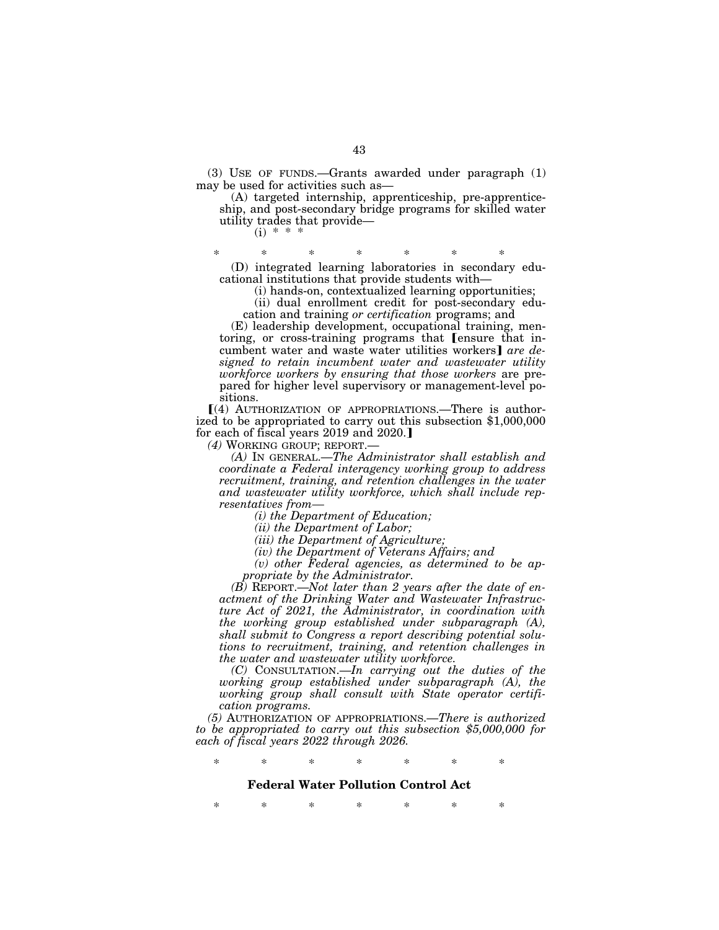(3) USE OF FUNDS.—Grants awarded under paragraph (1) may be used for activities such as—

(A) targeted internship, apprenticeship, pre-apprenticeship, and post-secondary bridge programs for skilled water utility trades that provide—  $(i) * * *$ 

\* \* \* \* \* \* \* (D) integrated learning laboratories in secondary educational institutions that provide students with—

(i) hands-on, contextualized learning opportunities;

(ii) dual enrollment credit for post-secondary education and training *or certification* programs; and

(E) leadership development, occupational training, mentoring, or cross-training programs that [ensure that incumbent water and waste water utilities workers] are de*signed to retain incumbent water and wastewater utility workforce workers by ensuring that those workers* are prepared for higher level supervisory or management-level positions.

 $(4)$  AUTHORIZATION OF APPROPRIATIONS.—There is authorized to be appropriated to carry out this subsection \$1,000,000 for each of fiscal years  $2019$  and  $2020$ .

*(4)* WORKING GROUP; REPORT.—

*(A)* IN GENERAL.—*The Administrator shall establish and coordinate a Federal interagency working group to address recruitment, training, and retention challenges in the water and wastewater utility workforce, which shall include representatives from—* 

*(i) the Department of Education;* 

*(ii) the Department of Labor;* 

*(iii) the Department of Agriculture;* 

*(iv) the Department of Veterans Affairs; and* 

*(v) other Federal agencies, as determined to be appropriate by the Administrator.* 

*(B)* REPORT.—*Not later than 2 years after the date of enactment of the Drinking Water and Wastewater Infrastructure Act of 2021, the Administrator, in coordination with the working group established under subparagraph (A), shall submit to Congress a report describing potential solutions to recruitment, training, and retention challenges in the water and wastewater utility workforce.* 

*(C)* CONSULTATION.—*In carrying out the duties of the working group established under subparagraph (A), the working group shall consult with State operator certification programs.* 

*(5)* AUTHORIZATION OF APPROPRIATIONS.—*There is authorized to be appropriated to carry out this subsection \$5,000,000 for each of fiscal years 2022 through 2026.* 

\* \* \* \* \* \* \*

#### **Federal Water Pollution Control Act**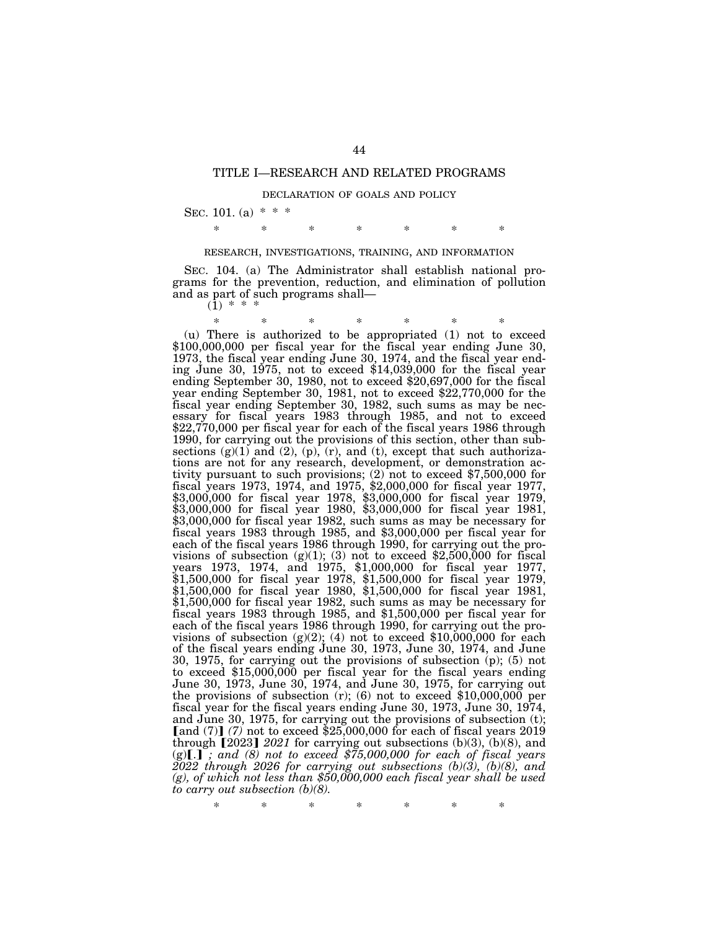#### TITLE I—RESEARCH AND RELATED PROGRAMS

#### DECLARATION OF GOALS AND POLICY

SEC. 101. (a)  $* * *$ 

\* \* \* \* \* \* \*

#### RESEARCH, INVESTIGATIONS, TRAINING, AND INFORMATION

SEC. 104. (a) The Administrator shall establish national programs for the prevention, reduction, and elimination of pollution and as part of such programs shall—  $(\overline{1})$  \* \* \*

\* \* \* \* \* \* \* (u) There is authorized to be appropriated (1) not to exceed \$100,000,000 per fiscal year for the fiscal year ending June 30, 1973, the fiscal year ending June 30, 1974, and the fiscal year ending June 30, 1975, not to exceed  $$14,039,000$  for the fiscal year ending September 30, 1980, not to exceed \$20,697,000 for the fiscal year ending September 30, 1981, not to exceed \$22,770,000 for the fiscal year ending September 30, 1982, such sums as may be necessary for fiscal years 1983 through 1985, and not to exceed \$22,770,000 per fiscal year for each of the fiscal years 1986 through 1990, for carrying out the provisions of this section, other than subsections  $(g)(1)$  and  $(2)$ ,  $(p)$ ,  $(r)$ , and  $(t)$ , except that such authorizations are not for any research, development, or demonstration activity pursuant to such provisions; (2) not to exceed \$7,500,000 for fiscal years 1973, 1974, and 1975, \$2,000,000 for fiscal year 1977, \$3,000,000 for fiscal year 1978, \$3,000,000 for fiscal year 1979, \$3,000,000 for fiscal year 1980, \$3,000,000 for fiscal year 1981, \$3,000,000 for fiscal year 1982, such sums as may be necessary for fiscal years 1983 through 1985, and \$3,000,000 per fiscal year for each of the fiscal years 1986 through 1990, for carrying out the provisions of subsection  $(g)(1)$ ; (3) not to exceed \$2,500,000 for fiscal years 1973, 1974, and 1975, \$1,000,000 for fiscal year 1977, \$1,500,000 for fiscal year 1978, \$1,500,000 for fiscal year 1979, \$1,500,000 for fiscal year 1980, \$1,500,000 for fiscal year 1981, \$1,500,000 for fiscal year 1982, such sums as may be necessary for fiscal years 1983 through 1985, and \$1,500,000 per fiscal year for each of the fiscal years 1986 through 1990, for carrying out the provisions of subsection  $(g)(2)$ ; (4) not to exceed \$10,000,000 for each of the fiscal years ending June 30, 1973, June 30, 1974, and June 30, 1975, for carrying out the provisions of subsection (p); (5) not to exceed \$15,000,000 per fiscal year for the fiscal years ending June 30, 1973, June 30, 1974, and June 30, 1975, for carrying out the provisions of subsection (r); (6) not to exceed \$10,000,000 per fiscal year for the fiscal years ending June 30, 1973, June 30, 1974, and June 30, 1975, for carrying out the provisions of subsection (t); [and  $(7)$ ]  $(7)$  not to exceed \$25,000,000 for each of fiscal years 2019 through  $[2023]$  *2021* for carrying out subsections (b)(3), (b)(8), and  $(g)[.]$ ; and  $(8)$  not to exceed  $$75,000,000$  for each of fiscal years *2022 through 2026 for carrying out subsections (b)(3), (b)(8), and (g), of which not less than \$50,000,000 each fiscal year shall be used to carry out subsection (b)(8).*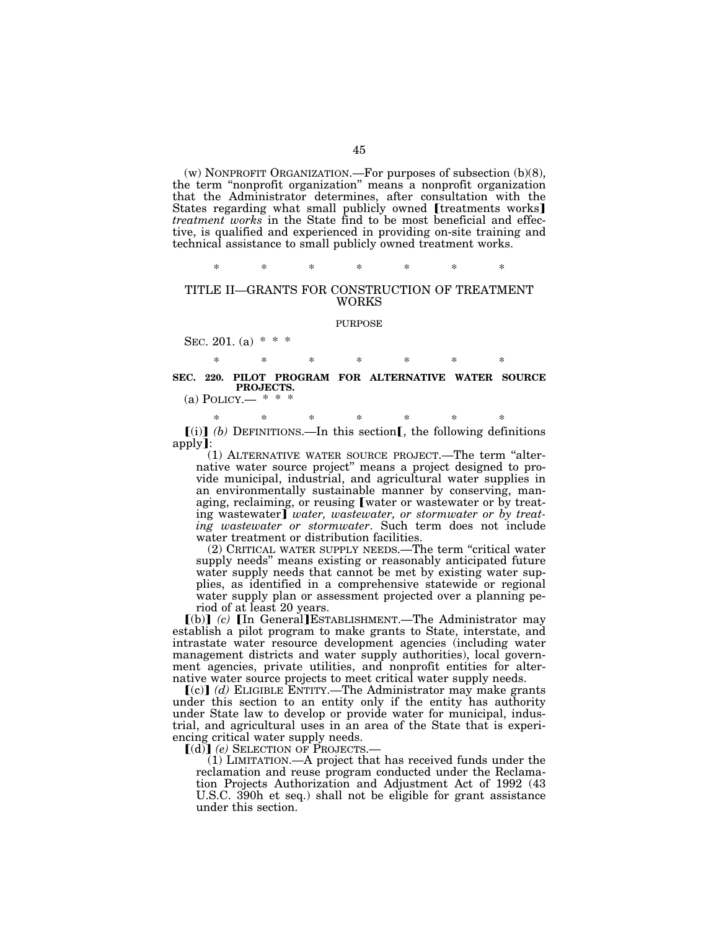(w) NONPROFIT ORGANIZATION.—For purposes of subsection (b)(8), the term ''nonprofit organization'' means a nonprofit organization that the Administrator determines, after consultation with the States regarding what small publicly owned [treatments works] *treatment works* in the State find to be most beneficial and effective, is qualified and experienced in providing on-site training and technical assistance to small publicly owned treatment works.

\* \* \* \* \* \* \*

#### TITLE II—GRANTS FOR CONSTRUCTION OF TREATMENT WORKS

#### PURPOSE

SEC. 201. (a)  $* * *$ 

\* \* \* \* \* \* \* **SEC. 220. PILOT PROGRAM FOR ALTERNATIVE WATER SOURCE PROJECTS.** 

(a) POLICY $-$  \* \* \*

\* \* \* \* \* \* \*  $[(i)]$  *(b)* DEFINITIONS.—In this section *m*, the following definitions apply**]**:

(1) ALTERNATIVE WATER SOURCE PROJECT.—The term ''alternative water source project'' means a project designed to provide municipal, industrial, and agricultural water supplies in an environmentally sustainable manner by conserving, managing, reclaiming, or reusing [water or wastewater or by treating wastewater] *water, wastewater, or stormwater or by treating wastewater or stormwater*. Such term does not include water treatment or distribution facilities.

(2) CRITICAL WATER SUPPLY NEEDS.—The term ''critical water supply needs'' means existing or reasonably anticipated future water supply needs that cannot be met by existing water supplies, as identified in a comprehensive statewide or regional water supply plan or assessment projected over a planning period of at least 20 years.

[(b)] (c) [In General]ESTABLISHMENT.—The Administrator may establish a pilot program to make grants to State, interstate, and intrastate water resource development agencies (including water management districts and water supply authorities), local government agencies, private utilities, and nonprofit entities for alternative water source projects to meet critical water supply needs.

 $(c)$  $(d)$  ELIGIBLE ENTITY.—The Administrator may make grants under this section to an entity only if the entity has authority under State law to develop or provide water for municipal, industrial, and agricultural uses in an area of the State that is experiencing critical water supply needs.

[(d)] (e) SELECTION OF PROJECTS.

(1) LIMITATION.—A project that has received funds under the reclamation and reuse program conducted under the Reclamation Projects Authorization and Adjustment Act of 1992 (43 U.S.C. 390h et seq.) shall not be eligible for grant assistance under this section.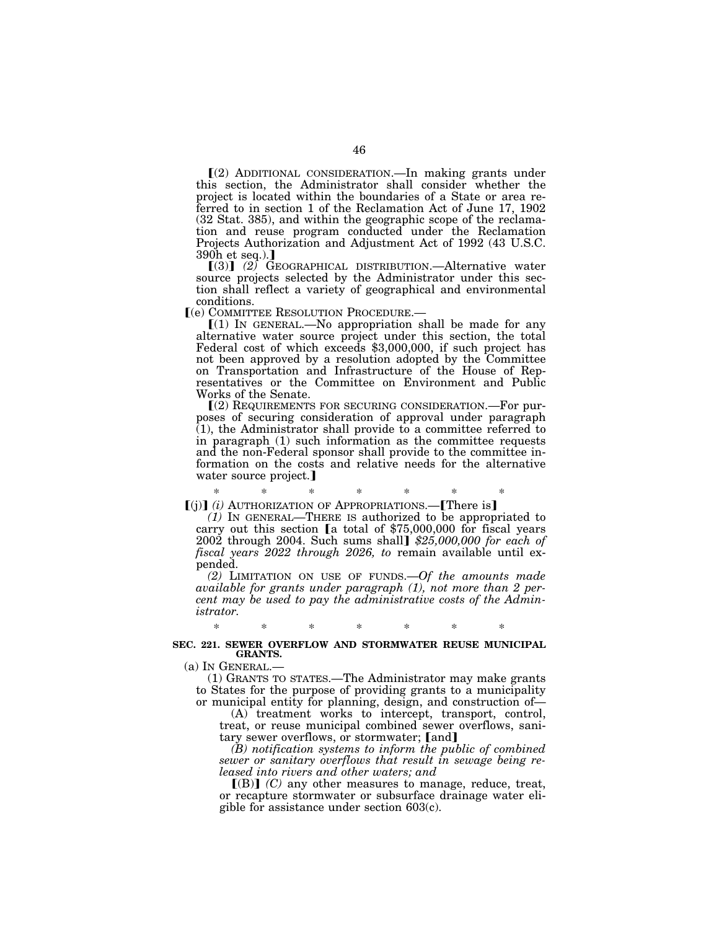ø(2) ADDITIONAL CONSIDERATION.—In making grants under this section, the Administrator shall consider whether the project is located within the boundaries of a State or area referred to in section 1 of the Reclamation Act of June 17, 1902 (32 Stat. 385), and within the geographic scope of the reclamation and reuse program conducted under the Reclamation Projects Authorization and Adjustment Act of 1992 (43 U.S.C.  $390h$  et seq.).

 $(3)$   $(2)$  GEOGRAPHICAL DISTRIBUTION.—Alternative water source projects selected by the Administrator under this section shall reflect a variety of geographical and environmental conditions.<br>
[(e) COMMITTEE RESOLUTION PROCEDURE.—

 $\llbracket (1)$  In GENERAL.—No appropriation shall be made for any alternative water source project under this section, the total Federal cost of which exceeds \$3,000,000, if such project has not been approved by a resolution adopted by the Committee on Transportation and Infrastructure of the House of Representatives or the Committee on Environment and Public Works of the Senate.

 $(2)$  REQUIREMENTS FOR SECURING CONSIDERATION.—For purposes of securing consideration of approval under paragraph (1), the Administrator shall provide to a committee referred to in paragraph (1) such information as the committee requests and the non-Federal sponsor shall provide to the committee information on the costs and relative needs for the alternative water source project.]

\* \* \* \* \* \* \* ø(j)¿ *(i)* AUTHORIZATION OF APPROPRIATIONS.—øThere is¿

*(1)* IN GENERAL—THERE IS authorized to be appropriated to carry out this section  $a$  total of \$75,000,000 for fiscal years 2002 through 2004. Such sums shall¿ *\$25,000,000 for each of fiscal years 2022 through 2026, to* remain available until expended.

*(2)* LIMITATION ON USE OF FUNDS.—*Of the amounts made available for grants under paragraph (1), not more than 2 percent may be used to pay the administrative costs of the Administrator.* 

#### \* \* \* \* \* \* \*

#### **SEC. 221. SEWER OVERFLOW AND STORMWATER REUSE MUNICIPAL GRANTS.**

(a) IN GENERAL.—

(1) GRANTS TO STATES.—The Administrator may make grants to States for the purpose of providing grants to a municipality or municipal entity for planning, design, and construction of—

(A) treatment works to intercept, transport, control, treat, or reuse municipal combined sewer overflows, sanitary sewer overflows, or stormwater; [and]

*(B) notification systems to inform the public of combined sewer or sanitary overflows that result in sewage being released into rivers and other waters; and* 

 $\Gamma(B)$  *(C)* any other measures to manage, reduce, treat, or recapture stormwater or subsurface drainage water eligible for assistance under section 603(c).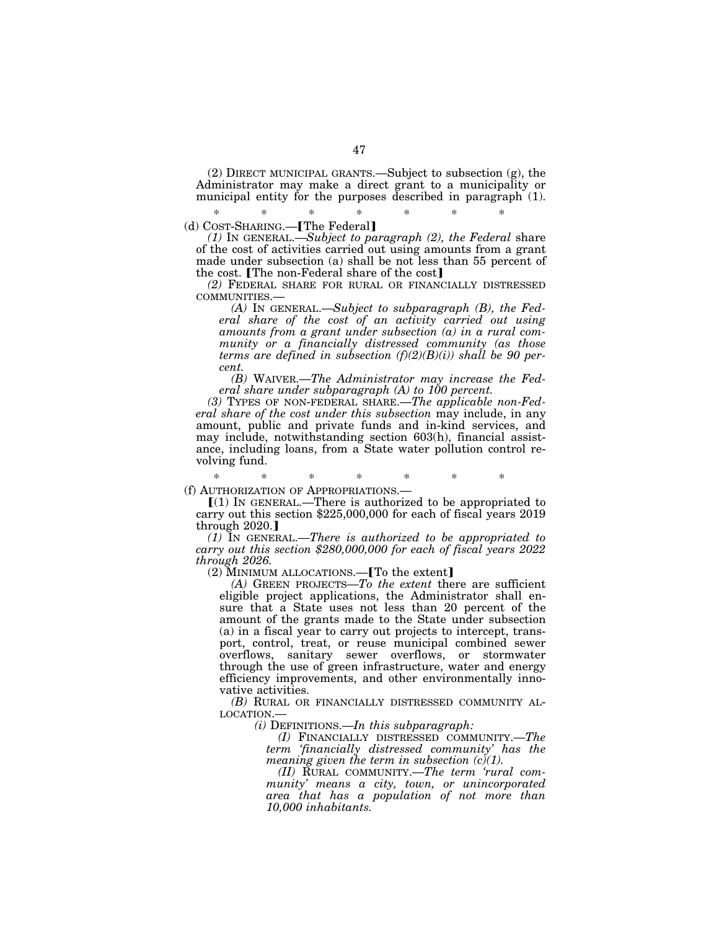(2) DIRECT MUNICIPAL GRANTS.—Subject to subsection (g), the Administrator may make a direct grant to a municipality or municipal entity for the purposes described in paragraph (1).

\* \* \* \* \* \* \* (d) COST-SHARING.-[The Federal]

*(1)* IN GENERAL.—*Subject to paragraph (2), the Federal* share of the cost of activities carried out using amounts from a grant made under subsection (a) shall be not less than 55 percent of the cost. The non-Federal share of the cost $\mathbf I$ 

*(2)* FEDERAL SHARE FOR RURAL OR FINANCIALLY DISTRESSED COMMUNITIES.— *(A)* IN GENERAL.—*Subject to subparagraph (B), the Fed-*

*eral share of the cost of an activity carried out using amounts from a grant under subsection (a) in a rural community or a financially distressed community (as those terms are defined in subsection (f)(2)(B)(i)) shall be 90 percent.* 

*(B)* WAIVER.—*The Administrator may increase the Federal share under subparagraph (A) to 100 percent.* 

*(3)* TYPES OF NON-FEDERAL SHARE.—*The applicable non-Federal share of the cost under this subsection* may include, in any amount, public and private funds and in-kind services, and may include, notwithstanding section 603(h), financial assistance, including loans, from a State water pollution control revolving fund.

\* \* \* \* \* \* \*

(f) AUTHORIZATION OF APPROPRIATIONS.—<br> $[(1)$  IN GENERAL.—There is authorized to be appropriated to carry out this section \$225,000,000 for each of fiscal years 2019 through  $2020$ .

*(1)* IN GENERAL.—*There is authorized to be appropriated to carry out this section \$280,000,000 for each of fiscal years 2022 through 2026.* 

 $(2)$  MINIMUM ALLOCATIONS.—[To the extent]

*(A)* GREEN PROJECTS—*To the extent* there are sufficient eligible project applications, the Administrator shall ensure that a State uses not less than 20 percent of the amount of the grants made to the State under subsection (a) in a fiscal year to carry out projects to intercept, transport, control, treat, or reuse municipal combined sewer overflows, sanitary sewer overflows, or stormwater through the use of green infrastructure, water and energy efficiency improvements, and other environmentally innovative activities.

*(B)* RURAL OR FINANCIALLY DISTRESSED COMMUNITY AL-LOCATION.—

*(i)* DEFINITIONS.—*In this subparagraph:* 

*(I)* FINANCIALLY DISTRESSED COMMUNITY.—*The term 'financially distressed community' has the meaning given the term in subsection (c)(1).* 

*(II)* RURAL COMMUNITY.—*The term 'rural community' means a city, town, or unincorporated area that has a population of not more than 10,000 inhabitants.*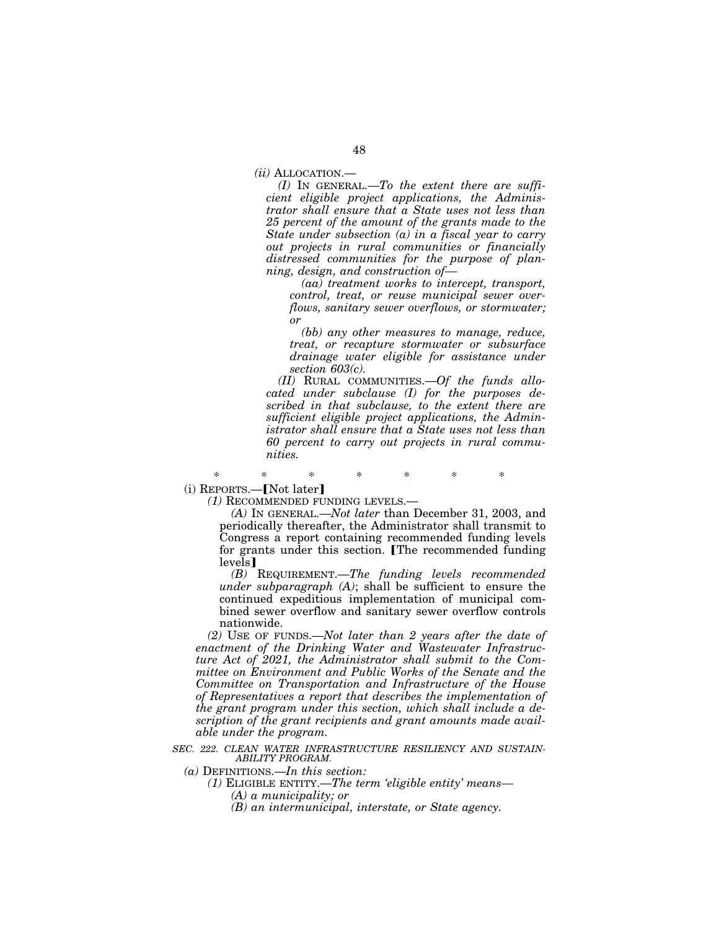*(ii)* ALLOCATION.—

*(I)* IN GENERAL.—*To the extent there are sufficient eligible project applications, the Administrator shall ensure that a State uses not less than 25 percent of the amount of the grants made to the State under subsection (a) in a fiscal year to carry out projects in rural communities or financially distressed communities for the purpose of planning, design, and construction of—* 

*(aa) treatment works to intercept, transport, control, treat, or reuse municipal sewer overflows, sanitary sewer overflows, or stormwater; or* 

*(bb) any other measures to manage, reduce, treat, or recapture stormwater or subsurface drainage water eligible for assistance under section 603(c).* 

*(II)* RURAL COMMUNITIES.—*Of the funds allocated under subclause (I) for the purposes described in that subclause, to the extent there are sufficient eligible project applications, the Administrator shall ensure that a State uses not less than 60 percent to carry out projects in rural communities.* 

\* \* \* \* \* \* \*  $(i)$  REPORTS.— $[Not later]$ 

*(1)* RECOMMENDED FUNDING LEVELS.—

*(A)* IN GENERAL.—*Not later* than December 31, 2003, and periodically thereafter, the Administrator shall transmit to Congress a report containing recommended funding levels for grants under this section. The recommended funding levels<sup>1</sup>

*(B)* REQUIREMENT.—*The funding levels recommended under subparagraph (A)*; shall be sufficient to ensure the continued expeditious implementation of municipal combined sewer overflow and sanitary sewer overflow controls nationwide.

*(2)* USE OF FUNDS.—*Not later than 2 years after the date of enactment of the Drinking Water and Wastewater Infrastructure Act of 2021, the Administrator shall submit to the Committee on Environment and Public Works of the Senate and the Committee on Transportation and Infrastructure of the House of Representatives a report that describes the implementation of the grant program under this section, which shall include a description of the grant recipients and grant amounts made available under the program.* 

*SEC. 222. CLEAN WATER INFRASTRUCTURE RESILIENCY AND SUSTAIN-ABILITY PROGRAM.* 

- *(a)* DEFINITIONS.—*In this section:* 
	- *(1)* ELIGIBLE ENTITY.—*The term 'eligible entity' means— (A) a municipality; or* 
		- *(B) an intermunicipal, interstate, or State agency.*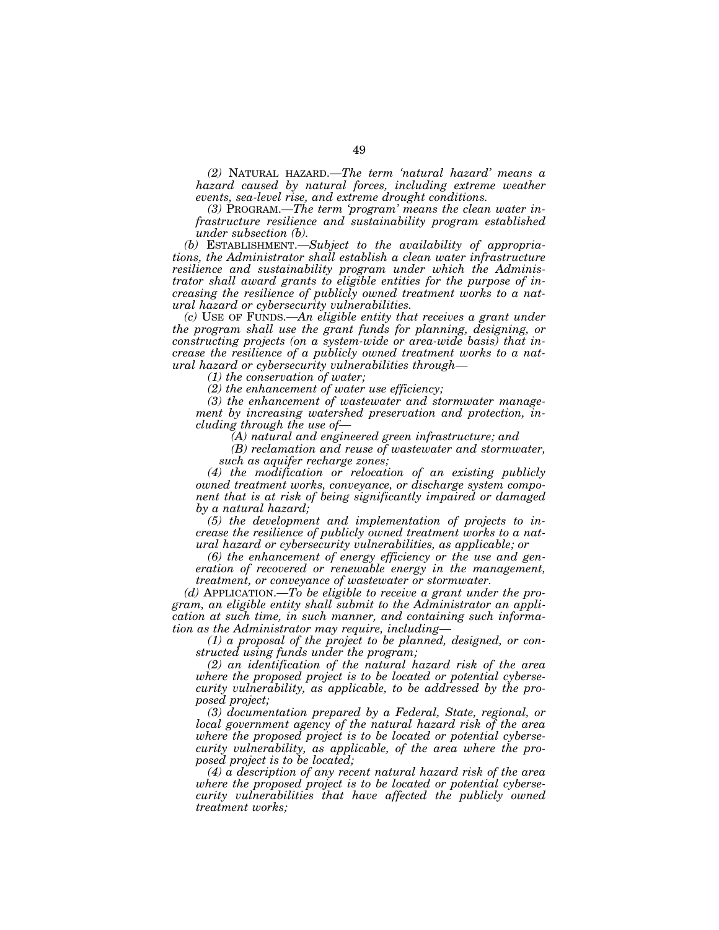*(2)* NATURAL HAZARD.—*The term 'natural hazard' means a hazard caused by natural forces, including extreme weather events, sea-level rise, and extreme drought conditions.* 

*(3)* PROGRAM.—*The term 'program' means the clean water infrastructure resilience and sustainability program established under subsection (b).* 

*(b)* ESTABLISHMENT.—*Subject to the availability of appropriations, the Administrator shall establish a clean water infrastructure resilience and sustainability program under which the Administrator shall award grants to eligible entities for the purpose of increasing the resilience of publicly owned treatment works to a natural hazard or cybersecurity vulnerabilities.* 

*(c)* USE OF FUNDS.—*An eligible entity that receives a grant under the program shall use the grant funds for planning, designing, or constructing projects (on a system-wide or area-wide basis) that increase the resilience of a publicly owned treatment works to a natural hazard or cybersecurity vulnerabilities through—* 

*(1) the conservation of water;* 

*(2) the enhancement of water use efficiency;* 

*(3) the enhancement of wastewater and stormwater management by increasing watershed preservation and protection, including through the use of—* 

*(A) natural and engineered green infrastructure; and* 

*(B) reclamation and reuse of wastewater and stormwater, such as aquifer recharge zones;* 

*(4) the modification or relocation of an existing publicly owned treatment works, conveyance, or discharge system component that is at risk of being significantly impaired or damaged by a natural hazard;* 

*(5) the development and implementation of projects to increase the resilience of publicly owned treatment works to a natural hazard or cybersecurity vulnerabilities, as applicable; or* 

*(6) the enhancement of energy efficiency or the use and generation of recovered or renewable energy in the management, treatment, or conveyance of wastewater or stormwater.* 

*(d)* APPLICATION.—*To be eligible to receive a grant under the program, an eligible entity shall submit to the Administrator an application at such time, in such manner, and containing such information as the Administrator may require, including—* 

*(1) a proposal of the project to be planned, designed, or constructed using funds under the program;* 

*(2) an identification of the natural hazard risk of the area where the proposed project is to be located or potential cybersecurity vulnerability, as applicable, to be addressed by the proposed project;* 

*(3) documentation prepared by a Federal, State, regional, or local government agency of the natural hazard risk of the area where the proposed project is to be located or potential cybersecurity vulnerability, as applicable, of the area where the proposed project is to be located;* 

*(4) a description of any recent natural hazard risk of the area where the proposed project is to be located or potential cybersecurity vulnerabilities that have affected the publicly owned treatment works;*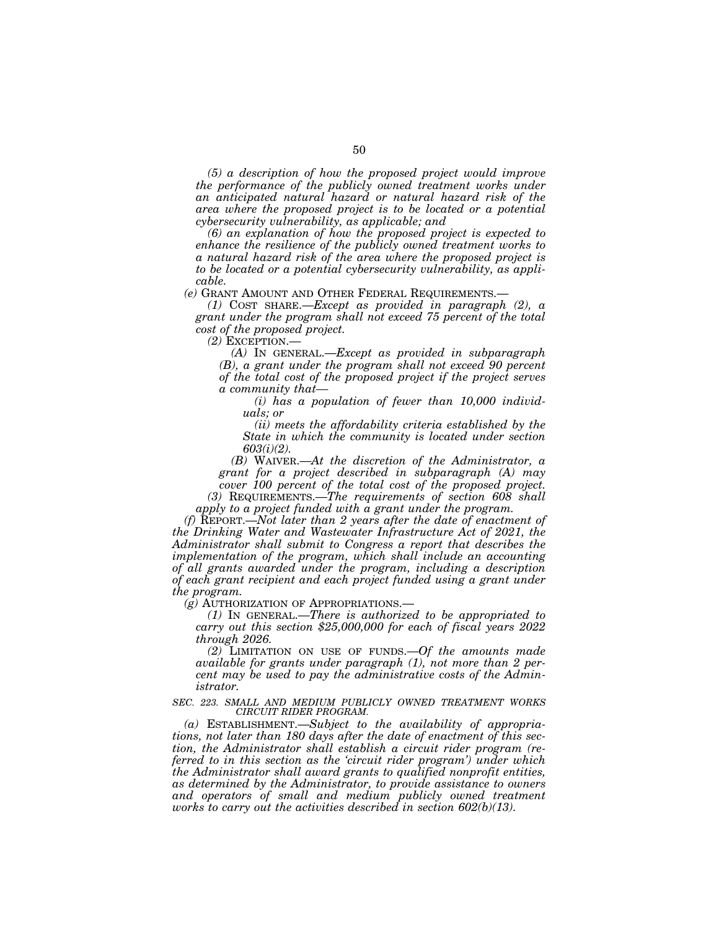*(5) a description of how the proposed project would improve the performance of the publicly owned treatment works under an anticipated natural hazard or natural hazard risk of the area where the proposed project is to be located or a potential cybersecurity vulnerability, as applicable; and* 

*(6) an explanation of how the proposed project is expected to enhance the resilience of the publicly owned treatment works to a natural hazard risk of the area where the proposed project is to be located or a potential cybersecurity vulnerability, as applicable.* 

*(e)* GRANT AMOUNT AND OTHER FEDERAL REQUIREMENTS.—

*(1)* COST SHARE.—*Except as provided in paragraph (2), a grant under the program shall not exceed 75 percent of the total cost of the proposed project.* 

*(2)* EXCEPTION.—

*(A)* IN GENERAL.—*Except as provided in subparagraph (B), a grant under the program shall not exceed 90 percent of the total cost of the proposed project if the project serves a community that—* 

*(i) has a population of fewer than 10,000 individuals; or* 

*(ii) meets the affordability criteria established by the State in which the community is located under section 603(i)(2).* 

*(B)* WAIVER.—*At the discretion of the Administrator, a grant for a project described in subparagraph (A) may cover 100 percent of the total cost of the proposed project.* 

*(3)* REQUIREMENTS.—*The requirements of section 608 shall apply to a project funded with a grant under the program.* 

*(f)* REPORT.—*Not later than 2 years after the date of enactment of the Drinking Water and Wastewater Infrastructure Act of 2021, the Administrator shall submit to Congress a report that describes the implementation of the program, which shall include an accounting of all grants awarded under the program, including a description of each grant recipient and each project funded using a grant under the program.* 

*(g)* AUTHORIZATION OF APPROPRIATIONS.—

*(1)* IN GENERAL.—*There is authorized to be appropriated to carry out this section \$25,000,000 for each of fiscal years 2022 through 2026.* 

*(2)* LIMITATION ON USE OF FUNDS.—*Of the amounts made available for grants under paragraph (1), not more than 2 percent may be used to pay the administrative costs of the Administrator.* 

*SEC. 223. SMALL AND MEDIUM PUBLICLY OWNED TREATMENT WORKS CIRCUIT RIDER PROGRAM.* 

*(a)* ESTABLISHMENT.—*Subject to the availability of appropriations, not later than 180 days after the date of enactment of this section, the Administrator shall establish a circuit rider program (referred to in this section as the 'circuit rider program') under which the Administrator shall award grants to qualified nonprofit entities, as determined by the Administrator, to provide assistance to owners and operators of small and medium publicly owned treatment works to carry out the activities described in section 602(b)(13).*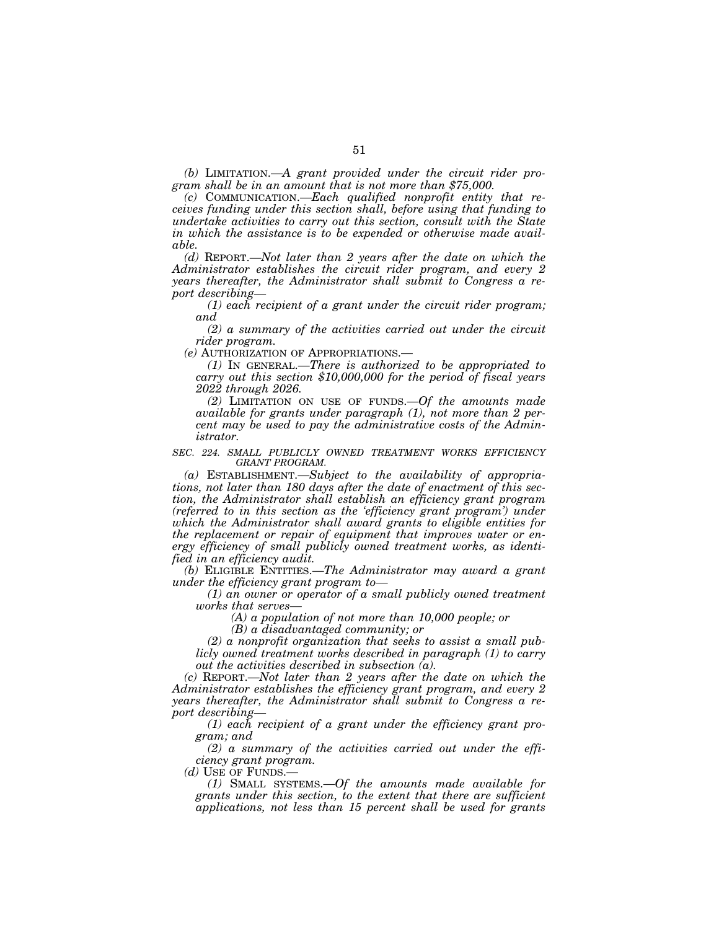*(b)* LIMITATION.—*A grant provided under the circuit rider program shall be in an amount that is not more than \$75,000.* 

*(c)* COMMUNICATION.—*Each qualified nonprofit entity that receives funding under this section shall, before using that funding to undertake activities to carry out this section, consult with the State in which the assistance is to be expended or otherwise made available.* 

*(d)* REPORT.—*Not later than 2 years after the date on which the Administrator establishes the circuit rider program, and every 2 years thereafter, the Administrator shall submit to Congress a report describing—* 

*(1) each recipient of a grant under the circuit rider program; and* 

*(2) a summary of the activities carried out under the circuit rider program.* 

*(e)* AUTHORIZATION OF APPROPRIATIONS.—

*(1)* IN GENERAL.—*There is authorized to be appropriated to carry out this section \$10,000,000 for the period of fiscal years 2022 through 2026.* 

*(2)* LIMITATION ON USE OF FUNDS.—*Of the amounts made available for grants under paragraph (1), not more than 2 percent may be used to pay the administrative costs of the Administrator.* 

*SEC. 224. SMALL PUBLICLY OWNED TREATMENT WORKS EFFICIENCY GRANT PROGRAM.* 

*(a)* ESTABLISHMENT.—*Subject to the availability of appropriations, not later than 180 days after the date of enactment of this section, the Administrator shall establish an efficiency grant program (referred to in this section as the 'efficiency grant program') under which the Administrator shall award grants to eligible entities for the replacement or repair of equipment that improves water or energy efficiency of small publicly owned treatment works, as identified in an efficiency audit.* 

*(b)* ELIGIBLE ENTITIES.—*The Administrator may award a grant under the efficiency grant program to—* 

*(1) an owner or operator of a small publicly owned treatment works that serves—* 

*(A) a population of not more than 10,000 people; or* 

*(B) a disadvantaged community; or* 

*(2) a nonprofit organization that seeks to assist a small publicly owned treatment works described in paragraph (1) to carry out the activities described in subsection (a).* 

*(c)* REPORT.—*Not later than 2 years after the date on which the Administrator establishes the efficiency grant program, and every 2 years thereafter, the Administrator shall submit to Congress a report describing—* 

*(1) each recipient of a grant under the efficiency grant program; and* 

*(2) a summary of the activities carried out under the efficiency grant program.* 

*(d)* USE OF FUNDS.—

*(1)* SMALL SYSTEMS.—*Of the amounts made available for grants under this section, to the extent that there are sufficient applications, not less than 15 percent shall be used for grants*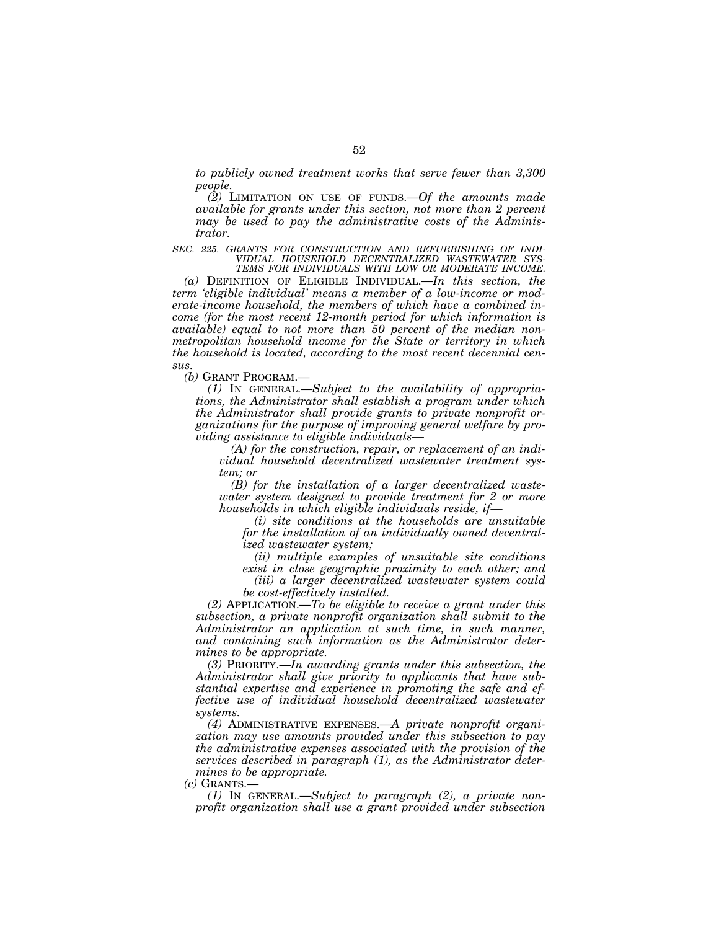*to publicly owned treatment works that serve fewer than 3,300 people.* 

*(2)* LIMITATION ON USE OF FUNDS.—*Of the amounts made available for grants under this section, not more than 2 percent may be used to pay the administrative costs of the Administrator.* 

*SEC. 225. GRANTS FOR CONSTRUCTION AND REFURBISHING OF INDI-VIDUAL HOUSEHOLD DECENTRALIZED WASTEWATER SYS-TEMS FOR INDIVIDUALS WITH LOW OR MODERATE INCOME.* 

*(a)* DEFINITION OF ELIGIBLE INDIVIDUAL.—*In this section, the term 'eligible individual' means a member of a low-income or moderate-income household, the members of which have a combined income (for the most recent 12-month period for which information is available) equal to not more than 50 percent of the median nonmetropolitan household income for the State or territory in which the household is located, according to the most recent decennial census.* 

*(b)* GRANT PROGRAM.—

*(1)* IN GENERAL.—*Subject to the availability of appropriations, the Administrator shall establish a program under which the Administrator shall provide grants to private nonprofit organizations for the purpose of improving general welfare by providing assistance to eligible individuals—* 

*(A) for the construction, repair, or replacement of an individual household decentralized wastewater treatment system; or* 

*(B) for the installation of a larger decentralized wastewater system designed to provide treatment for 2 or more households in which eligible individuals reside, if—* 

*(i) site conditions at the households are unsuitable for the installation of an individually owned decentralized wastewater system;* 

*(ii) multiple examples of unsuitable site conditions exist in close geographic proximity to each other; and* 

*(iii) a larger decentralized wastewater system could be cost-effectively installed.* 

*(2)* APPLICATION.—*To be eligible to receive a grant under this subsection, a private nonprofit organization shall submit to the Administrator an application at such time, in such manner, and containing such information as the Administrator determines to be appropriate.* 

*(3)* PRIORITY.—*In awarding grants under this subsection, the Administrator shall give priority to applicants that have substantial expertise and experience in promoting the safe and effective use of individual household decentralized wastewater systems.* 

*(4)* ADMINISTRATIVE EXPENSES.—*A private nonprofit organization may use amounts provided under this subsection to pay the administrative expenses associated with the provision of the services described in paragraph (1), as the Administrator determines to be appropriate.* 

 $(c)$  GRANTS.

*(1)* IN GENERAL.—*Subject to paragraph (2), a private nonprofit organization shall use a grant provided under subsection*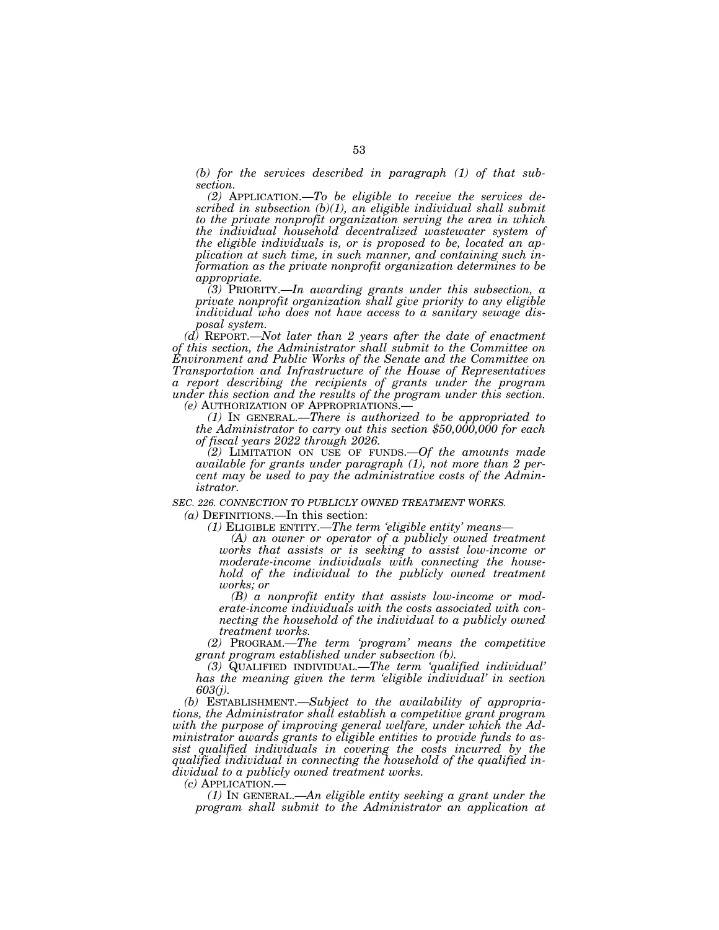*(b) for the services described in paragraph (1) of that subsection.* 

*(2)* APPLICATION.—*To be eligible to receive the services described in subsection (b)(1), an eligible individual shall submit to the private nonprofit organization serving the area in which the individual household decentralized wastewater system of the eligible individuals is, or is proposed to be, located an application at such time, in such manner, and containing such information as the private nonprofit organization determines to be appropriate.* 

*(3)* PRIORITY.—*In awarding grants under this subsection, a private nonprofit organization shall give priority to any eligible individual who does not have access to a sanitary sewage disposal system.* 

*(d)* REPORT.—*Not later than 2 years after the date of enactment of this section, the Administrator shall submit to the Committee on Environment and Public Works of the Senate and the Committee on Transportation and Infrastructure of the House of Representatives a report describing the recipients of grants under the program under this section and the results of the program under this section.* 

*(e)* AUTHORIZATION OF APPROPRIATIONS.— *(1)* IN GENERAL.—*There is authorized to be appropriated to the Administrator to carry out this section \$50,000,000 for each of fiscal years 2022 through 2026.* 

*(2)* LIMITATION ON USE OF FUNDS.—*Of the amounts made available for grants under paragraph (1), not more than 2 percent may be used to pay the administrative costs of the Administrator.* 

*SEC. 226. CONNECTION TO PUBLICLY OWNED TREATMENT WORKS.* 

*(a)* DEFINITIONS.—In this section:

*(1)* ELIGIBLE ENTITY.—*The term 'eligible entity' means—* 

*(A) an owner or operator of a publicly owned treatment works that assists or is seeking to assist low-income or moderate-income individuals with connecting the household of the individual to the publicly owned treatment works; or* 

*(B) a nonprofit entity that assists low-income or moderate-income individuals with the costs associated with connecting the household of the individual to a publicly owned treatment works.* 

*(2)* PROGRAM.—*The term 'program' means the competitive grant program established under subsection (b).* 

*(3)* QUALIFIED INDIVIDUAL.—*The term 'qualified individual' has the meaning given the term 'eligible individual' in section 603(j).* 

*(b)* ESTABLISHMENT.—*Subject to the availability of appropriations, the Administrator shall establish a competitive grant program with the purpose of improving general welfare, under which the Administrator awards grants to eligible entities to provide funds to assist qualified individuals in covering the costs incurred by the qualified individual in connecting the household of the qualified individual to a publicly owned treatment works.* 

*(c)* APPLICATION.—

*(1)* IN GENERAL.—*An eligible entity seeking a grant under the program shall submit to the Administrator an application at*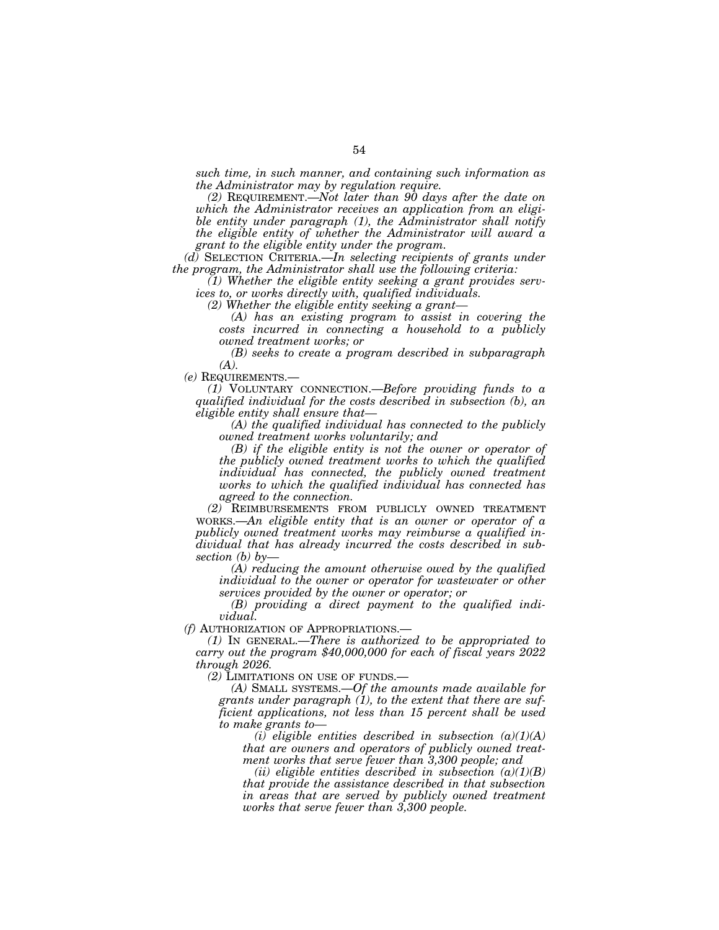*such time, in such manner, and containing such information as the Administrator may by regulation require.* 

*(2)* REQUIREMENT.—*Not later than 90 days after the date on which the Administrator receives an application from an eligible entity under paragraph (1), the Administrator shall notify the eligible entity of whether the Administrator will award a grant to the eligible entity under the program.* 

*(d)* SELECTION CRITERIA.—*In selecting recipients of grants under the program, the Administrator shall use the following criteria:* 

*(1) Whether the eligible entity seeking a grant provides services to, or works directly with, qualified individuals.* 

*(2) Whether the eligible entity seeking a grant—* 

*(A) has an existing program to assist in covering the costs incurred in connecting a household to a publicly owned treatment works; or* 

*(B) seeks to create a program described in subparagraph (A).* 

*(e)* REQUIREMENTS.—

*(1)* VOLUNTARY CONNECTION.—*Before providing funds to a qualified individual for the costs described in subsection (b), an eligible entity shall ensure that—* 

*(A) the qualified individual has connected to the publicly owned treatment works voluntarily; and* 

*(B) if the eligible entity is not the owner or operator of the publicly owned treatment works to which the qualified individual has connected, the publicly owned treatment works to which the qualified individual has connected has agreed to the connection.* 

*(2)* REIMBURSEMENTS FROM PUBLICLY OWNED TREATMENT WORKS.—*An eligible entity that is an owner or operator of a publicly owned treatment works may reimburse a qualified individual that has already incurred the costs described in subsection (b) by—* 

*(A) reducing the amount otherwise owed by the qualified individual to the owner or operator for wastewater or other services provided by the owner or operator; or* 

*(B) providing a direct payment to the qualified individual.* 

*(f)* AUTHORIZATION OF APPROPRIATIONS.—

*(1)* IN GENERAL.—*There is authorized to be appropriated to carry out the program \$40,000,000 for each of fiscal years 2022 through 2026.* 

*(2)* LIMITATIONS ON USE OF FUNDS.—

*(A)* SMALL SYSTEMS.—*Of the amounts made available for grants under paragraph (1), to the extent that there are sufficient applications, not less than 15 percent shall be used to make grants to—* 

*(i) eligible entities described in subsection (a)(1)(A) that are owners and operators of publicly owned treatment works that serve fewer than 3,300 people; and* 

*(ii) eligible entities described in subsection (a)(1)(B) that provide the assistance described in that subsection in areas that are served by publicly owned treatment works that serve fewer than 3,300 people.*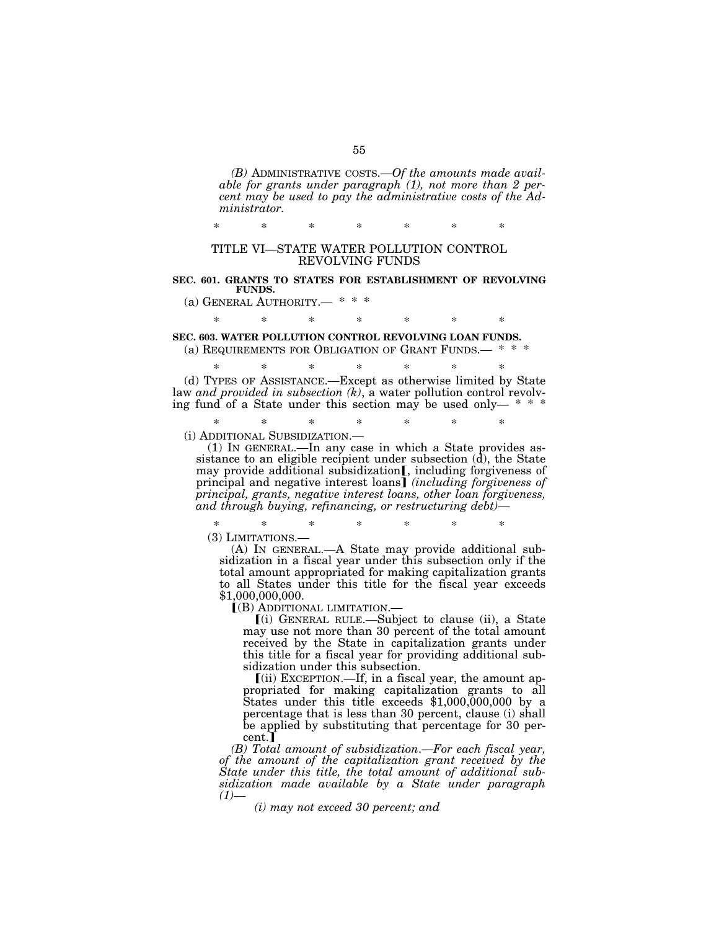*(B)* ADMINISTRATIVE COSTS.—*Of the amounts made available for grants under paragraph (1), not more than 2 percent may be used to pay the administrative costs of the Administrator.* 

\* \* \* \* \* \* \* TITLE VI—STATE WATER POLLUTION CONTROL

#### REVOLVING FUNDS

#### **SEC. 601. GRANTS TO STATES FOR ESTABLISHMENT OF REVOLVING FUNDS.**

(a) GENERAL AUTHORITY.-

\* \* \* \* \* \* \*

## **SEC. 603. WATER POLLUTION CONTROL REVOLVING LOAN FUNDS.**

(a) REQUIREMENTS FOR OBLIGATION OF GRANT FUNDS.— \* \* \*

\* \* \* \* \* \* \* (d) TYPES OF ASSISTANCE.—Except as otherwise limited by State law *and provided in subsection (k)*, a water pollution control revolving fund of a State under this section may be used only- $* * *$ 

\* \* \* \* \* \* \*

(i) ADDITIONAL SUBSIDIZATION.— (1) IN GENERAL.—In any case in which a State provides assistance to an eligible recipient under subsection  $(d)$ , the State

may provide additional subsidization<sub>[,</sub> including forgiveness of principal and negative interest loans] *(including forgiveness of principal, grants, negative interest loans, other loan forgiveness, and through buying, refinancing, or restructuring debt)*—

\* \* \* \* \* \* \*

(3) LIMITATIONS.— (A) IN GENERAL.—A State may provide additional subsidization in a fiscal year under this subsection only if the total amount appropriated for making capitalization grants to all States under this title for the fiscal year exceeds \$1,000,000,000.

ø(B) ADDITIONAL LIMITATION.—

ø(i) GENERAL RULE.—Subject to clause (ii), a State may use not more than 30 percent of the total amount received by the State in capitalization grants under this title for a fiscal year for providing additional subsidization under this subsection.

 $(iii)$  EXCEPTION.—If, in a fiscal year, the amount appropriated for making capitalization grants to all States under this title exceeds \$1,000,000,000 by a percentage that is less than 30 percent, clause (i) shall be applied by substituting that percentage for 30 percent.

*(B) Total amount of subsidization*.—*For each fiscal year, of the amount of the capitalization grant received by the State under this title, the total amount of additional subsidization made available by a State under paragraph*   $(1)$ —

*(i) may not exceed 30 percent; and*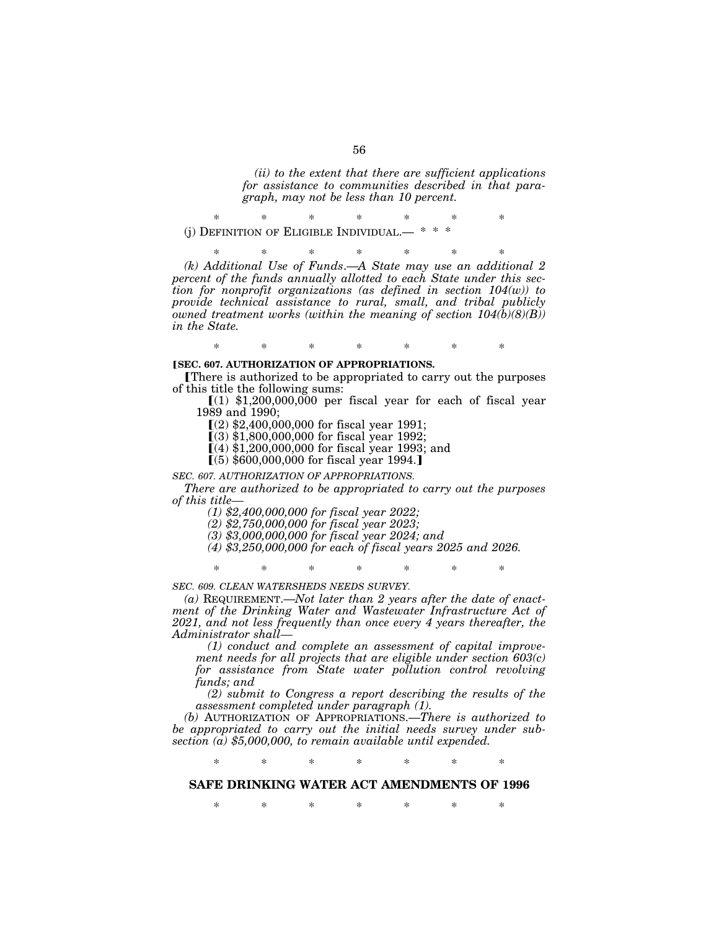*(ii) to the extent that there are sufficient applications for assistance to communities described in that paragraph, may not be less than 10 percent.* 

\* \* \* \* \* \* \* (j) DEFINITION OF ELIGIBLE INDIVIDUAL.

\* \* \* \* \* \* \* *(k) Additional Use of Funds*.—*A State may use an additional 2 percent of the funds annually allotted to each State under this section for nonprofit organizations (as defined in section 104(w)) to provide technical assistance to rural, small, and tribal publicly owned treatment works (within the meaning of section 104(b)(8)(B)) in the State.* 

#### **[SEC. 607. AUTHORIZATION OF APPROPRIATIONS.**

øThere is authorized to be appropriated to carry out the purposes of this title the following sums:

\* \* \* \* \* \* \*

 $(1)$  \$1,200,000,000 per fiscal year for each of fiscal year 1989 and 1990;

 $(2)$  \$2,400,000,000 for fiscal year 1991;

 $(3)$  \$1,800,000,000 for fiscal year 1992;

 $(4)$  \$1,200,000,000 for fiscal year 1993; and

 $(5)$  \$600,000,000 for fiscal year 1994.

#### *SEC. 607. AUTHORIZATION OF APPROPRIATIONS.*

*There are authorized to be appropriated to carry out the purposes of this title—* 

*(1) \$2,400,000,000 for fiscal year 2022;* 

*(2) \$2,750,000,000 for fiscal year 2023;* 

*(3) \$3,000,000,000 for fiscal year 2024; and* 

*(4) \$3,250,000,000 for each of fiscal years 2025 and 2026.* 

\* \* \* \* \* \* \*

*SEC. 609. CLEAN WATERSHEDS NEEDS SURVEY.* 

*(a)* REQUIREMENT.—*Not later than 2 years after the date of enactment of the Drinking Water and Wastewater Infrastructure Act of 2021, and not less frequently than once every 4 years thereafter, the Administrator shall—* 

*(1) conduct and complete an assessment of capital improvement needs for all projects that are eligible under section 603(c) for assistance from State water pollution control revolving funds; and* 

*(2) submit to Congress a report describing the results of the assessment completed under paragraph (1).* 

*(b)* AUTHORIZATION OF APPROPRIATIONS.—*There is authorized to be appropriated to carry out the initial needs survey under subsection (a) \$5,000,000, to remain available until expended.* 

\* \* \* \* \* \* \*

### **SAFE DRINKING WATER ACT AMENDMENTS OF 1996**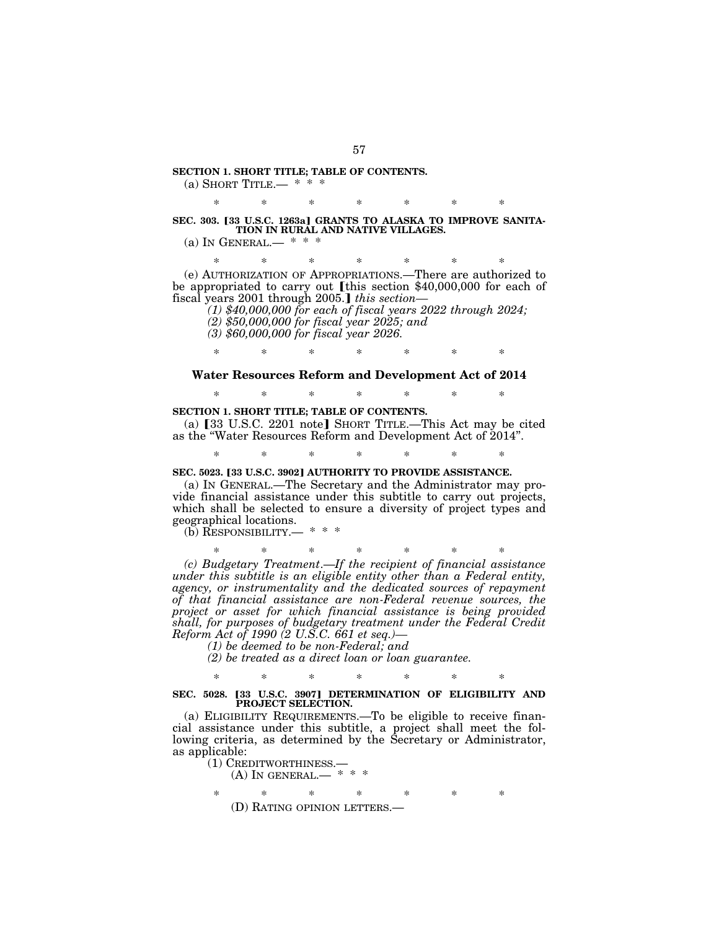#### **SECTION 1. SHORT TITLE; TABLE OF CONTENTS.**  (a) SHORT TITLE.—  $* * *$

\* \* \* \* \* \* \* SEC. 303. [33 U.S.C. 1263a] GRANTS TO ALASKA TO IMPROVE SANITA-**TION IN RURAL AND NATIVE VILLAGES.** 

(a) IN GENERAL.—  $* * *$ 

\* \* \* \* \* \* \*

(e) AUTHORIZATION OF APPROPRIATIONS.—There are authorized to be appropriated to carry out [this section  $$40,000,000$  for each of fiscal years 2001 through 2005.*I this section*—

*(1) \$40,000,000 for each of fiscal years 2022 through 2024; (2) \$50,000,000 for fiscal year 2025; and* 

*(3) \$60,000,000 for fiscal year 2026.* 

\* \* \* \* \* \* \*

#### **Water Resources Reform and Development Act of 2014**

\* \* \* \* \* \* \*

#### **SECTION 1. SHORT TITLE; TABLE OF CONTENTS.**

(a)  $[33 \text{ U.S.C. } 2201 \text{ note}]$  Short Title.—This Act may be cited as the ''Water Resources Reform and Development Act of 2014''.

\* \* \* \* \* \* \*

#### **SEC. 5023. [33 U.S.C. 3902] AUTHORITY TO PROVIDE ASSISTANCE.**

(a) IN GENERAL.—The Secretary and the Administrator may provide financial assistance under this subtitle to carry out projects, which shall be selected to ensure a diversity of project types and geographical locations.

(b) RESPONSIBILITY.— \* \* \*

\* \* \* \* \* \* \* *(c) Budgetary Treatment*.—*If the recipient of financial assistance under this subtitle is an eligible entity other than a Federal entity, agency, or instrumentality and the dedicated sources of repayment of that financial assistance are non-Federal revenue sources, the project or asset for which financial assistance is being provided shall, for purposes of budgetary treatment under the Federal Credit Reform Act of 1990 (2 U.S.C. 661 et seq.)—* 

*(1) be deemed to be non-Federal; and* 

*(2) be treated as a direct loan or loan guarantee.* 

#### \* \* \* \* \* \* \* SEC. 5028. [33 U.S.C. 3907] DETERMINATION OF ELIGIBILITY AND **PROJECT SELECTION.**

(a) ELIGIBILITY REQUIREMENTS.—To be eligible to receive financial assistance under this subtitle, a project shall meet the following criteria, as determined by the Secretary or Administrator, as applicable:

(1) CREDITWORTHINESS.—<br>(A) IN GENERAL.— \* \* \*

\* \* \* \* \* \* \* (D) RATING OPINION LETTERS.—